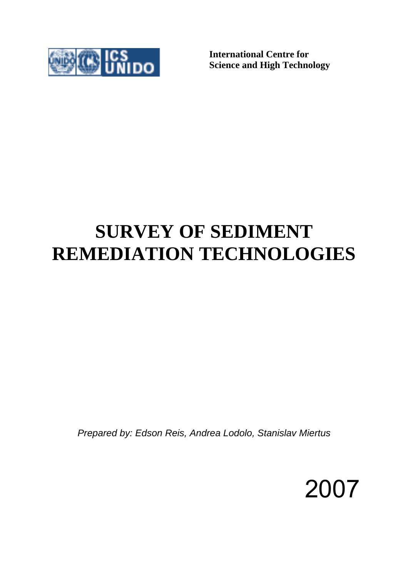

**International Centre for Science and High Technology** 

# **SURVEY OF SEDIMENT REMEDIATION TECHNOLOGIES**

*Prepared by: Edson Reis, Andrea Lodolo, Stanislav Miertus* 

2007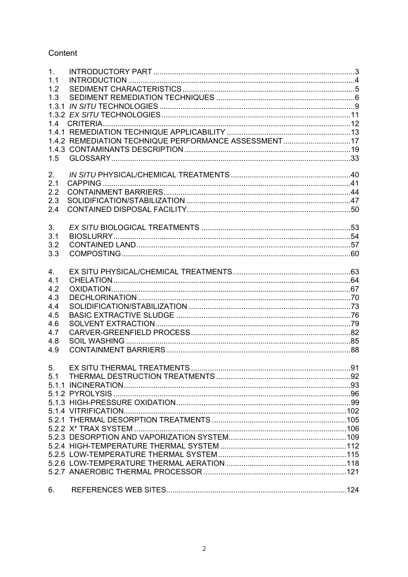# Content

| 1 <sub>1</sub> |                                                      |  |
|----------------|------------------------------------------------------|--|
| 1.1            |                                                      |  |
| 1.2            |                                                      |  |
| 1.3            |                                                      |  |
| 1.3.1          |                                                      |  |
|                |                                                      |  |
| 14             |                                                      |  |
|                |                                                      |  |
|                | 1.4.2 REMEDIATION TECHNIQUE PERFORMANCE ASSESSMENT17 |  |
|                |                                                      |  |
| 1.5            |                                                      |  |
|                |                                                      |  |
| 2.             |                                                      |  |
| 2.1<br>2.2     |                                                      |  |
| 2.3            |                                                      |  |
| 2.4            |                                                      |  |
|                |                                                      |  |
| 3.             |                                                      |  |
| 3.1            |                                                      |  |
| 3.2            |                                                      |  |
| 3.3            |                                                      |  |
|                |                                                      |  |
| 4.             |                                                      |  |
| 4.1            |                                                      |  |
| 4.2            |                                                      |  |
| 4.3            |                                                      |  |
| 4.4            |                                                      |  |
| 4.5            |                                                      |  |
| 4.6            |                                                      |  |
| 4.7            |                                                      |  |
| 4.8            |                                                      |  |
| 4.9            |                                                      |  |
|                |                                                      |  |
| 5.             |                                                      |  |
| 5.1            |                                                      |  |
|                |                                                      |  |
|                |                                                      |  |
|                |                                                      |  |
|                |                                                      |  |
|                |                                                      |  |
|                |                                                      |  |
|                |                                                      |  |
|                |                                                      |  |
|                |                                                      |  |
|                |                                                      |  |
|                |                                                      |  |
|                |                                                      |  |
| 6.             |                                                      |  |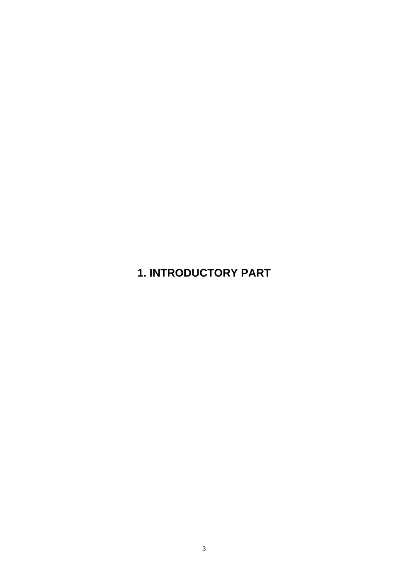# **1. INTRODUCTORY PART**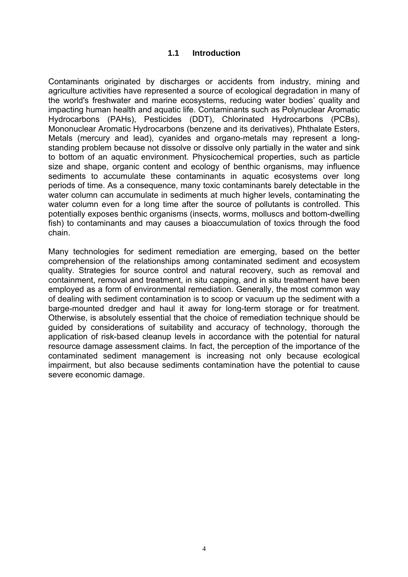# **1.1 Introduction**

Contaminants originated by discharges or accidents from industry, mining and agriculture activities have represented a source of ecological degradation in many of the world's freshwater and marine ecosystems, reducing water bodies' quality and impacting human health and aquatic life. Contaminants such as Polynuclear Aromatic Hydrocarbons (PAHs), Pesticides (DDT), Chlorinated Hydrocarbons (PCBs), Mononuclear Aromatic Hydrocarbons (benzene and its derivatives), Phthalate Esters, Metals (mercury and lead), cyanides and organo-metals may represent a longstanding problem because not dissolve or dissolve only partially in the water and sink to bottom of an aquatic environment. Physicochemical properties, such as particle size and shape, organic content and ecology of benthic organisms, may influence sediments to accumulate these contaminants in aquatic ecosystems over long periods of time. As a consequence, many toxic contaminants barely detectable in the water column can accumulate in sediments at much higher levels, contaminating the water column even for a long time after the source of pollutants is controlled. This potentially exposes benthic organisms (insects, worms, molluscs and bottom-dwelling fish) to contaminants and may causes a bioaccumulation of toxics through the food chain.

Many technologies for sediment remediation are emerging, based on the better comprehension of the relationships among contaminated sediment and ecosystem quality. Strategies for source control and natural recovery, such as removal and containment, removal and treatment, in situ capping, and in situ treatment have been employed as a form of environmental remediation. Generally, the most common way of dealing with sediment contamination is to scoop or vacuum up the sediment with a barge-mounted dredger and haul it away for long-term storage or for treatment. Otherwise, is absolutely essential that the choice of remediation technique should be guided by considerations of suitability and accuracy of technology, thorough the application of risk-based cleanup levels in accordance with the potential for natural resource damage assessment claims. In fact, the perception of the importance of the contaminated sediment management is increasing not only because ecological impairment, but also because sediments contamination have the potential to cause severe economic damage.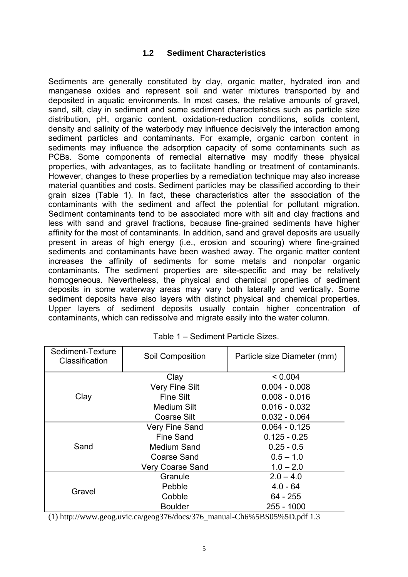# **1.2 Sediment Characteristics**

Sediments are generally constituted by clay, organic matter, hydrated iron and manganese oxides and represent soil and water mixtures transported by and deposited in aquatic environments. In most cases, the relative amounts of gravel, sand, silt, clay in sediment and some sediment characteristics such as particle size distribution, pH, organic content, oxidation-reduction conditions, solids content, density and salinity of the waterbody may influence decisively the interaction among sediment particles and contaminants. For example, organic carbon content in sediments may influence the adsorption capacity of some contaminants such as PCBs. Some components of remedial alternative may modify these physical properties, with advantages, as to facilitate handling or treatment of contaminants. However, changes to these properties by a remediation technique may also increase material quantities and costs. Sediment particles may be classified according to their grain sizes (Table 1). In fact, these characteristics alter the association of the contaminants with the sediment and affect the potential for pollutant migration. Sediment contaminants tend to be associated more with silt and clay fractions and less with sand and gravel fractions, because fine-grained sediments have higher affinity for the most of contaminants. In addition, sand and gravel deposits are usually present in areas of high energy (i.e., erosion and scouring) where fine-grained sediments and contaminants have been washed away. The organic matter content increases the affinity of sediments for some metals and nonpolar organic contaminants. The sediment properties are site-specific and may be relatively homogeneous. Nevertheless, the physical and chemical properties of sediment deposits in some waterway areas may vary both laterally and vertically. Some sediment deposits have also layers with distinct physical and chemical properties. Upper layers of sediment deposits usually contain higher concentration of contaminants, which can redissolve and migrate easily into the water column.

| Sediment-Texture<br>Classification | <b>Soil Composition</b> | Particle size Diameter (mm) |
|------------------------------------|-------------------------|-----------------------------|
|                                    | Clay                    | < 0.004                     |
|                                    | <b>Very Fine Silt</b>   | $0.004 - 0.008$             |
| Clay                               | <b>Fine Silt</b>        | $0.008 - 0.016$             |
|                                    | <b>Medium Silt</b>      | $0.016 - 0.032$             |
|                                    | Coarse Silt             | $0.032 - 0.064$             |
|                                    | <b>Very Fine Sand</b>   | $0.064 - 0.125$             |
|                                    | Fine Sand               | $0.125 - 0.25$              |
| Sand                               | Medium Sand             | $0.25 - 0.5$                |
|                                    | <b>Coarse Sand</b>      | $0.5 - 1.0$                 |
|                                    | <b>Very Coarse Sand</b> | $1.0 - 2.0$                 |
|                                    | Granule                 | $2.0 - 4.0$                 |
| Gravel                             | Pebble                  | $4.0 - 64$                  |
|                                    | Cobble                  | 64 - 255                    |
|                                    | <b>Boulder</b>          | 255 - 1000                  |

|  | Table 1 – Sediment Particle Sizes. |
|--|------------------------------------|
|--|------------------------------------|

(1) http://www.geog.uvic.ca/geog376/docs/376\_manual-Ch6%5BS05%5D.pdf 1.3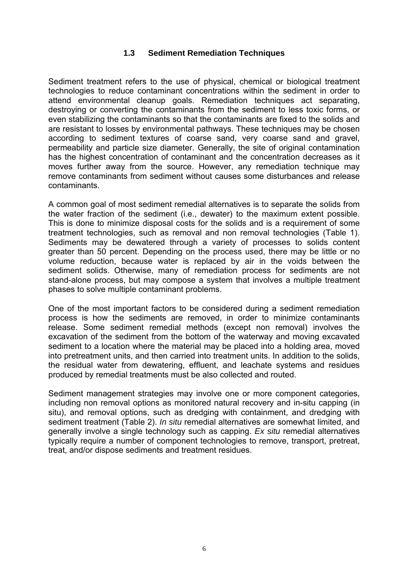# **1.3 Sediment Remediation Techniques**

Sediment treatment refers to the use of physical, chemical or biological treatment technologies to reduce contaminant concentrations within the sediment in order to attend environmental cleanup goals. Remediation techniques act separating, destroying or converting the contaminants from the sediment to less toxic forms, or even stabilizing the contaminants so that the contaminants are fixed to the solids and are resistant to losses by environmental pathways. These techniques may be chosen according to sediment textures of coarse sand, very coarse sand and gravel, permeability and particle size diameter. Generally, the site of original contamination has the highest concentration of contaminant and the concentration decreases as it moves further away from the source. However, any remediation technique may remove contaminants from sediment without causes some disturbances and release contaminants.

A common goal of most sediment remedial alternatives is to separate the solids from the water fraction of the sediment (i.e., dewater) to the maximum extent possible. This is done to minimize disposal costs for the solids and is a requirement of some treatment technologies, such as removal and non removal technologies (Table 1). Sediments may be dewatered through a variety of processes to solids content greater than 50 percent. Depending on the process used, there may be little or no volume reduction, because water is replaced by air in the voids between the sediment solids. Otherwise, many of remediation process for sediments are not stand-alone process, but may compose a system that involves a multiple treatment phases to solve multiple contaminant problems.

One of the most important factors to be considered during a sediment remediation process is how the sediments are removed, in order to minimize contaminants release. Some sediment remedial methods (except non removal) involves the excavation of the sediment from the bottom of the waterway and moving excavated sediment to a location where the material may be placed into a holding area, moved into pretreatment units, and then carried into treatment units. In addition to the solids, the residual water from dewatering, effluent, and leachate systems and residues produced by remedial treatments must be also collected and routed.

Sediment management strategies may involve one or more component categories, including non removal options as monitored natural recovery and in-situ capping (in situ), and removal options, such as dredging with containment, and dredging with sediment treatment (Table 2). *In situ* remedial alternatives are somewhat limited, and generally involve a single technology such as capping. *Ex situ* remedial alternatives typically require a number of component technologies to remove, transport, pretreat, treat, and/or dispose sediments and treatment residues.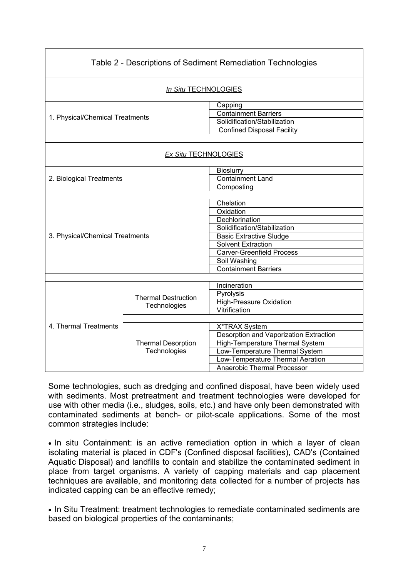| Table 2 - Descriptions of Sediment Remediation Technologies |                                            |                                                                                                                                                                                                                            |  |
|-------------------------------------------------------------|--------------------------------------------|----------------------------------------------------------------------------------------------------------------------------------------------------------------------------------------------------------------------------|--|
|                                                             | In Situ TECHNOLOGIES                       |                                                                                                                                                                                                                            |  |
| 1. Physical/Chemical Treatments                             |                                            | Capping<br><b>Containment Barriers</b><br>Solidification/Stabilization<br><b>Confined Disposal Facility</b>                                                                                                                |  |
| <b>Ex Situ TECHNOLOGIES</b>                                 |                                            |                                                                                                                                                                                                                            |  |
| <b>Bioslurry</b><br>2. Biological Treatments<br>Composting  |                                            | <b>Containment Land</b>                                                                                                                                                                                                    |  |
| 3. Physical/Chemical Treatments                             |                                            | Chelation<br>Oxidation<br>Dechlorination<br>Solidification/Stabilization<br><b>Basic Extractive Sludge</b><br><b>Solvent Extraction</b><br><b>Carver-Greenfield Process</b><br>Soil Washing<br><b>Containment Barriers</b> |  |
|                                                             | <b>Thermal Destruction</b><br>Technologies | Incineration<br>Pyrolysis<br><b>High-Pressure Oxidation</b><br>Vitrification                                                                                                                                               |  |
| 4. Thermal Treatments                                       | <b>Thermal Desorption</b><br>Technologies  | X*TRAX System<br>Desorption and Vaporization Extraction<br>High-Temperature Thermal System<br>Low-Temperature Thermal System<br>Low-Temperature Thermal Aeration<br>Anaerobic Thermal Processor                            |  |

Some technologies, such as dredging and confined disposal, have been widely used with sediments. Most pretreatment and treatment technologies were developed for use with other media (i.e., sludges, soils, etc.) and have only been demonstrated with contaminated sediments at bench- or pilot-scale applications. Some of the most common strategies include:

• In situ Containment: is an active remediation option in which a layer of clean isolating material is placed in CDF's (Confined disposal facilities), CAD's (Contained Aquatic Disposal) and landfills to contain and stabilize the contaminated sediment in place from target organisms. A variety of capping materials and cap placement techniques are available, and monitoring data collected for a number of projects has indicated capping can be an effective remedy;

• In Situ Treatment: treatment technologies to remediate contaminated sediments are based on biological properties of the contaminants;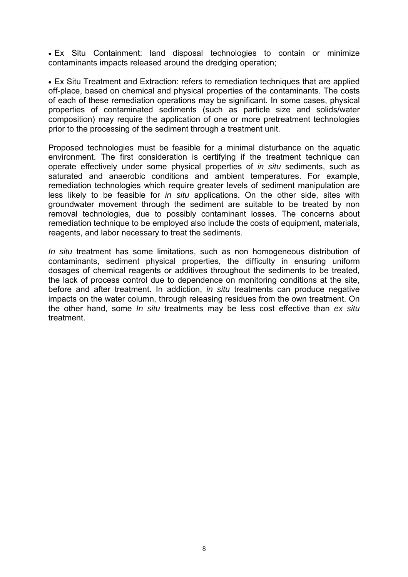• Ex Situ Containment: land disposal technologies to contain or minimize contaminants impacts released around the dredging operation;

• Ex Situ Treatment and Extraction: refers to remediation techniques that are applied off-place, based on chemical and physical properties of the contaminants. The costs of each of these remediation operations may be significant. In some cases, physical properties of contaminated sediments (such as particle size and solids/water composition) may require the application of one or more pretreatment technologies prior to the processing of the sediment through a treatment unit.

Proposed technologies must be feasible for a minimal disturbance on the aquatic environment. The first consideration is certifying if the treatment technique can operate effectively under some physical properties of *in situ* sediments, such as saturated and anaerobic conditions and ambient temperatures. For example, remediation technologies which require greater levels of sediment manipulation are less likely to be feasible for *in situ* applications. On the other side, sites with groundwater movement through the sediment are suitable to be treated by non removal technologies, due to possibly contaminant losses. The concerns about remediation technique to be employed also include the costs of equipment, materials, reagents, and labor necessary to treat the sediments.

*In situ* treatment has some limitations, such as non homogeneous distribution of contaminants, sediment physical properties, the difficulty in ensuring uniform dosages of chemical reagents or additives throughout the sediments to be treated, the lack of process control due to dependence on monitoring conditions at the site, before and after treatment. In addiction, *in situ* treatments can produce negative impacts on the water column, through releasing residues from the own treatment. On the other hand, some *In situ* treatments may be less cost effective than *ex situ* treatment.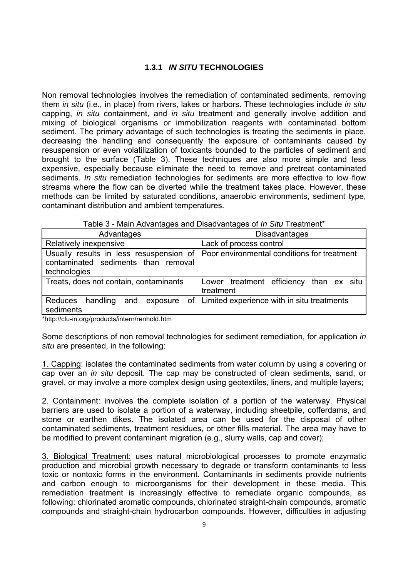# **1.3.1** *IN SITU* **TECHNOLOGIES**

Non removal technologies involves the remediation of contaminated sediments, removing them *in situ* (i.e., in place) from rivers, lakes or harbors. These technologies include *in situ* capping, *in situ* containment, and *in situ* treatment and generally involve addition and mixing of biological organisms or immobilization reagents with contaminated bottom sediment. The primary advantage of such technologies is treating the sediments in place, decreasing the handling and consequently the exposure of contaminants caused by resuspension or even volatilization of toxicants bounded to the particles of sediment and brought to the surface (Table 3). These techniques are also more simple and less expensive, especially because eliminate the need to remove and pretreat contaminated sediments. *In situ* remediation technologies for sediments are more effective to low flow streams where the flow can be diverted while the treatment takes place. However, these methods can be limited by saturated conditions, anaerobic environments, sediment type, contaminant distribution and ambient temperatures.

| Advantages                                          | <b>Disadvantages</b>                                                                |  |  |
|-----------------------------------------------------|-------------------------------------------------------------------------------------|--|--|
| Relatively inexpensive                              | Lack of process control                                                             |  |  |
| contaminated sediments than removal<br>technologies | Usually results in less resuspension of Poor environmental conditions for treatment |  |  |
| Treats, does not contain, contaminants              | Lower treatment efficiency than ex situ<br>treatment                                |  |  |
| Reduces handling and exposure<br>sediments          | of   Limited experience with in situ treatments                                     |  |  |

\*http://clu-in.org/products/intern/renhold.htm

Some descriptions of non removal technologies for sediment remediation, for application *in situ* are presented, in the following:

1. Capping: isolates the contaminated sediments from water column by using a covering or cap over an *in situ* deposit. The cap may be constructed of clean sediments, sand, or gravel, or may involve a more complex design using geotextiles, liners, and multiple layers;

2. Containment: involves the complete isolation of a portion of the waterway. Physical barriers are used to isolate a portion of a waterway, including sheetpile, cofferdams, and stone or earthen dikes. The isolated area can be used for the disposal of other contaminated sediments, treatment residues, or other fills material. The area may have to be modified to prevent contaminant migration (e.g., slurry walls, cap and cover);

3. Biological Treatment: uses natural microbiological processes to promote enzymatic production and microbial growth necessary to degrade or transform contaminants to less toxic or nontoxic forms in the environment. Contaminants in sediments provide nutrients and carbon enough to microorganisms for their development in these media. This remediation treatment is increasingly effective to remediate organic compounds, as following: chlorinated aromatic compounds, chlorinated straight-chain compounds, aromatic compounds and straight-chain hydrocarbon compounds. However, difficulties in adjusting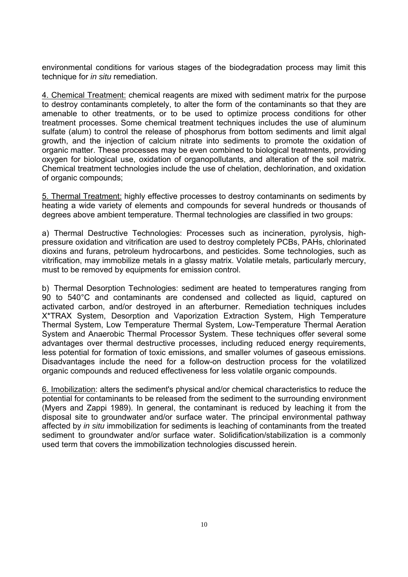environmental conditions for various stages of the biodegradation process may limit this technique for *in situ* remediation.

4. Chemical Treatment: chemical reagents are mixed with sediment matrix for the purpose to destroy contaminants completely, to alter the form of the contaminants so that they are amenable to other treatments, or to be used to optimize process conditions for other treatment processes. Some chemical treatment techniques includes the use of aluminum sulfate (alum) to control the release of phosphorus from bottom sediments and limit algal growth, and the injection of calcium nitrate into sediments to promote the oxidation of organic matter. These processes may be even combined to biological treatments, providing oxygen for biological use, oxidation of organopollutants, and alteration of the soil matrix. Chemical treatment technologies include the use of chelation, dechlorination, and oxidation of organic compounds;

5. Thermal Treatment: highly effective processes to destroy contaminants on sediments by heating a wide variety of elements and compounds for several hundreds or thousands of degrees above ambient temperature. Thermal technologies are classified in two groups:

a) Thermal Destructive Technologies: Processes such as incineration, pyrolysis, highpressure oxidation and vitrification are used to destroy completely PCBs, PAHs, chlorinated dioxins and furans, petroleum hydrocarbons, and pesticides. Some technologies, such as vitrification, may immobilize metals in a glassy matrix. Volatile metals, particularly mercury, must to be removed by equipments for emission control.

b) Thermal Desorption Technologies: sediment are heated to temperatures ranging from 90 to 540°C and contaminants are condensed and collected as liquid, captured on activated carbon, and/or destroyed in an afterburner. Remediation techniques includes X\*TRAX System, Desorption and Vaporization Extraction System, High Temperature Thermal System, Low Temperature Thermal System, Low-Temperature Thermal Aeration System and Anaerobic Thermal Processor System. These techniques offer several some advantages over thermal destructive processes, including reduced energy requirements, less potential for formation of toxic emissions, and smaller volumes of gaseous emissions. Disadvantages include the need for a follow-on destruction process for the volatilized organic compounds and reduced effectiveness for less volatile organic compounds.

6. Imobilization: alters the sediment's physical and/or chemical characteristics to reduce the potential for contaminants to be released from the sediment to the surrounding environment (Myers and Zappi 1989). In general, the contaminant is reduced by leaching it from the disposal site to groundwater and/or surface water. The principal environmental pathway affected by *in situ* immobilization for sediments is leaching of contaminants from the treated sediment to groundwater and/or surface water. Solidification/stabilization is a commonly used term that covers the immobilization technologies discussed herein.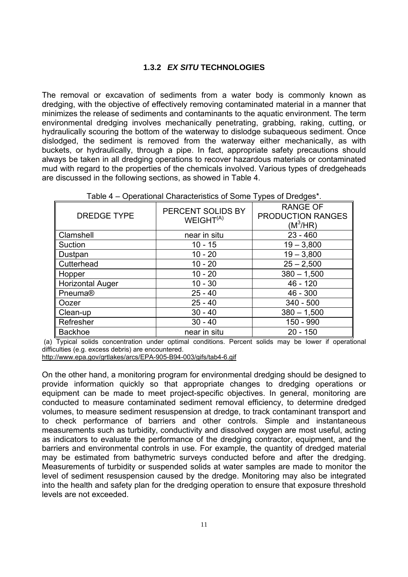# **1.3.2** *EX SITU* **TECHNOLOGIES**

The removal or excavation of sediments from a water body is commonly known as dredging, with the objective of effectively removing contaminated material in a manner that minimizes the release of sediments and contaminants to the aquatic environment. The term environmental dredging involves mechanically penetrating, grabbing, raking, cutting, or hydraulically scouring the bottom of the waterway to dislodge subaqueous sediment. Once dislodged, the sediment is removed from the waterway either mechanically, as with buckets, or hydraulically, through a pipe. In fact, appropriate safety precautions should always be taken in all dredging operations to recover hazardous materials or contaminated mud with regard to the properties of the chemicals involved. Various types of dredgeheads are discussed in the following sections, as showed in Table 4.

| <b>DREDGE TYPE</b>      | PERCENT SOLIDS BY<br>WEIGHT <sup>(A)</sup> | <b>RANGE OF</b><br><b>PRODUCTION RANGES</b><br>$(M^3/HR)$ |
|-------------------------|--------------------------------------------|-----------------------------------------------------------|
| Clamshell               | near in situ                               | $23 - 460$                                                |
| Suction                 | $10 - 15$                                  | $19 - 3,800$                                              |
| Dustpan                 | $10 - 20$                                  | $19 - 3,800$                                              |
| Cutterhead              | $10 - 20$                                  | $25 - 2,500$                                              |
| Hopper                  | $10 - 20$                                  | $380 - 1,500$                                             |
| <b>Horizontal Auger</b> | $10 - 30$                                  | $46 - 120$                                                |
| Pneuma®                 | $25 - 40$                                  | $46 - 300$                                                |
| Oozer                   | $25 - 40$                                  | $340 - 500$                                               |
| Clean-up                | $30 - 40$                                  | $380 - 1,500$                                             |
| Refresher               | $30 - 40$                                  | 150 - 990                                                 |
| <b>Backhoe</b>          | near in situ                               | $20 - 150$                                                |

| Table 4 – Operational Characteristics of Some Types of Dredges*. |
|------------------------------------------------------------------|
|------------------------------------------------------------------|

 (a) Typical solids concentration under optimal conditions. Percent solids may be lower if operational difficulties (e.g. excess debris) are encountered.

http://www.epa.gov/grtlakes/arcs/EPA-905-B94-003/gifs/tab4-6.gif

On the other hand, a monitoring program for environmental dredging should be designed to provide information quickly so that appropriate changes to dredging operations or equipment can be made to meet project-specific objectives. In general, monitoring are conducted to measure contaminated sediment removal efficiency, to determine dredged volumes, to measure sediment resuspension at dredge, to track contaminant transport and to check performance of barriers and other controls. Simple and instantaneous measurements such as turbidity, conductivity and dissolved oxygen are most useful, acting as indicators to evaluate the performance of the dredging contractor, equipment, and the barriers and environmental controls in use. For example, the quantity of dredged material may be estimated from bathymetric surveys conducted before and after the dredging. Measurements of turbidity or suspended solids at water samples are made to monitor the level of sediment resuspension caused by the dredge. Monitoring may also be integrated into the health and safety plan for the dredging operation to ensure that exposure threshold levels are not exceeded.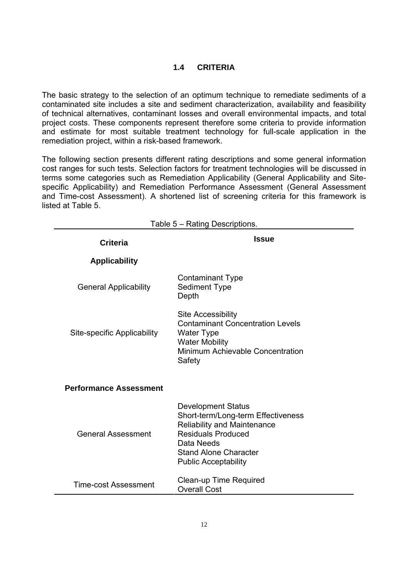# **1.4 CRITERIA**

The basic strategy to the selection of an optimum technique to remediate sediments of a contaminated site includes a site and sediment characterization, availability and feasibility of technical alternatives, contaminant losses and overall environmental impacts, and total project costs. These components represent therefore some criteria to provide information and estimate for most suitable treatment technology for full-scale application in the remediation project, within a risk-based framework.

The following section presents different rating descriptions and some general information cost ranges for such tests. Selection factors for treatment technologies will be discussed in terms some categories such as Remediation Applicability (General Applicability and Sitespecific Applicability) and Remediation Performance Assessment (General Assessment and Time-cost Assessment). A shortened list of screening criteria for this framework is listed at Table 5.

| Table 5 - Rating Descriptions. |                                                                                                                                                                                                                 |  |  |
|--------------------------------|-----------------------------------------------------------------------------------------------------------------------------------------------------------------------------------------------------------------|--|--|
| <b>Criteria</b>                | <b>Issue</b>                                                                                                                                                                                                    |  |  |
| <b>Applicability</b>           |                                                                                                                                                                                                                 |  |  |
| <b>General Applicability</b>   | <b>Contaminant Type</b><br><b>Sediment Type</b><br>Depth                                                                                                                                                        |  |  |
| Site-specific Applicability    | <b>Site Accessibility</b><br><b>Contaminant Concentration Levels</b><br><b>Water Type</b><br><b>Water Mobility</b><br>Minimum Achievable Concentration<br>Safety                                                |  |  |
| <b>Performance Assessment</b>  |                                                                                                                                                                                                                 |  |  |
| <b>General Assessment</b>      | <b>Development Status</b><br>Short-term/Long-term Effectiveness<br><b>Reliability and Maintenance</b><br><b>Residuals Produced</b><br>Data Needs<br><b>Stand Alone Character</b><br><b>Public Acceptability</b> |  |  |
| Time-cost Assessment           | Clean-up Time Required<br><b>Overall Cost</b>                                                                                                                                                                   |  |  |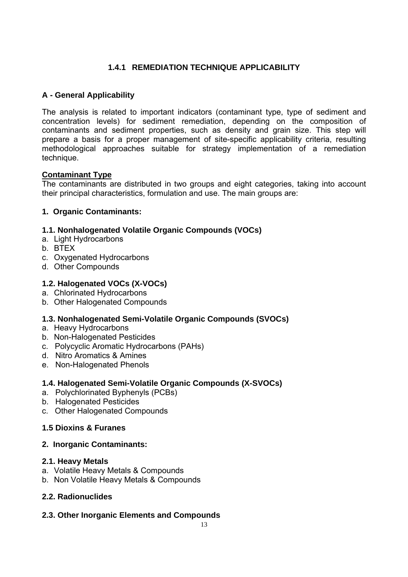# **1.4.1 REMEDIATION TECHNIQUE APPLICABILITY**

# **A - General Applicability**

The analysis is related to important indicators (contaminant type, type of sediment and concentration levels) for sediment remediation, depending on the composition of contaminants and sediment properties, such as density and grain size. This step will prepare a basis for a proper management of site-specific applicability criteria, resulting methodological approaches suitable for strategy implementation of a remediation technique.

# **Contaminant Type**

The contaminants are distributed in two groups and eight categories, taking into account their principal characteristics, formulation and use. The main groups are:

# **1. Organic Contaminants:**

# **1.1. Nonhalogenated Volatile Organic Compounds (VOCs)**

- a. Light Hydrocarbons
- b. BTEX
- c. Oxygenated Hydrocarbons
- d. Other Compounds

# **1.2. Halogenated VOCs (X-VOCs)**

- a. Chlorinated Hydrocarbons
- b. Other Halogenated Compounds

# **1.3. Nonhalogenated Semi-Volatile Organic Compounds (SVOCs)**

- a. Heavy Hydrocarbons
- b. Non-Halogenated Pesticides
- c. Polycyclic Aromatic Hydrocarbons (PAHs)
- d. Nitro Aromatics & Amines
- e. Non-Halogenated Phenols

# **1.4. Halogenated Semi-Volatile Organic Compounds (X-SVOCs)**

- a. Polychlorinated Byphenyls (PCBs)
- b. Halogenated Pesticides
- c. Other Halogenated Compounds

# **1.5 Dioxins & Furanes**

#### **2. Inorganic Contaminants:**

#### **2.1. Heavy Metals**

- a. Volatile Heavy Metals & Compounds
- b. Non Volatile Heavy Metals & Compounds

# **2.2. Radionuclides**

# **2.3. Other Inorganic Elements and Compounds**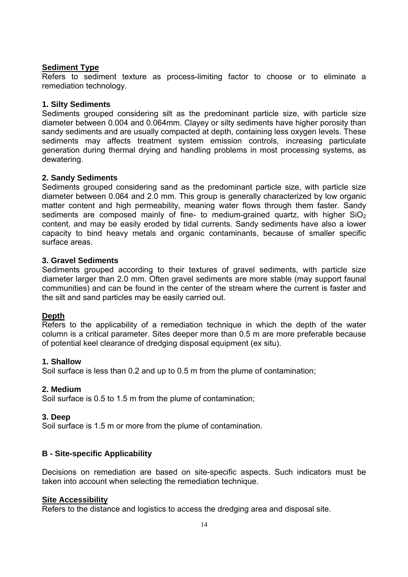# **Sediment Type**

Refers to sediment texture as process-limiting factor to choose or to eliminate a remediation technology.

#### **1. Silty Sediments**

Sediments grouped considering silt as the predominant particle size, with particle size diameter between 0.004 and 0.064mm. Clayey or silty sediments have higher porosity than sandy sediments and are usually compacted at depth, containing less oxygen levels. These sediments may affects treatment system emission controls, increasing particulate generation during thermal drying and handling problems in most processing systems, as dewatering.

#### **2. Sandy Sediments**

Sediments grouped considering sand as the predominant particle size, with particle size diameter between 0.064 and 2.0 mm. This group is generally characterized by low organic matter content and high permeability, meaning water flows through them faster. Sandy sediments are composed mainly of fine- to medium-grained quartz, with higher  $SiO<sub>2</sub>$ content, and may be easily eroded by tidal currents. Sandy sediments have also a lower capacity to bind heavy metals and organic contaminants, because of smaller specific surface areas.

#### **3. Gravel Sediments**

Sediments grouped according to their textures of gravel sediments, with particle size diameter larger than 2.0 mm. Often gravel sediments are more stable (may support faunal communities) and can be found in the center of the stream where the current is faster and the silt and sand particles may be easily carried out.

#### **Depth**

Refers to the applicability of a remediation technique in which the depth of the water column is a critical parameter. Sites deeper more than 0.5 m are more preferable because of potential keel clearance of dredging disposal equipment (ex situ).

#### **1. Shallow**

Soil surface is less than 0.2 and up to 0.5 m from the plume of contamination;

#### **2. Medium**

Soil surface is 0.5 to 1.5 m from the plume of contamination;

#### **3. Deep**

Soil surface is 1.5 m or more from the plume of contamination.

# **B - Site-specific Applicability**

Decisions on remediation are based on site-specific aspects. Such indicators must be taken into account when selecting the remediation technique.

#### **Site Accessibility**

Refers to the distance and logistics to access the dredging area and disposal site.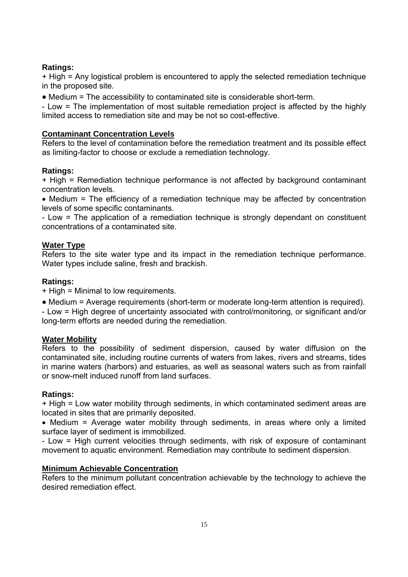# **Ratings:**

+ High = Any logistical problem is encountered to apply the selected remediation technique in the proposed site.

• Medium = The accessibility to contaminated site is considerable short-term.

- Low = The implementation of most suitable remediation project is affected by the highly limited access to remediation site and may be not so cost-effective.

# **Contaminant Concentration Levels**

Refers to the level of contamination before the remediation treatment and its possible effect as limiting-factor to choose or exclude a remediation technology.

# **Ratings:**

+ High = Remediation technique performance is not affected by background contaminant concentration levels.

• Medium = The efficiency of a remediation technique may be affected by concentration levels of some specific contaminants.

- Low = The application of a remediation technique is strongly dependant on constituent concentrations of a contaminated site.

# **Water Type**

Refers to the site water type and its impact in the remediation technique performance. Water types include saline, fresh and brackish.

# **Ratings:**

+ High = Minimal to low requirements.

• Medium = Average requirements (short-term or moderate long-term attention is required).

- Low = High degree of uncertainty associated with control/monitoring, or significant and/or long-term efforts are needed during the remediation.

# **Water Mobility**

Refers to the possibility of sediment dispersion, caused by water diffusion on the contaminated site, including routine currents of waters from lakes, rivers and streams, tides in marine waters (harbors) and estuaries, as well as seasonal waters such as from rainfall or snow-melt induced runoff from land surfaces.

# **Ratings:**

+ High = Low water mobility through sediments, in which contaminated sediment areas are located in sites that are primarily deposited.

• Medium = Average water mobility through sediments, in areas where only a limited surface layer of sediment is immobilized.

- Low = High current velocities through sediments, with risk of exposure of contaminant movement to aquatic environment. Remediation may contribute to sediment dispersion.

# **Minimum Achievable Concentration**

Refers to the minimum pollutant concentration achievable by the technology to achieve the desired remediation effect.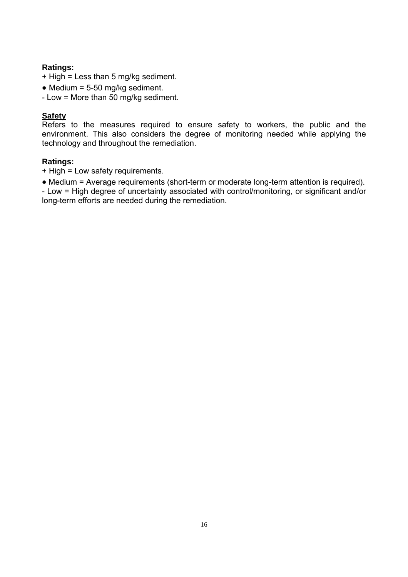# **Ratings:**

- + High = Less than 5 mg/kg sediment.
- Medium = 5-50 mg/kg sediment.
- Low = More than 50 mg/kg sediment.

# **Safety**

Refers to the measures required to ensure safety to workers, the public and the environment. This also considers the degree of monitoring needed while applying the technology and throughout the remediation.

# **Ratings:**

- + High = Low safety requirements.
- Medium = Average requirements (short-term or moderate long-term attention is required).

- Low = High degree of uncertainty associated with control/monitoring, or significant and/or long-term efforts are needed during the remediation.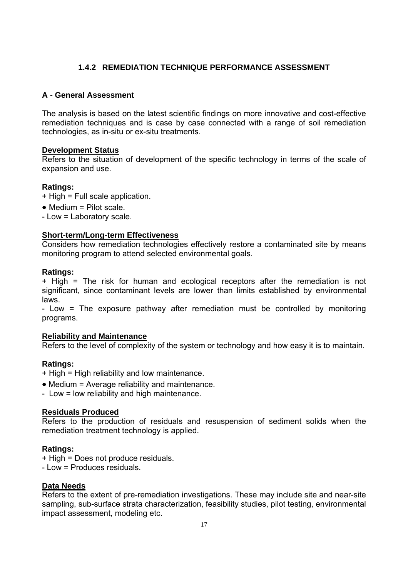# **1.4.2 REMEDIATION TECHNIQUE PERFORMANCE ASSESSMENT**

# **A - General Assessment**

The analysis is based on the latest scientific findings on more innovative and cost-effective remediation techniques and is case by case connected with a range of soil remediation technologies, as in-situ or ex-situ treatments.

#### **Development Status**

Refers to the situation of development of the specific technology in terms of the scale of expansion and use.

# **Ratings:**

- + High = Full scale application.
- Medium = Pilot scale.
- Low = Laboratory scale.

#### **Short-term/Long-term Effectiveness**

Considers how remediation technologies effectively restore a contaminated site by means monitoring program to attend selected environmental goals.

#### **Ratings:**

+ High = The risk for human and ecological receptors after the remediation is not significant, since contaminant levels are lower than limits established by environmental laws.

- Low = The exposure pathway after remediation must be controlled by monitoring programs.

#### **Reliability and Maintenance**

Refers to the level of complexity of the system or technology and how easy it is to maintain.

#### **Ratings:**

- + High = High reliability and low maintenance.
- Medium = Average reliability and maintenance.
- Low = low reliability and high maintenance.

#### **Residuals Produced**

Refers to the production of residuals and resuspension of sediment solids when the remediation treatment technology is applied.

#### **Ratings:**

+ High = Does not produce residuals.

- Low = Produces residuals.

#### **Data Needs**

Refers to the extent of pre-remediation investigations. These may include site and near-site sampling, sub-surface strata characterization, feasibility studies, pilot testing, environmental impact assessment, modeling etc.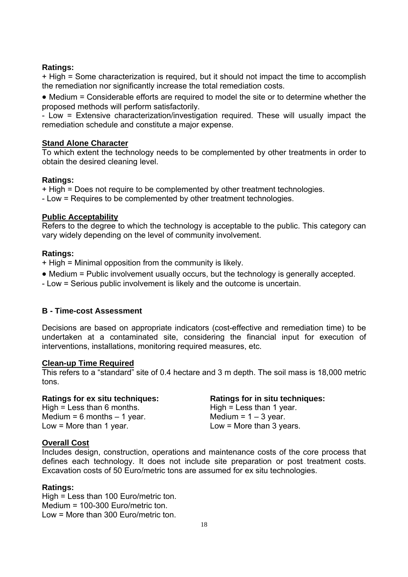#### **Ratings:**

+ High = Some characterization is required, but it should not impact the time to accomplish the remediation nor significantly increase the total remediation costs.

• Medium = Considerable efforts are required to model the site or to determine whether the proposed methods will perform satisfactorily.

- Low = Extensive characterization/investigation required. These will usually impact the remediation schedule and constitute a major expense.

#### **Stand Alone Character**

To which extent the technology needs to be complemented by other treatments in order to obtain the desired cleaning level.

#### **Ratings:**

+ High = Does not require to be complemented by other treatment technologies.

- Low = Requires to be complemented by other treatment technologies.

#### **Public Acceptability**

Refers to the degree to which the technology is acceptable to the public. This category can vary widely depending on the level of community involvement.

#### **Ratings:**

- + High = Minimal opposition from the community is likely.
- Medium = Public involvement usually occurs, but the technology is generally accepted.
- Low = Serious public involvement is likely and the outcome is uncertain.

# **B - Time-cost Assessment**

Decisions are based on appropriate indicators (cost-effective and remediation time) to be undertaken at a contaminated site, considering the financial input for execution of interventions, installations, monitoring required measures, etc.

#### **Clean-up Time Required**

This refers to a "standard" site of 0.4 hectare and 3 m depth. The soil mass is 18,000 metric tons.

| Ratings for ex situ techniques: | Ratings for in situ techniques: |
|---------------------------------|---------------------------------|
| High = Less than 6 months.      | High = Less than 1 year.        |
| Medium = $6$ months $-1$ year.  | Medium = $1 - 3$ year.          |
| Low = More than 1 year.         | Low = More than $3$ years.      |

#### **Overall Cost**

Includes design, construction, operations and maintenance costs of the core process that defines each technology. It does not include site preparation or post treatment costs. Excavation costs of 50 Euro/metric tons are assumed for ex situ technologies.

#### **Ratings:**

High = Less than 100 Euro/metric ton. Medium = 100-300 Euro/metric ton. Low = More than 300 Euro/metric ton.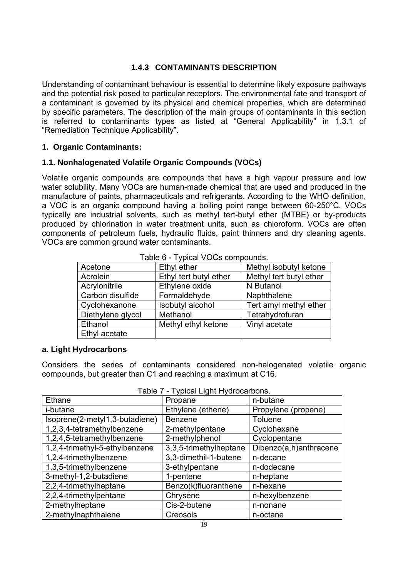# **1.4.3 CONTAMINANTS DESCRIPTION**

Understanding of contaminant behaviour is essential to determine likely exposure pathways and the potential risk posed to particular receptors. The environmental fate and transport of a contaminant is governed by its physical and chemical properties, which are determined by specific parameters. The description of the main groups of contaminants in this section is referred to contaminants types as listed at "General Applicability" in 1.3.1 of "Remediation Technique Applicability".

# **1. Organic Contaminants:**

#### **1.1. Nonhalogenated Volatile Organic Compounds (VOCs)**

Volatile organic compounds are compounds that have a high vapour pressure and low water solubility. Many VOCs are human-made chemical that are used and produced in the manufacture of paints, pharmaceuticals and refrigerants. According to the WHO definition, a VOC is an organic compound having a boiling point range between 60-250°C. VOCs typically are industrial solvents, such as methyl tert-butyl ether (MTBE) or by-products produced by chlorination in water treatment units, such as chloroform. VOCs are often components of petroleum fuels, hydraulic fluids, paint thinners and dry cleaning agents. VOCs are common ground water contaminants.

| $1$ abic $9 - 1$ ypical $8 \cup 9$ compounds. |                        |                         |  |
|-----------------------------------------------|------------------------|-------------------------|--|
| Acetone                                       | Ethyl ether            | Methyl isobutyl ketone  |  |
| Acrolein                                      | Ethyl tert butyl ether | Methyl tert butyl ether |  |
| Acrylonitrile                                 | Ethylene oxide         | N Butanol               |  |
| Carbon disulfide                              | Formaldehyde           | Naphthalene             |  |
| Cyclohexanone                                 | Isobutyl alcohol       | Tert amyl methyl ether  |  |
| Diethylene glycol                             | Methanol               | Tetrahydrofuran         |  |
| Ethanol                                       | Methyl ethyl ketone    | Vinyl acetate           |  |
| Ethyl acetate                                 |                        |                         |  |

Table 6 - Typical VOCs compounds.

#### **a. Light Hydrocarbons**

Considers the series of contaminants considered non-halogenated volatile organic compounds, but greater than C1 and reaching a maximum at C16.

| $1$ able $1 - 1$ ypical Light Hydrocal bons. |                        |                        |  |
|----------------------------------------------|------------------------|------------------------|--|
| Ethane                                       | Propane                | n-butane               |  |
| i-butane                                     | Ethylene (ethene)      | Propylene (propene)    |  |
| Isoprene(2-metyl1,3-butadiene)               | <b>Benzene</b>         | <b>Toluene</b>         |  |
| 1,2,3,4-tetramethylbenzene                   | 2-methylpentane        | Cyclohexane            |  |
| 1,2,4,5-tetramethylbenzene                   | 2-methylphenol         | Cyclopentane           |  |
| 1,2,4-trimethyl-5-ethylbenzene               | 3,3,5-trimethylheptane | Dibenzo(a,h)anthracene |  |
| 1,2,4-trimethylbenzene                       | 3,3-dimethil-1-butene  | n-decane               |  |
| 1,3,5-trimethylbenzene                       | 3-ethylpentane         | n-dodecane             |  |
| 3-methyl-1,2-butadiene                       | 1-pentene              | n-heptane              |  |
| 2,2,4-trimethylheptane                       | Benzo(k)fluoranthene   | n-hexane               |  |
| 2,2,4-trimethylpentane                       | Chrysene               | n-hexylbenzene         |  |
| 2-methylheptane                              | Cis-2-butene           | n-nonane               |  |
| 2-methylnaphthalene                          | Creosols               | n-octane               |  |
| 1 <sub>0</sub>                               |                        |                        |  |

Table 7 - Typical Light Hydrocarbons.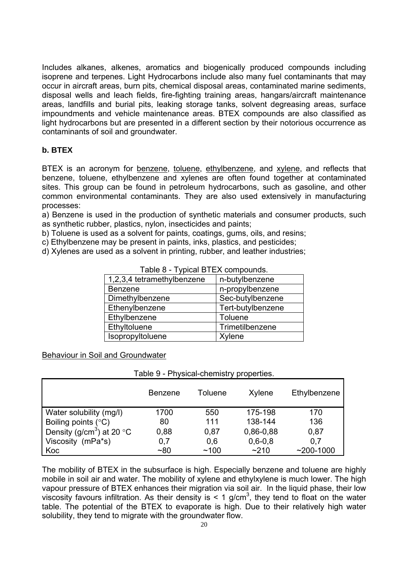Includes alkanes, alkenes, aromatics and biogenically produced compounds including isoprene and terpenes. Light Hydrocarbons include also many fuel contaminants that may occur in aircraft areas, burn pits, chemical disposal areas, contaminated marine sediments, disposal wells and leach fields, fire-fighting training areas, hangars/aircraft maintenance areas, landfills and burial pits, leaking storage tanks, solvent degreasing areas, surface impoundments and vehicle maintenance areas. BTEX compounds are also classified as light hydrocarbons but are presented in a different section by their notorious occurrence as contaminants of soil and groundwater.

# **b. BTEX**

BTEX is an acronym for benzene, toluene, ethylbenzene, and xylene, and reflects that benzene, toluene, ethylbenzene and xylenes are often found together at contaminated sites. This group can be found in petroleum hydrocarbons, such as gasoline, and other common environmental contaminants. They are also used extensively in manufacturing processes:

a) Benzene is used in the production of synthetic materials and consumer products, such as synthetic rubber, plastics, nylon, insecticides and paints;

b) Toluene is used as a solvent for paints, coatings, gums, oils, and resins;

c) Ethylbenzene may be present in paints, inks, plastics, and pesticides;

d) Xylenes are used as a solvent in printing, rubber, and leather industries;

| 1,2,3,4 tetramethylbenzene | n-butylbenzene    |
|----------------------------|-------------------|
| <b>Benzene</b>             | n-propylbenzene   |
| Dimethylbenzene            | Sec-butylbenzene  |
| Ethenylbenzene             | Tert-butylbenzene |
| Ethylbenzene               | <b>Toluene</b>    |
| Ethyltoluene               | Trimetilbenzene   |
| Isopropyltoluene           | Xylene            |

Table 9 - Physical-chemistry properties.

Table 8 - Typical BTEX compounds.

#### Behaviour in Soil and Groundwater

|                                       | <b>Benzene</b> | Toluene | Xylene      | Ethylbenzene  |
|---------------------------------------|----------------|---------|-------------|---------------|
| Water solubility (mg/l)               | 1700           | 550     | 175-198     | 170           |
| Boiling points (°C)                   | 80             | 111     | 138-144     | 136           |
| Density (g/cm <sup>3</sup> ) at 20 °C | 0,88           | 0.87    | 0,86-0,88   | 0,87          |
| Viscosity (mPa*s)                     | 0,7            | 0,6     | $0,6 - 0,8$ | 0,7           |
| Koc                                   | $~10^{-8}$     | ~100    | ~210        | $~200 - 1000$ |

The mobility of BTEX in the subsurface is high. Especially benzene and toluene are highly mobile in soil air and water. The mobility of xylene and ethylxylene is much lower. The high vapour pressure of BTEX enhances their migration via soil air. In the liquid phase, their low viscosity favours infiltration. As their density is  $\leq 1$  g/cm<sup>3</sup>, they tend to float on the water table. The potential of the BTEX to evaporate is high. Due to their relatively high water solubility, they tend to migrate with the groundwater flow.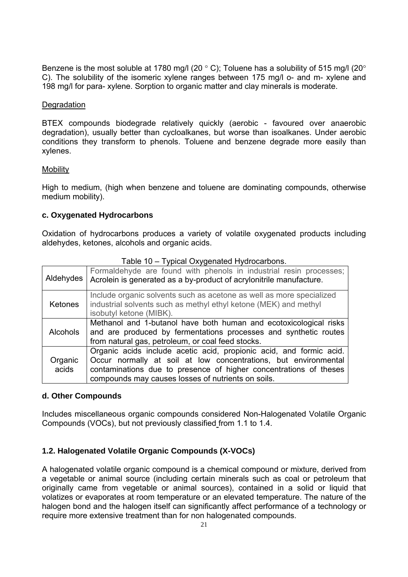Benzene is the most soluble at 1780 mg/l (20 $\degree$  C); Toluene has a solubility of 515 mg/l (20 $\degree$ C). The solubility of the isomeric xylene ranges between 175 mg/l o- and m- xylene and 198 mg/l for para- xylene. Sorption to organic matter and clay minerals is moderate.

#### **Degradation**

BTEX compounds biodegrade relatively quickly (aerobic - favoured over anaerobic degradation), usually better than cycloalkanes, but worse than isoalkanes. Under aerobic conditions they transform to phenols. Toluene and benzene degrade more easily than xylenes.

#### **Mobility**

High to medium, (high when benzene and toluene are dominating compounds, otherwise medium mobility).

# **c. Oxygenated Hydrocarbons**

Oxidation of hydrocarbons produces a variety of volatile oxygenated products including aldehydes, ketones, alcohols and organic acids.

| Aldehydes        | Formaldehyde are found with phenols in industrial resin processes;<br>Acrolein is generated as a by-product of acrylonitrile manufacture.                                                                                                                         |
|------------------|-------------------------------------------------------------------------------------------------------------------------------------------------------------------------------------------------------------------------------------------------------------------|
| <b>Ketones</b>   | Include organic solvents such as acetone as well as more specialized<br>industrial solvents such as methyl ethyl ketone (MEK) and methyl<br>isobutyl ketone (MIBK).                                                                                               |
| <b>Alcohols</b>  | Methanol and 1-butanol have both human and ecotoxicological risks<br>and are produced by fermentations processes and synthetic routes<br>from natural gas, petroleum, or coal feed stocks.                                                                        |
| Organic<br>acids | Organic acids include acetic acid, propionic acid, and formic acid.<br>Occur normally at soil at low concentrations, but environmental<br>contaminations due to presence of higher concentrations of theses<br>compounds may causes losses of nutrients on soils. |

#### Table 10 – Typical Oxygenated Hydrocarbons.

#### **d. Other Compounds**

Includes miscellaneous organic compounds considered Non-Halogenated Volatile Organic Compounds (VOCs), but not previously classified from 1.1 to 1.4.

# **1.2. Halogenated Volatile Organic Compounds (X-VOCs)**

A halogenated volatile organic compound is a chemical compound or mixture, derived from a vegetable or animal source (including certain minerals such as coal or petroleum that originally came from vegetable or animal sources), contained in a solid or liquid that volatizes or evaporates at room temperature or an elevated temperature. The nature of the halogen bond and the halogen itself can significantly affect performance of a technology or require more extensive treatment than for non halogenated compounds.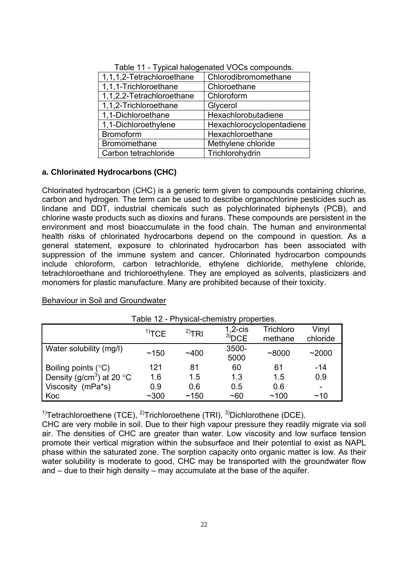| 1,1,1,2-Tetrachloroethane | Chlorodibromomethane      |
|---------------------------|---------------------------|
| 1,1,1-Trichloroethane     | Chloroethane              |
| 1,1,2,2-Tetrachloroethane | Chloroform                |
| 1,1,2-Trichloroethane     | Glycerol                  |
| 1,1-Dichloroethane        | Hexachlorobutadiene       |
| 1,1-Dichloroethylene      | Hexachlorocyclopentadiene |
| <b>Bromoform</b>          | Hexachloroethane          |
| <b>Bromomethane</b>       | Methylene chloride        |
| Carbon tetrachloride      | Trichlorohydrin           |

Table 11 - Typical halogenated VOCs compounds.

#### **a. Chlorinated Hydrocarbons (CHC)**

Chlorinated hydrocarbon (CHC) is a generic term given to compounds containing chlorine, carbon and hydrogen. The term can be used to describe organochlorine pesticides such as lindane and DDT, industrial chemicals such as polychlorinated biphenyls (PCB), and chlorine waste products such as dioxins and furans. These compounds are persistent in the environment and most bioaccumulate in the food chain. The human and environmental health risks of chlorinated hydrocarbons depend on the compound in question. As a general statement, exposure to chlorinated hydrocarbon has been associated with suppression of the immune system and cancer. Chlorinated hydrocarbon compounds include chloroform, carbon tetrachloride, ethylene dichloride, methylene chloride, tetrachloroethane and trichloroethylene. They are employed as solvents, plasticizers and monomers for plastic manufacture. Many are prohibited because of their toxicity.

Behaviour in Soil and Groundwater

| $1000$ $12 - 111$ you out the start proportion. |                     |             |                        |                      |                          |
|-------------------------------------------------|---------------------|-------------|------------------------|----------------------|--------------------------|
|                                                 | $1$ <sup>T</sup> CE | $^{2)}$ TRI | $1,2$ -cis<br>$3)$ DCE | Trichloro<br>methane | Vinyl<br>chloride        |
| Water solubility (mg/l)                         | ~150                | ~1400       | 3500-<br>5000          | ~8000                | ~2000                    |
| Boiling points $(^{\circ}C)$                    | 121                 | 81          | 60                     | 61                   | $-14$                    |
| Density (g/cm <sup>3</sup> ) at 20 $\degree$ C  | 1.6                 | 1.5         | 1.3                    | 1.5                  | 0.9                      |
| Viscosity (mPa*s)                               | 0.9                 | 0.6         | 0.5                    | 0.6                  | $\overline{\phantom{0}}$ |
| Koc                                             | $~1$ ~300           | ~150        | ~100                   | ~100                 | ~10                      |

Table 12 - Physical-chemistry properties.

<sup>1)</sup>Tetrachloroethene (TCE), <sup>2)</sup>Trichloroethene (TRI), <sup>3)</sup>Dichlorothene (DCE).

CHC are very mobile in soil. Due to their high vapour pressure they readily migrate via soil air. The densities of CHC are greater than water. Low viscosity and low surface tension promote their vertical migration within the subsurface and their potential to exist as NAPL phase within the saturated zone. The sorption capacity onto organic matter is low. As their water solubility is moderate to good, CHC may be transported with the groundwater flow and – due to their high density – may accumulate at the base of the aquifer.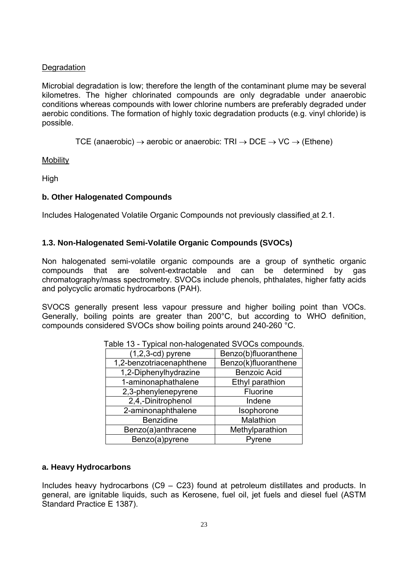# **Degradation**

Microbial degradation is low; therefore the length of the contaminant plume may be several kilometres. The higher chlorinated compounds are only degradable under anaerobic conditions whereas compounds with lower chlorine numbers are preferably degraded under aerobic conditions. The formation of highly toxic degradation products (e.g. vinyl chloride) is possible.

TCE (anaerobic)  $\rightarrow$  aerobic or anaerobic: TRI  $\rightarrow$  DCE  $\rightarrow$  VC  $\rightarrow$  (Ethene)

**Mobility** 

High

#### **b. Other Halogenated Compounds**

Includes Halogenated Volatile Organic Compounds not previously classified at 2.1.

# **1.3. Non-Halogenated Semi-Volatile Organic Compounds (SVOCs)**

Non halogenated semi-volatile organic compounds are a group of synthetic organic compounds that are solvent-extractable and can be determined by gas chromatography/mass spectrometry. SVOCs include phenols, phthalates, higher fatty acids and polycyclic aromatic hydrocarbons (PAH).

SVOCS generally present less vapour pressure and higher boiling point than VOCs. Generally, boiling points are greater than 200°C, but according to WHO definition, compounds considered SVOCs show boiling points around 240-260 °C.

| $(1,2,3-cd)$ pyrene      | Benzo(b)fluoranthene |
|--------------------------|----------------------|
| 1,2-benzotriacenaphthene | Benzo(k)fluoranthene |
| 1,2-Diphenylhydrazine    | <b>Benzoic Acid</b>  |
| 1-aminonaphathalene      | Ethyl parathion      |
| 2,3-phenylenepyrene      | Fluorine             |
| 2,4,-Dinitrophenol       | Indene               |
| 2-aminonaphthalene       | Isophorone           |
| <b>Benzidine</b>         | Malathion            |
| Benzo(a)anthracene       | Methylparathion      |
| Benzo(a)pyrene           | Pyrene               |

Table 13 - Typical non-halogenated SVOCs compounds.

#### **a. Heavy Hydrocarbons**

Includes heavy hydrocarbons (C9 – C23) found at petroleum distillates and products. In general, are ignitable liquids, such as Kerosene, fuel oil, jet fuels and diesel fuel (ASTM Standard Practice E 1387).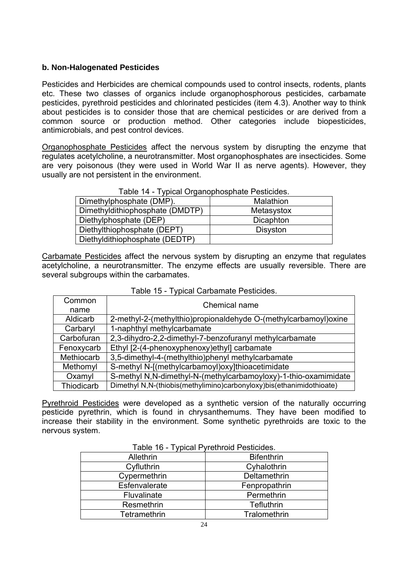# **b. Non-Halogenated Pesticides**

Pesticides and Herbicides are chemical compounds used to control insects, rodents, plants etc. These two classes of organics include organophosphorous pesticides, carbamate pesticides, pyrethroid pesticides and chlorinated pesticides (item 4.3). Another way to think about pesticides is to consider those that are chemical pesticides or are derived from a common source or production method. Other categories include biopesticides, antimicrobials, and pest control devices.

Organophosphate Pesticides affect the nervous system by disrupting the enzyme that regulates acetylcholine, a neurotransmitter. Most organophosphates are insecticides. Some are very poisonous (they were used in World War II as nerve agents). However, they usually are not persistent in the environment.

#### Table 14 - Typical Organophosphate Pesticides.

| Dimethylphosphate (DMP).        | Malathion       |
|---------------------------------|-----------------|
| Dimethyldithiophosphate (DMDTP) | Metasystox      |
| Diethylphosphate (DEP)          | Dicaphton       |
| Diethylthiophosphate (DEPT)     | <b>Disyston</b> |
| Diethyldithiophosphate (DEDTP)  |                 |

Carbamate Pesticides affect the nervous system by disrupting an enzyme that regulates acetylcholine, a neurotransmitter. The enzyme effects are usually reversible. There are several subgroups within the carbamates.

| Common     | Chemical name                                                        |  |
|------------|----------------------------------------------------------------------|--|
| name       |                                                                      |  |
| Aldicarb   | 2-methyl-2-(methylthio)propionaldehyde O-(methylcarbamoyl)oxine      |  |
| Carbaryl   | 1-naphthyl methylcarbamate                                           |  |
| Carbofuran | 2,3-dihydro-2,2-dimethyl-7-benzofuranyl methylcarbamate              |  |
| Fenoxycarb | Ethyl [2-(4-phenoxyphenoxy)ethyl] carbamate                          |  |
| Methiocarb | 3,5-dimethyl-4-(methylthio)phenyl methylcarbamate                    |  |
| Methomyl   | S-methyl N-[(methylcarbamoyl)oxy]thioacetimidate                     |  |
| Oxamyl     | S-methyl N,N-dimethyl-N-(methylcarbamoyloxy)-1-thio-oxamimidate      |  |
| Thiodicarb | Dimethyl N,N-(thiobis(methylimino)carbonyloxy)bis(ethanimidothioate) |  |

Pyrethroid Pesticides were developed as a synthetic version of the naturally occurring pesticide pyrethrin, which is found in chrysanthemums. They have been modified to increase their stability in the environment. Some synthetic pyrethroids are toxic to the nervous system.

| $1$ avic $10 - 1$ y pical $1$ | mannoid i colluideo. |  |
|-------------------------------|----------------------|--|
| Allethrin                     | <b>Bifenthrin</b>    |  |
| Cyfluthrin                    | Cyhalothrin          |  |
| Cypermethrin                  | Deltamethrin         |  |
| Esfenvalerate                 | Fenpropathrin        |  |
| Fluvalinate                   | Permethrin           |  |
| Resmethrin                    | <b>Tefluthrin</b>    |  |
| Tetramethrin                  | Tralomethrin         |  |

Table 16 - Typical Pyrethroid Pesticides.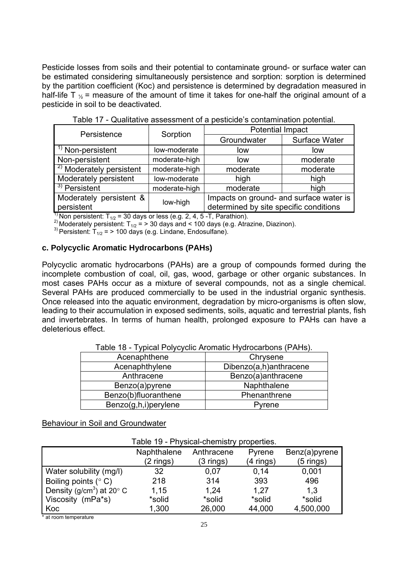Pesticide losses from soils and their potential to contaminate ground- or surface water can be estimated considering simultaneously persistence and sorption: sorption is determined by the partition coefficient (Koc) and persistence is determined by degradation measured in half-life T  $\chi$  = measure of the amount of time it takes for one-half the original amount of a pesticide in soil to be deactivated.

| Persistence                         | Sorption      | <b>Potential Impact</b>                 |                      |  |
|-------------------------------------|---------------|-----------------------------------------|----------------------|--|
|                                     |               | Groundwater                             | <b>Surface Water</b> |  |
| <sup>1)</sup> Non-persistent        | low-moderate  | low                                     | low                  |  |
| Non-persistent                      | moderate-high | low                                     | moderate             |  |
| <sup>2)</sup> Moderately persistent | moderate-high | moderate                                | moderate             |  |
| Moderately persistent               | low-moderate  | high                                    | high                 |  |
| $\frac{3}{3}$ Persistent            | moderate-high | moderate                                | high                 |  |
| Moderately persistent &             |               | Impacts on ground- and surface water is |                      |  |
| persistent                          | low-high      | determined by site specific conditions  |                      |  |

Table 17 - Qualitative assessment of a pesticide's contamination potential.

<sup>1)</sup> Non persistent: T<sub>1/2</sub> = 30 days or less (e.g. 2, 4, 5 -T, Parathion).<br><sup>2)</sup> Moderately persistent: T<sub>1/2</sub> = > 30 days and < 100 days (e.g. Atrazine, Diazinon). <sup>3)</sup> Persistent: T<sub>1/2</sub> = > 100 days (e.g. Lindane, Endo

#### **c. Polycyclic Aromatic Hydrocarbons (PAHs)**

Polycyclic aromatic hydrocarbons (PAHs) are a group of compounds formed during the incomplete combustion of coal, oil, gas, wood, garbage or other organic substances. In most cases PAHs occur as a mixture of several compounds, not as a single chemical. Several PAHs are produced commercially to be used in the industrial organic synthesis. Once released into the aquatic environment, degradation by micro-organisms is often slow, leading to their accumulation in exposed sediments, soils, aquatic and terrestrial plants, fish and invertebrates. In terms of human health, prolonged exposure to PAHs can have a deleterious effect.

| rable To - Typical Fulycyclic Albinatic Hydrocarbons (FAHS). |                        |  |
|--------------------------------------------------------------|------------------------|--|
| Acenaphthene                                                 | Chrysene               |  |
| Acenaphthylene                                               | Dibenzo(a,h)anthracene |  |
| Anthracene                                                   | Benzo(a)anthracene     |  |
| Benzo(a)pyrene                                               | Naphthalene            |  |
| Benzo(b)fluoranthene                                         | Phenanthrene           |  |
| Benzo(g,h,i)perylene                                         | Pyrene                 |  |

Table 18 - Typical Polycyclic Aromatic Hydrocarbons (PAHs).

# Behaviour in Soil and Groundwater

| Naphthalene                                             | Anthracene  | Pyrene      | Benz(a)pyrene                             |
|---------------------------------------------------------|-------------|-------------|-------------------------------------------|
| $(2 \text{ rings})$                                     | $(3$ rings) | $(4$ rings) | (5 rings)                                 |
| 32                                                      | 0,07        | 0,14        | 0,001                                     |
| 218                                                     | 314         | 393         | 496                                       |
| Density (g/cm <sup>3</sup> ) at 20 $^{\circ}$ C<br>1,15 | 1.24        | 1.27        | 1,3                                       |
| *solid                                                  | *solid      | *solid      | *solid                                    |
| 1,300                                                   | 26,000      | 44,000      | 4,500,000                                 |
|                                                         |             |             | Table 19 - Physical-chemistry properties. |

\* at room temperature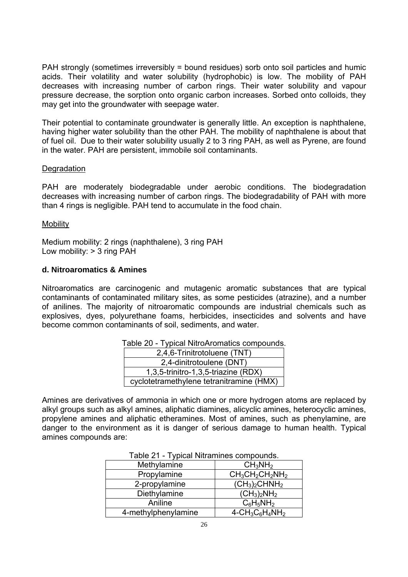PAH strongly (sometimes irreversibly = bound residues) sorb onto soil particles and humic acids. Their volatility and water solubility (hydrophobic) is low. The mobility of PAH decreases with increasing number of carbon rings. Their water solubility and vapour pressure decrease, the sorption onto organic carbon increases. Sorbed onto colloids, they may get into the groundwater with seepage water.

Their potential to contaminate groundwater is generally little. An exception is naphthalene, having higher water solubility than the other PAH. The mobility of naphthalene is about that of fuel oil. Due to their water solubility usually 2 to 3 ring PAH, as well as Pyrene, are found in the water. PAH are persistent, immobile soil contaminants.

#### **Degradation**

PAH are moderately biodegradable under aerobic conditions. The biodegradation decreases with increasing number of carbon rings. The biodegradability of PAH with more than 4 rings is negligible. PAH tend to accumulate in the food chain.

#### **Mobility**

Medium mobility: 2 rings (naphthalene), 3 ring PAH Low mobility: > 3 ring PAH

#### **d. Nitroaromatics & Amines**

Nitroaromatics are carcinogenic and mutagenic aromatic substances that are typical contaminants of contaminated military sites, as some pesticides (atrazine), and a number of anilines. The majority of nitroaromatic compounds are industrial chemicals such as explosives, dyes, polyurethane foams, herbicides, insecticides and solvents and have become common contaminants of soil, sediments, and water.

| $1000$ $20 - 1$ ypidal integration tracted dompodition |
|--------------------------------------------------------|
| 2,4,6-Trinitrotoluene (TNT)                            |
| 2,4-dinitrotoulene (DNT)                               |
| 1,3,5-trinitro-1,3,5-triazine (RDX)                    |
| cyclotetramethylene tetranitramine (HMX)               |

|  | Table 20 - Typical NitroAromatics compounds. |
|--|----------------------------------------------|
|  |                                              |

Amines are derivatives of ammonia in which one or more hydrogen atoms are replaced by alkyl groups such as alkyl amines, aliphatic diamines, alicyclic amines, heterocyclic amines, propylene amines and aliphatic etheramines. Most of amines, such as phenylamine, are danger to the environment as it is danger of serious damage to human health. Typical amines compounds are:

| $1$ able $21$ - Typical Nitramines compounds. |                                                                    |
|-----------------------------------------------|--------------------------------------------------------------------|
| Methylamine                                   | $CH_3NH_2$                                                         |
| Propylamine                                   | $CH3CH2CH2NH2$                                                     |
| 2-propylamine                                 | $(CH_3)_2$ CHNH <sub>2</sub>                                       |
| Diethylamine                                  | $(CH_3)_2NH_2$                                                     |
| Aniline                                       | $C_6H_5NH_2$                                                       |
| 4-methylphenylamine                           | $4$ -CH <sub>3</sub> C <sub>6</sub> H <sub>4</sub> NH <sub>2</sub> |

Table 21 - Typical Nitramines compounds.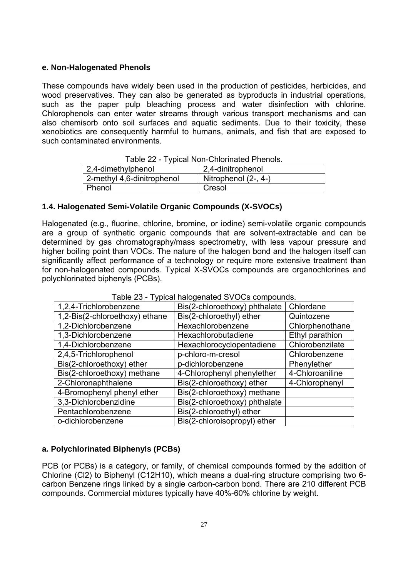#### **e. Non-Halogenated Phenols**

These compounds have widely been used in the production of pesticides, herbicides, and wood preservatives. They can also be generated as byproducts in industrial operations, such as the paper pulp bleaching process and water disinfection with chlorine. Chlorophenols can enter water streams through various transport mechanisms and can also chemisorb onto soil surfaces and aquatic sediments. Due to their toxicity, these xenobiotics are consequently harmful to humans, animals, and fish that are exposed to such contaminated environments.

|                            | <u> Fabie 22 - Fypical Norromonialeu Frienois.</u> |
|----------------------------|----------------------------------------------------|
| 2,4-dimethylphenol         | 2,4-dinitrophenol                                  |
| 2-methyl 4,6-dinitrophenol | Nitrophenol (2-, 4-)                               |
| Phenol                     | Cresol                                             |

#### **1.4. Halogenated Semi-Volatile Organic Compounds (X-SVOCs)**

Halogenated (e.g., fluorine, chlorine, bromine, or iodine) semi-volatile organic compounds are a group of synthetic organic compounds that are solvent-extractable and can be determined by gas chromatography/mass spectrometry, with less vapour pressure and higher boiling point than VOCs. The nature of the halogen bond and the halogen itself can significantly affect performance of a technology or require more extensive treatment than for non-halogenated compounds. Typical X-SVOCs compounds are organochlorines and polychlorinated biphenyls (PCBs).

| 1,2,4-Trichlorobenzene         | Bis(2-chloroethoxy) phthalate | Chlordane       |
|--------------------------------|-------------------------------|-----------------|
| 1,2-Bis(2-chloroethoxy) ethane | Bis(2-chloroethyl) ether      | Quintozene      |
| 1,2-Dichlorobenzene            | Hexachlorobenzene             | Chlorphenothane |
| 1,3-Dichlorobenzene            | Hexachlorobutadiene           | Ethyl parathion |
| 1,4-Dichlorobenzene            | Hexachlorocyclopentadiene     | Chlorobenzilate |
| 2,4,5-Trichlorophenol          | p-chloro-m-cresol             | Chlorobenzene   |
| Bis(2-chloroethoxy) ether      | p-dichlorobenzene             | Phenylether     |
| Bis(2-chloroethoxy) methane    | 4-Chlorophenyl phenylether    | 4-Chloroaniline |
| 2-Chloronaphthalene            | Bis(2-chloroethoxy) ether     | 4-Chlorophenyl  |
| 4-Bromophenyl phenyl ether     | Bis(2-chloroethoxy) methane   |                 |
| 3,3-Dichlorobenzidine          | Bis(2-chloroethoxy) phthalate |                 |
| Pentachlorobenzene             | Bis(2-chloroethyl) ether      |                 |
| o-dichlorobenzene              | Bis(2-chloroisopropyl) ether  |                 |

#### Table 23 - Typical halogenated SVOCs compounds.

# **a. Polychlorinated Biphenyls (PCBs)**

PCB (or PCBs) is a category, or family, of chemical compounds formed by the addition of Chlorine (Cl2) to Biphenyl (C12H10), which means a dual-ring structure comprising two 6 carbon Benzene rings linked by a single carbon-carbon bond. There are 210 different PCB compounds. Commercial mixtures typically have 40%-60% chlorine by weight.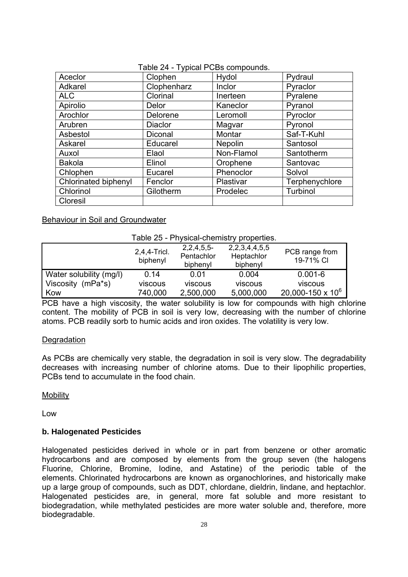| Aceclor              | Clophen        | Hydol      | Pydraul        |
|----------------------|----------------|------------|----------------|
| Adkarel              | Clophenharz    | Inclor     | Pyraclor       |
| <b>ALC</b>           | Clorinal       | Inerteen   | Pyralene       |
| Apirolio             | Delor          | Kaneclor   | Pyranol        |
| Arochlor             | Delorene       | Leromoll   | Pyroclor       |
| Arubren              | <b>Diaclor</b> | Magvar     | Pyronol        |
| Asbestol             | Diconal        | Montar     | Saf-T-Kuhl     |
| Askarel              | Educarel       | Nepolin    | Santosol       |
| Auxol                | Elaol          | Non-Flamol | Santotherm     |
| <b>Bakola</b>        | Elinol         | Orophene   | Santovac       |
| Chlophen             | Eucarel        | Phenoclor  | Solvol         |
| Chlorinated biphenyl | Fenclor        | Plastivar  | Terphenychlore |
| Chlorinol            | Gilotherm      | Prodelec   | Turbinol       |
| Cloresil             |                |            |                |

#### Table 24 - Typical PCBs compounds.

Behaviour in Soil and Groundwater

#### Table 25 - Physical-chemistry properties.

|                         | 2,4,4-Tricl.<br>biphenyl | $2,2,4,5,5$ -<br>Pentachlor<br>biphenyl | 2, 2, 3, 4, 4, 5, 5<br>Heptachlor<br>biphenyl | PCB range from<br>19-71% CI |
|-------------------------|--------------------------|-----------------------------------------|-----------------------------------------------|-----------------------------|
| Water solubility (mg/l) | 0.14                     | 0.01                                    | 0.004                                         | $0.001 - 6$                 |
| Viscosity (mPa*s)       | viscous                  | viscous                                 | viscous                                       | viscous                     |
| Kow                     | 740,000                  | 2,500,000                               | 5,000,000                                     | 20,000-150 x $10^6$         |

PCB have a high viscosity, the water solubility is low for compounds with high chlorine content. The mobility of PCB in soil is very low, decreasing with the number of chlorine atoms. PCB readily sorb to humic acids and iron oxides. The volatility is very low.

#### **Degradation**

As PCBs are chemically very stable, the degradation in soil is very slow. The degradability decreases with increasing number of chlorine atoms. Due to their lipophilic properties, PCBs tend to accumulate in the food chain.

**Mobility** 

Low

#### **b. Halogenated Pesticides**

Halogenated pesticides derived in whole or in part from benzene or other aromatic hydrocarbons and are composed by elements from the group seven (the halogens Fluorine, Chlorine, Bromine, Iodine, and Astatine) of the periodic table of the elements. Chlorinated hydrocarbons are known as organochlorines, and historically make up a large group of compounds, such as DDT, chlordane, dieldrin, lindane, and heptachlor. Halogenated pesticides are, in general, more fat soluble and more resistant to biodegradation, while methylated pesticides are more water soluble and, therefore, more biodegradable.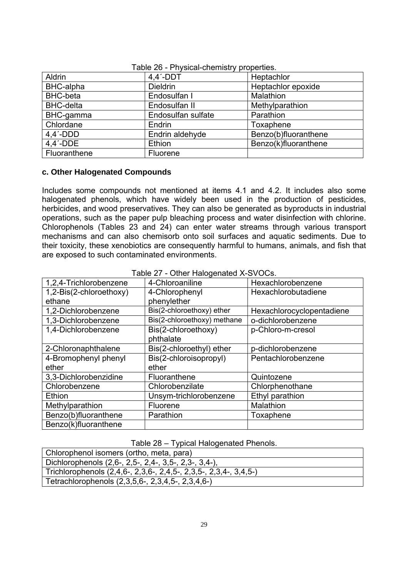| Aldrin           | $4.4'$ -DDT        | Heptachlor           |
|------------------|--------------------|----------------------|
| BHC-alpha        | <b>Dieldrin</b>    | Heptachlor epoxide   |
| <b>BHC-beta</b>  | Endosulfan I       | Malathion            |
| <b>BHC-delta</b> | Endosulfan II      | Methylparathion      |
| BHC-gamma        | Endosulfan sulfate | Parathion            |
| Chlordane        | Endrin             | Toxaphene            |
| $4.4'$ -DDD      | Endrin aldehyde    | Benzo(b)fluoranthene |
| $4.4'$ -DDE      | Ethion             | Benzo(k)fluoranthene |
| Fluoranthene     | Fluorene           |                      |

Table 26 - Physical-chemistry properties.

#### **c. Other Halogenated Compounds**

Includes some compounds not mentioned at items 4.1 and 4.2. It includes also some halogenated phenols, which have widely been used in the production of pesticides, herbicides, and wood preservatives. They can also be generated as byproducts in industrial operations, such as the paper pulp bleaching process and water disinfection with chlorine. Chlorophenols (Tables 23 and 24) can enter water streams through various transport mechanisms and can also chemisorb onto soil surfaces and aquatic sediments. Due to their toxicity, these xenobiotics are consequently harmful to humans, animals, and fish that are exposed to such contaminated environments.

| 1,2,4-Trichlorobenzene  | 4-Chloroaniline             | Hexachlorobenzene         |
|-------------------------|-----------------------------|---------------------------|
| 1,2-Bis(2-chloroethoxy) | 4-Chlorophenyl              | Hexachlorobutadiene       |
| ethane                  | phenylether                 |                           |
| 1,2-Dichlorobenzene     | Bis(2-chloroethoxy) ether   | Hexachlorocyclopentadiene |
| 1,3-Dichlorobenzene     | Bis(2-chloroethoxy) methane | o-dichlorobenzene         |
| 1,4-Dichlorobenzene     | Bis(2-chloroethoxy)         | p-Chloro-m-cresol         |
|                         | phthalate                   |                           |
| 2-Chloronaphthalene     | Bis(2-chloroethyl) ether    | p-dichlorobenzene         |
| 4-Bromophenyl phenyl    | Bis(2-chloroisopropyl)      | Pentachlorobenzene        |
| ether                   | ether                       |                           |
| 3,3-Dichlorobenzidine   | Fluoranthene                | Quintozene                |
| Chlorobenzene           | Chlorobenzilate             | Chlorphenothane           |
| Ethion                  | Unsym-trichlorobenzene      | Ethyl parathion           |
| Methylparathion         | Fluorene                    | Malathion                 |
| Benzo(b)fluoranthene    | Parathion                   | Toxaphene                 |
| Benzo(k)fluoranthene    |                             |                           |

#### Table 27 - Other Halogenated X-SVOCs.

#### Table 28 – Typical Halogenated Phenols.

| Chlorophenol isomers (ortho, meta, para)                          |
|-------------------------------------------------------------------|
| Dichlorophenols (2,6-, 2,5-, 2,4-, 3,5-, 2,3-, 3,4-),             |
| Trichlorophenols (2,4,6-, 2,3,6-, 2,4,5-, 2,3,5-, 2,3,4-, 3,4,5-) |
| Tetrachlorophenols (2,3,5,6-, 2,3,4,5-, 2,3,4,6-)                 |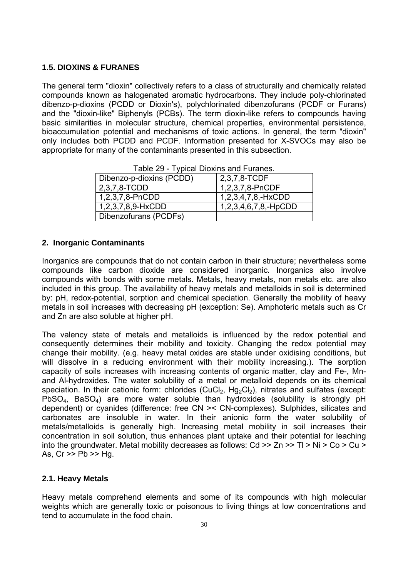# **1.5. DIOXINS & FURANES**

The general term "dioxin" collectively refers to a class of structurally and chemically related compounds known as halogenated aromatic hydrocarbons. They include poly-chlorinated dibenzo-p-dioxins (PCDD or Dioxin's), polychlorinated dibenzofurans (PCDF or Furans) and the "dioxin-like" Biphenyls (PCBs). The term dioxin-like refers to compounds having basic similarities in molecular structure, chemical properties, environmental persistence, bioaccumulation potential and mechanisms of toxic actions. In general, the term "dioxin" only includes both PCDD and PCDF. Information presented for X-SVOCs may also be appropriate for many of the contaminants presented in this subsection.

| Dibenzo-p-dioxins (PCDD) | 2,3,7,8-TCDF              |
|--------------------------|---------------------------|
| 2,3,7,8-TCDD             | 1,2,3,7,8-PnCDF           |
| 1,2,3,7,8-PnCDD          | 1, 2, 3, 4, 7, 8, - HxCDD |
| 1,2,3,7,8,9-HxCDD        | 1,2,3,4,6,7,8,-HpCDD      |
| Dibenzofurans (PCDFs)    |                           |

Table 29 - Typical Dioxins and Furanes.

#### **2. Inorganic Contaminants**

Inorganics are compounds that do not contain carbon in their structure; nevertheless some compounds like carbon dioxide are considered inorganic. Inorganics also involve compounds with bonds with some metals. Metals, heavy metals, non metals etc. are also included in this group. The availability of heavy metals and metalloids in soil is determined by: pH, redox-potential, sorption and chemical speciation. Generally the mobility of heavy metals in soil increases with decreasing pH (exception: Se). Amphoteric metals such as Cr and Zn are also soluble at higher pH.

The valency state of metals and metalloids is influenced by the redox potential and consequently determines their mobility and toxicity. Changing the redox potential may change their mobility. (e.g. heavy metal oxides are stable under oxidising conditions, but will dissolve in a reducing environment with their mobility increasing.). The sorption capacity of soils increases with increasing contents of organic matter, clay and Fe-, Mnand Al-hydroxides. The water solubility of a metal or metalloid depends on its chemical speciation. In their cationic form: chlorides (CuCl<sub>2</sub>, Hg<sub>2</sub>Cl<sub>2</sub>), nitrates and sulfates (except: PbSO4, BaSO4) are more water soluble than hydroxides (solubility is strongly pH dependent) or cyanides (difference: free CN >< CN-complexes). Sulphides, silicates and carbonates are insoluble in water. In their anionic form the water solubility of metals/metalloids is generally high. Increasing metal mobility in soil increases their concentration in soil solution, thus enhances plant uptake and their potential for leaching into the groundwater. Metal mobility decreases as follows: Cd >> Zn >> Tl > Ni > Co > Cu > As, Cr >> Pb >> Hg.

# **2.1. Heavy Metals**

Heavy metals comprehend elements and some of its compounds with high molecular weights which are generally toxic or poisonous to living things at low concentrations and tend to accumulate in the food chain.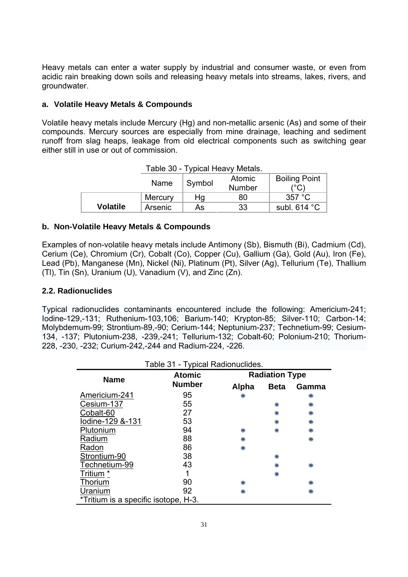Heavy metals can enter a water supply by industrial and consumer waste, or even from acidic rain breaking down soils and releasing heavy metals into streams, lakes, rivers, and groundwater.

# **a. Volatile Heavy Metals & Compounds**

Volatile heavy metals include Mercury (Hg) and non-metallic arsenic (As) and some of their compounds. Mercury sources are especially from mine drainage, leaching and sediment runoff from slag heaps, leakage from old electrical components such as switching gear either still in use or out of commission.

| Name            |         | Symbol | <b>Atomic</b><br><b>Number</b> | <b>Boiling Point</b><br>(°C) |
|-----------------|---------|--------|--------------------------------|------------------------------|
|                 | Mercury | Hq     | 80                             | 357 °C                       |
| <b>Volatile</b> | Arsenic | As     | 33                             | subl. $614 °C$               |

#### **b. Non-Volatile Heavy Metals & Compounds**

Examples of non-volatile heavy metals include Antimony (Sb), Bismuth (Bi), Cadmium (Cd), Cerium (Ce), Chromium (Cr), Cobalt (Co), Copper (Cu), Gallium (Ga), Gold (Au), Iron (Fe), Lead (Pb), Manganese (Mn), Nickel (Ni), Platinum (Pt), Silver (Ag), Tellurium (Te), Thallium (Tl), Tin (Sn), Uranium (U), Vanadium (V), and Zinc (Zn).

#### **2.2. Radionuclides**

Typical radionuclides contaminants encountered include the following: Americium-241; Iodine-129,-131; Ruthenium-103,106; Barium-140; Krypton-85; Silver-110; Carbon-14; Molybdemum-99; Strontium-89,-90; Cerium-144; Neptunium-237; Technetium-99; Cesium-134, -137; Plutonium-238, -239,-241; Tellurium-132; Cobalt-60; Polonium-210; Thorium-228, -230, -232; Curium-242,-244 and Radium-224, -226.

| Table 31 - Typical Radionuclides.    |               |                       |             |       |  |  |
|--------------------------------------|---------------|-----------------------|-------------|-------|--|--|
| <b>Name</b>                          | <b>Atomic</b> | <b>Radiation Type</b> |             |       |  |  |
|                                      | <b>Number</b> | Alpha                 | <b>Beta</b> | Gamma |  |  |
| Americium-241                        | 95            |                       |             |       |  |  |
| Cesium-137                           | 55            |                       |             |       |  |  |
| Cobalt-60                            | 27            |                       |             |       |  |  |
| lodine-129 &-131                     | 53            |                       |             |       |  |  |
| Plutonium                            | 94            |                       |             |       |  |  |
| Radium                               | 88            |                       |             |       |  |  |
| Radon                                | 86            |                       |             |       |  |  |
| Strontium-90                         | 38            |                       |             |       |  |  |
| Technetium-99                        | 43            |                       |             |       |  |  |
| Tritium *                            |               |                       |             |       |  |  |
| Thorium                              | 90            |                       |             |       |  |  |
| Uranium                              | 92            |                       |             |       |  |  |
| *Tritium is a specific isotope, H-3. |               |                       |             |       |  |  |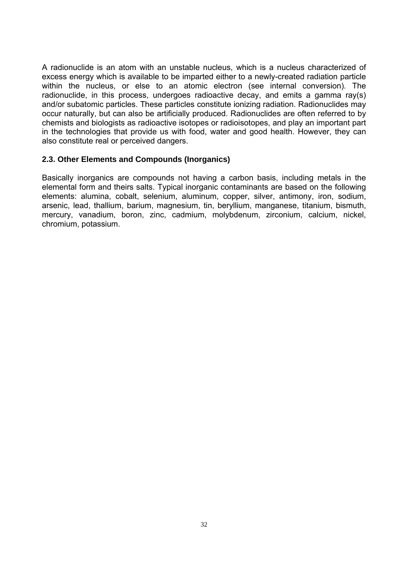A radionuclide is an atom with an unstable nucleus, which is a nucleus characterized of excess energy which is available to be imparted either to a newly-created radiation particle within the nucleus, or else to an atomic electron (see internal conversion). The radionuclide, in this process, undergoes radioactive decay, and emits a gamma ray(s) and/or subatomic particles. These particles constitute ionizing radiation. Radionuclides may occur naturally, but can also be artificially produced. Radionuclides are often referred to by chemists and biologists as radioactive isotopes or radioisotopes, and play an important part in the technologies that provide us with food, water and good health. However, they can also constitute real or perceived dangers.

#### **2.3. Other Elements and Compounds (Inorganics)**

Basically inorganics are compounds not having a carbon basis, including metals in the elemental form and theirs salts. Typical inorganic contaminants are based on the following elements: alumina, cobalt, selenium, aluminum, copper, silver, antimony, iron, sodium, arsenic, lead, thallium, barium, magnesium, tin, beryllium, manganese, titanium, bismuth, mercury, vanadium, boron, zinc, cadmium, molybdenum, zirconium, calcium, nickel, chromium, potassium.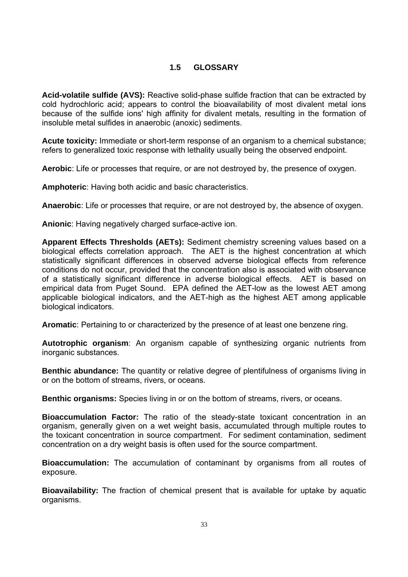# **1.5 GLOSSARY**

**Acid-volatile sulfide (AVS):** Reactive solid-phase sulfide fraction that can be extracted by cold hydrochloric acid; appears to control the bioavailability of most divalent metal ions because of the sulfide ions' high affinity for divalent metals, resulting in the formation of insoluble metal sulfides in anaerobic (anoxic) sediments.

**Acute toxicity:** Immediate or short-term response of an organism to a chemical substance; refers to generalized toxic response with lethality usually being the observed endpoint.

**Aerobic**: Life or processes that require, or are not destroyed by, the presence of oxygen.

**Amphoteric**: Having both acidic and basic characteristics.

**Anaerobic**: Life or processes that require, or are not destroyed by, the absence of oxygen.

**Anionic**: Having negatively charged surface-active ion.

**Apparent Effects Thresholds (AETs):** Sediment chemistry screening values based on a biological effects correlation approach. The AET is the highest concentration at which statistically significant differences in observed adverse biological effects from reference conditions do not occur, provided that the concentration also is associated with observance of a statistically significant difference in adverse biological effects. AET is based on empirical data from Puget Sound. EPA defined the AET-low as the lowest AET among applicable biological indicators, and the AET-high as the highest AET among applicable biological indicators.

**Aromatic**: Pertaining to or characterized by the presence of at least one benzene ring.

**Autotrophic organism**: An organism capable of synthesizing organic nutrients from inorganic substances.

**Benthic abundance:** The quantity or relative degree of plentifulness of organisms living in or on the bottom of streams, rivers, or oceans.

**Benthic organisms:** Species living in or on the bottom of streams, rivers, or oceans.

**Bioaccumulation Factor:** The ratio of the steady-state toxicant concentration in an organism, generally given on a wet weight basis, accumulated through multiple routes to the toxicant concentration in source compartment. For sediment contamination, sediment concentration on a dry weight basis is often used for the source compartment.

**Bioaccumulation:** The accumulation of contaminant by organisms from all routes of exposure.

**Bioavailability:** The fraction of chemical present that is available for uptake by aquatic organisms.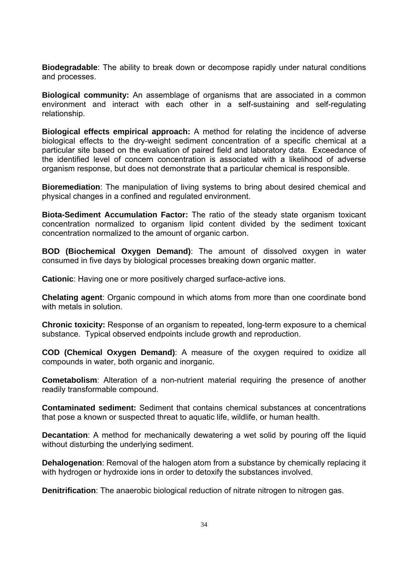**Biodegradable**: The ability to break down or decompose rapidly under natural conditions and processes.

**Biological community:** An assemblage of organisms that are associated in a common environment and interact with each other in a self-sustaining and self-regulating relationship.

**Biological effects empirical approach:** A method for relating the incidence of adverse biological effects to the dry-weight sediment concentration of a specific chemical at a particular site based on the evaluation of paired field and laboratory data. Exceedance of the identified level of concern concentration is associated with a likelihood of adverse organism response, but does not demonstrate that a particular chemical is responsible.

**Bioremediation**: The manipulation of living systems to bring about desired chemical and physical changes in a confined and regulated environment.

**Biota-Sediment Accumulation Factor:** The ratio of the steady state organism toxicant concentration normalized to organism lipid content divided by the sediment toxicant concentration normalized to the amount of organic carbon.

**BOD (Biochemical Oxygen Demand)**: The amount of dissolved oxygen in water consumed in five days by biological processes breaking down organic matter.

**Cationic**: Having one or more positively charged surface-active ions.

**Chelating agent**: Organic compound in which atoms from more than one coordinate bond with metals in solution.

**Chronic toxicity:** Response of an organism to repeated, long-term exposure to a chemical substance. Typical observed endpoints include growth and reproduction.

**COD (Chemical Oxygen Demand)**: A measure of the oxygen required to oxidize all compounds in water, both organic and inorganic.

**Cometabolism**: Alteration of a non-nutrient material requiring the presence of another readily transformable compound.

**Contaminated sediment:** Sediment that contains chemical substances at concentrations that pose a known or suspected threat to aquatic life, wildlife, or human health.

**Decantation**: A method for mechanically dewatering a wet solid by pouring off the liquid without disturbing the underlying sediment.

**Dehalogenation**: Removal of the halogen atom from a substance by chemically replacing it with hydrogen or hydroxide ions in order to detoxify the substances involved.

**Denitrification**: The anaerobic biological reduction of nitrate nitrogen to nitrogen gas.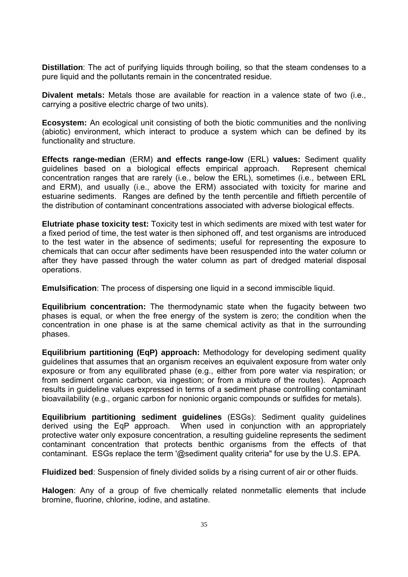**Distillation**: The act of purifying liquids through boiling, so that the steam condenses to a pure liquid and the pollutants remain in the concentrated residue.

**Divalent metals:** Metals those are available for reaction in a valence state of two (i.e., carrying a positive electric charge of two units).

**Ecosystem:** An ecological unit consisting of both the biotic communities and the nonliving (abiotic) environment, which interact to produce a system which can be defined by its functionality and structure.

**Effects range-median** (ERM) **and effects range-low** (ERL) **values:** Sediment quality guidelines based on a biological effects empirical approach. Represent chemical concentration ranges that are rarely (i.e., below the ERL), sometimes (i.e., between ERL and ERM), and usually (i.e., above the ERM) associated with toxicity for marine and estuarine sediments. Ranges are defined by the tenth percentile and fiftieth percentile of the distribution of contaminant concentrations associated with adverse biological effects.

**Elutriate phase toxicity test:** Toxicity test in which sediments are mixed with test water for a fixed period of time, the test water is then siphoned off, and test organisms are introduced to the test water in the absence of sediments; useful for representing the exposure to chemicals that can occur after sediments have been resuspended into the water column or after they have passed through the water column as part of dredged material disposal operations.

**Emulsification**: The process of dispersing one liquid in a second immiscible liquid.

**Equilibrium concentration:** The thermodynamic state when the fugacity between two phases is equal, or when the free energy of the system is zero; the condition when the concentration in one phase is at the same chemical activity as that in the surrounding phases.

**Equilibrium partitioning (EqP) approach:** Methodology for developing sediment quality guidelines that assumes that an organism receives an equivalent exposure from water only exposure or from any equilibrated phase (e.g., either from pore water via respiration; or from sediment organic carbon, via ingestion; or from a mixture of the routes). Approach results in guideline values expressed in terms of a sediment phase controlling contaminant bioavailability (e.g., organic carbon for nonionic organic compounds or sulfides for metals).

**Equilibrium partitioning sediment guidelines** (ESGs): Sediment quality guidelines derived using the EqP approach. When used in conjunction with an appropriately protective water only exposure concentration, a resulting guideline represents the sediment contaminant concentration that protects benthic organisms from the effects of that contaminant. ESGs replace the term '@sediment quality criteria" for use by the U.S. EPA.

**Fluidized bed**: Suspension of finely divided solids by a rising current of air or other fluids.

**Halogen**: Any of a group of five chemically related nonmetallic elements that include bromine, fluorine, chlorine, iodine, and astatine.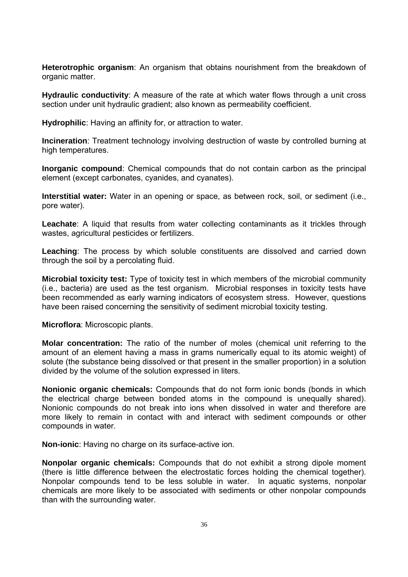**Heterotrophic organism**: An organism that obtains nourishment from the breakdown of organic matter.

**Hydraulic conductivity:** A measure of the rate at which water flows through a unit cross section under unit hydraulic gradient; also known as permeability coefficient.

**Hydrophilic**: Having an affinity for, or attraction to water.

**Incineration**: Treatment technology involving destruction of waste by controlled burning at high temperatures.

**Inorganic compound**: Chemical compounds that do not contain carbon as the principal element (except carbonates, cyanides, and cyanates).

**Interstitial water:** Water in an opening or space, as between rock, soil, or sediment (i.e., pore water).

**Leachate**: A liquid that results from water collecting contaminants as it trickles through wastes, agricultural pesticides or fertilizers.

**Leaching**: The process by which soluble constituents are dissolved and carried down through the soil by a percolating fluid.

**Microbial toxicity test:** Type of toxicity test in which members of the microbial community (i.e., bacteria) are used as the test organism. Microbial responses in toxicity tests have been recommended as early warning indicators of ecosystem stress. However, questions have been raised concerning the sensitivity of sediment microbial toxicity testing.

**Microflora**: Microscopic plants.

**Molar concentration:** The ratio of the number of moles (chemical unit referring to the amount of an element having a mass in grams numerically equal to its atomic weight) of solute (the substance being dissolved or that present in the smaller proportion) in a solution divided by the volume of the solution expressed in liters.

**Nonionic organic chemicals:** Compounds that do not form ionic bonds (bonds in which the electrical charge between bonded atoms in the compound is unequally shared). Nonionic compounds do not break into ions when dissolved in water and therefore are more likely to remain in contact with and interact with sediment compounds or other compounds in water.

**Non-ionic**: Having no charge on its surface-active ion.

**Nonpolar organic chemicals:** Compounds that do not exhibit a strong dipole moment (there is little difference between the electrostatic forces holding the chemical together). Nonpolar compounds tend to be less soluble in water. In aquatic systems, nonpolar chemicals are more likely to be associated with sediments or other nonpolar compounds than with the surrounding water.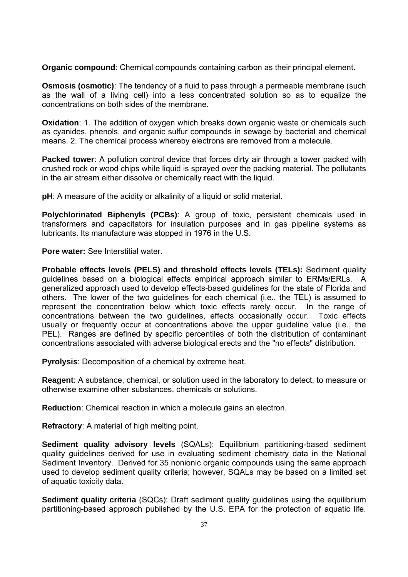**Organic compound**: Chemical compounds containing carbon as their principal element.

**Osmosis (osmotic)**: The tendency of a fluid to pass through a permeable membrane (such as the wall of a living cell) into a less concentrated solution so as to equalize the concentrations on both sides of the membrane.

**Oxidation**: 1. The addition of oxygen which breaks down organic waste or chemicals such as cyanides, phenols, and organic sulfur compounds in sewage by bacterial and chemical means. 2. The chemical process whereby electrons are removed from a molecule.

**Packed tower**: A pollution control device that forces dirty air through a tower packed with crushed rock or wood chips while liquid is sprayed over the packing material. The pollutants in the air stream either dissolve or chemically react with the liquid.

**pH**: A measure of the acidity or alkalinity of a liquid or solid material.

**Polychlorinated Biphenyls (PCBs)**: A group of toxic, persistent chemicals used in transformers and capacitators for insulation purposes and in gas pipeline systems as lubricants. Its manufacture was stopped in 1976 in the U.S.

**Pore water:** See Interstitial water.

**Probable effects levels (PELS) and threshold effects levels (TELs):** Sediment quality guidelines based on a biological effects empirical approach similar to ERMs/ERLs. A generalized approach used to develop effects-based guidelines for the state of Florida and others. The lower of the two guidelines for each chemical (i.e., the TEL) is assumed to represent the concentration below which toxic effects rarely occur. In the range of concentrations between the two guidelines, effects occasionally occur. Toxic effects usually or frequently occur at concentrations above the upper guideline value (i.e., the PEL). Ranges are defined by specific percentiles of both the distribution of contaminant concentrations associated with adverse biological erects and the "no effects" distribution.

**Pyrolysis**: Decomposition of a chemical by extreme heat.

**Reagent**: A substance, chemical, or solution used in the laboratory to detect, to measure or otherwise examine other substances, chemicals or solutions.

**Reduction**: Chemical reaction in which a molecule gains an electron.

**Refractory**: A material of high melting point.

**Sediment quality advisory levels** (SQALs): Equilibrium partitioning-based sediment quality guidelines derived for use in evaluating sediment chemistry data in the National Sediment Inventory. Derived for 35 nonionic organic compounds using the same approach used to develop sediment quality criteria; however, SQALs may be based on a limited set of aquatic toxicity data.

**Sediment quality criteria** (SQCs): Draft sediment quality guidelines using the equilibrium partitioning-based approach published by the U.S. EPA for the protection of aquatic life.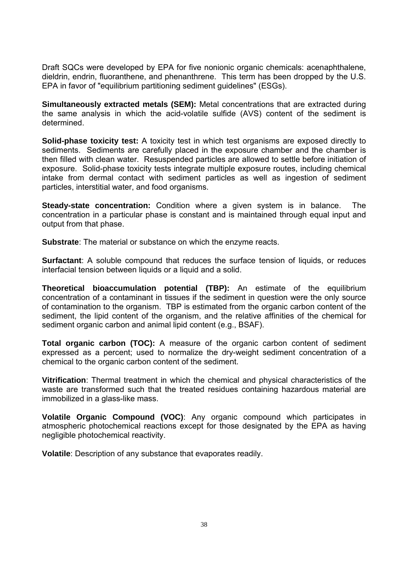Draft SQCs were developed by EPA for five nonionic organic chemicals: acenaphthalene, dieldrin, endrin, fluoranthene, and phenanthrene. This term has been dropped by the U.S. EPA in favor of "equilibrium partitioning sediment guidelines" (ESGs).

**Simultaneously extracted metals (SEM):** Metal concentrations that are extracted during the same analysis in which the acid-volatile sulfide (AVS) content of the sediment is determined.

**Solid-phase toxicity test:** A toxicity test in which test organisms are exposed directly to sediments. Sediments are carefully placed in the exposure chamber and the chamber is then filled with clean water. Resuspended particles are allowed to settle before initiation of exposure. Solid-phase toxicity tests integrate multiple exposure routes, including chemical intake from dermal contact with sediment particles as well as ingestion of sediment particles, interstitial water, and food organisms.

**Steady-state concentration:** Condition where a given system is in balance. The concentration in a particular phase is constant and is maintained through equal input and output from that phase.

**Substrate**: The material or substance on which the enzyme reacts.

**Surfactant**: A soluble compound that reduces the surface tension of liquids, or reduces interfacial tension between liquids or a liquid and a solid.

**Theoretical bioaccumulation potential (TBP):** An estimate of the equilibrium concentration of a contaminant in tissues if the sediment in question were the only source of contamination to the organism. TBP is estimated from the organic carbon content of the sediment, the lipid content of the organism, and the relative affinities of the chemical for sediment organic carbon and animal lipid content (e.g., BSAF).

**Total organic carbon (TOC):** A measure of the organic carbon content of sediment expressed as a percent; used to normalize the dry-weight sediment concentration of a chemical to the organic carbon content of the sediment.

**Vitrification**: Thermal treatment in which the chemical and physical characteristics of the waste are transformed such that the treated residues containing hazardous material are immobilized in a glass-like mass.

**Volatile Organic Compound (VOC)**: Any organic compound which participates in atmospheric photochemical reactions except for those designated by the EPA as having negligible photochemical reactivity.

**Volatile**: Description of any substance that evaporates readily.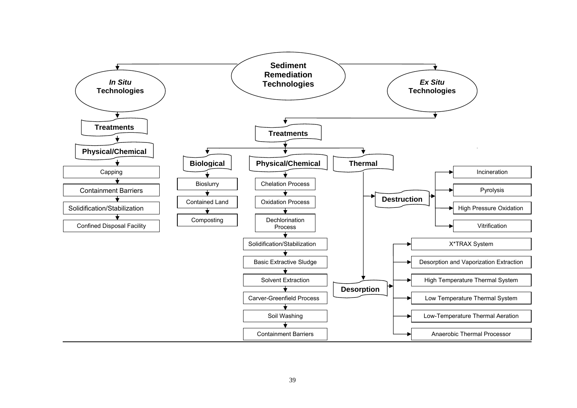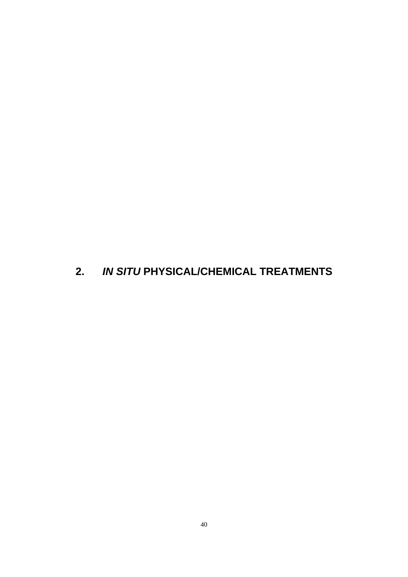# **2.** *IN SITU* **PHYSICAL/CHEMICAL TREATMENTS**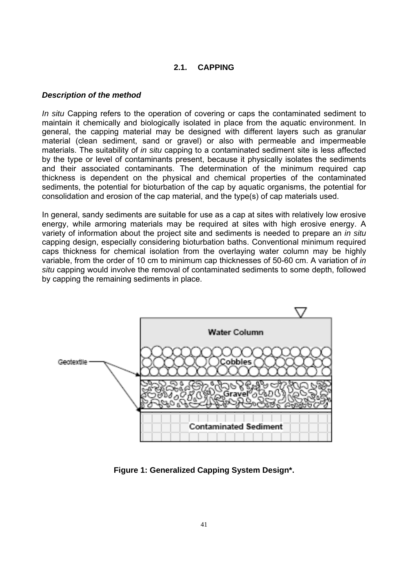## **2.1. CAPPING**

#### *Description of the method*

*In situ* Capping refers to the operation of covering or caps the contaminated sediment to maintain it chemically and biologically isolated in place from the aquatic environment. In general, the capping material may be designed with different layers such as granular material (clean sediment, sand or gravel) or also with permeable and impermeable materials. The suitability of *in situ* capping to a contaminated sediment site is less affected by the type or level of contaminants present, because it physically isolates the sediments and their associated contaminants. The determination of the minimum required cap thickness is dependent on the physical and chemical properties of the contaminated sediments, the potential for bioturbation of the cap by aquatic organisms, the potential for consolidation and erosion of the cap material, and the type(s) of cap materials used.

In general, sandy sediments are suitable for use as a cap at sites with relatively low erosive energy, while armoring materials may be required at sites with high erosive energy. A variety of information about the project site and sediments is needed to prepare an *in situ* capping design, especially considering bioturbation baths. Conventional minimum required caps thickness for chemical isolation from the overlaying water column may be highly variable, from the order of 10 cm to minimum cap thicknesses of 50-60 cm. A variation of *in situ* capping would involve the removal of contaminated sediments to some depth, followed by capping the remaining sediments in place.



**Figure 1: Generalized Capping System Design\*.**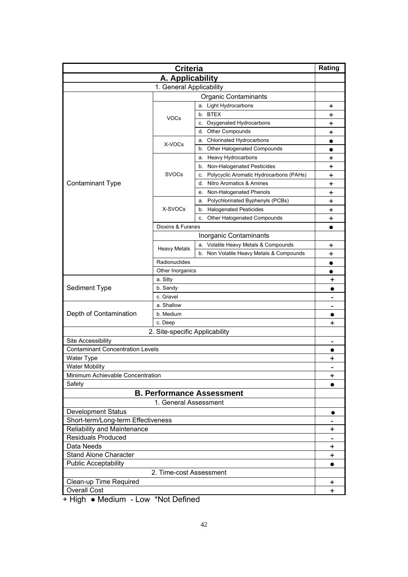| <b>Criteria</b>                         |                                |                                               | Rating    |
|-----------------------------------------|--------------------------------|-----------------------------------------------|-----------|
| A. Applicability                        |                                |                                               |           |
| 1. General Applicability                |                                |                                               |           |
| <b>Organic Contaminants</b>             |                                |                                               |           |
|                                         |                                | a. Light Hydrocarbons                         | +         |
|                                         |                                | b. BTEX                                       | +         |
|                                         | <b>VOCs</b>                    | c. Oxygenated Hydrocarbons                    | +         |
|                                         |                                | Other Compounds<br>d.                         | $\ddot{}$ |
|                                         |                                | <b>Chlorinated Hydrocarbons</b><br>а.         | $\bullet$ |
|                                         | X-VOCs                         | Other Halogenated Compounds<br>b.             | $\bullet$ |
|                                         |                                | <b>Heavy Hydrocarbons</b><br>a.               | $\ddot{}$ |
|                                         |                                | b. Non-Halogenated Pesticides                 | +         |
|                                         | <b>SVOCs</b>                   | Polycyclic Aromatic Hydrocarbons (PAHs)<br>c. | $\ddag$   |
| <b>Contaminant Type</b>                 |                                | Nitro Aromatics & Amines<br>d.                | $\ddot{}$ |
|                                         |                                | Non-Halogenated Phenols<br>е.                 | $\ddag$   |
|                                         |                                | Polychlorinated Byphenyls (PCBs)<br>а.        | $\ddag$   |
|                                         | X-SVOCs                        | <b>Halogenated Pesticides</b><br>b.           | $\ddot{}$ |
|                                         |                                | Other Halogenated Compounds<br>c.             | $\ddot{}$ |
|                                         | Dioxins & Furanes              |                                               | $\bullet$ |
|                                         |                                | Inorganic Contaminants                        |           |
|                                         |                                | a. Volatile Heavy Metals & Compounds          | +         |
|                                         | <b>Heavy Metals</b>            | b. Non Volatile Heavy Metals & Compounds      | +         |
|                                         | Radionuclides                  |                                               | $\bullet$ |
|                                         | Other Inorganics               |                                               |           |
|                                         | a. Silty                       |                                               | +         |
| Sediment Type                           | b. Sandy                       |                                               | 0         |
|                                         | c. Gravel                      |                                               |           |
|                                         | a. Shallow                     |                                               |           |
| Depth of Contamination                  | b. Medium                      |                                               | $\bullet$ |
|                                         | c. Deep                        | +                                             |           |
|                                         | 2. Site-specific Applicability |                                               |           |
| Site Accessibility                      |                                |                                               |           |
| <b>Contaminant Concentration Levels</b> |                                |                                               |           |
| Water Type                              |                                |                                               | +         |
| <b>Water Mobility</b>                   |                                |                                               |           |
| Minimum Achievable Concentration        |                                |                                               | +         |
| Safety                                  |                                |                                               |           |
|                                         |                                | <b>B. Performance Assessment</b>              |           |
|                                         | 1. General Assessment          |                                               |           |
| <b>Development Status</b>               |                                |                                               | $\bullet$ |
| Short-term/Long-term Effectiveness      |                                |                                               | -         |
| <b>Reliability and Maintenance</b>      |                                |                                               | +         |
| <b>Residuals Produced</b>               |                                |                                               |           |
| Data Needs                              |                                |                                               | +         |
| Stand Alone Character                   |                                |                                               | $\ddag$   |
| <b>Public Acceptability</b>             |                                |                                               | $\bullet$ |
| 2. Time-cost Assessment                 |                                |                                               |           |
| Clean-up Time Required                  |                                |                                               | +         |
| <b>Overall Cost</b>                     |                                |                                               | $\ddot{}$ |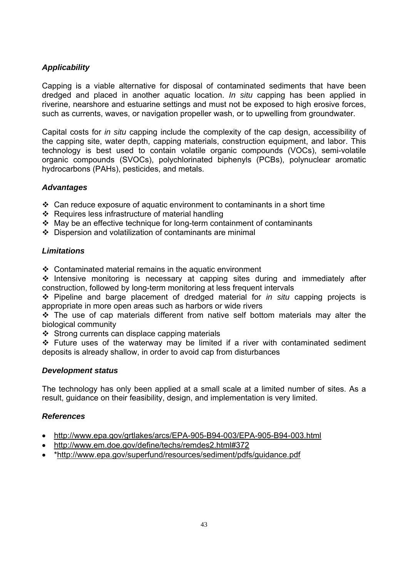Capping is a viable alternative for disposal of contaminated sediments that have been dredged and placed in another aquatic location. *In situ* capping has been applied in riverine, nearshore and estuarine settings and must not be exposed to high erosive forces, such as currents, waves, or navigation propeller wash, or to upwelling from groundwater.

Capital costs for *in situ* capping include the complexity of the cap design, accessibility of the capping site, water depth, capping materials, construction equipment, and labor. This technology is best used to contain volatile organic compounds (VOCs), semi-volatile organic compounds (SVOCs), polychlorinated biphenyls (PCBs), polynuclear aromatic hydrocarbons (PAHs), pesticides, and metals.

#### *Advantages*

- $\div$  Can reduce exposure of aquatic environment to contaminants in a short time
- ❖ Requires less infrastructure of material handling
- May be an effective technique for long-term containment of contaminants
- $\div$  Dispersion and volatilization of contaminants are minimal

## *Limitations*

 $\div$  Contaminated material remains in the aquatic environment

\* Intensive monitoring is necessary at capping sites during and immediately after construction, followed by long-term monitoring at less frequent intervals

 Pipeline and barge placement of dredged material for *in situ* capping projects is appropriate in more open areas such as harbors or wide rivers

 $\div$  The use of cap materials different from native self bottom materials may alter the biological community

 $\div$  Strong currents can displace capping materials

 $\div$  Future uses of the waterway may be limited if a river with contaminated sediment deposits is already shallow, in order to avoid cap from disturbances

#### *Development status*

The technology has only been applied at a small scale at a limited number of sites. As a result, guidance on their feasibility, design, and implementation is very limited.

- http://www.epa.gov/grtlakes/arcs/EPA-905-B94-003/EPA-905-B94-003.html
- http://www.em.doe.gov/define/techs/remdes2.html#372
- \*http://www.epa.gov/superfund/resources/sediment/pdfs/guidance.pdf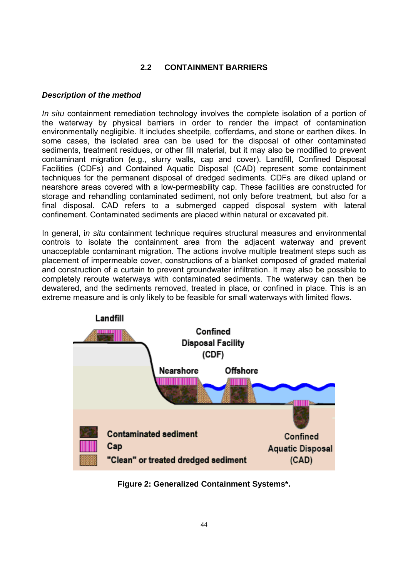# **2.2 CONTAINMENT BARRIERS**

#### *Description of the method*

*In situ* containment remediation technology involves the complete isolation of a portion of the waterway by physical barriers in order to render the impact of contamination environmentally negligible. It includes sheetpile, cofferdams, and stone or earthen dikes. In some cases, the isolated area can be used for the disposal of other contaminated sediments, treatment residues, or other fill material, but it may also be modified to prevent contaminant migration (e.g., slurry walls, cap and cover). Landfill, Confined Disposal Facilities (CDFs) and Contained Aquatic Disposal (CAD) represent some containment techniques for the permanent disposal of dredged sediments. CDFs are diked upland or nearshore areas covered with a low-permeability cap. These facilities are constructed for storage and rehandling contaminated sediment, not only before treatment, but also for a final disposal. CAD refers to a submerged capped disposal system with lateral confinement. Contaminated sediments are placed within natural or excavated pit.

In general, i*n situ* containment technique requires structural measures and environmental controls to isolate the containment area from the adjacent waterway and prevent unacceptable contaminant migration. The actions involve multiple treatment steps such as placement of impermeable cover, constructions of a blanket composed of graded material and construction of a curtain to prevent groundwater infiltration. It may also be possible to completely reroute waterways with contaminated sediments. The waterway can then be dewatered, and the sediments removed, treated in place, or confined in place. This is an extreme measure and is only likely to be feasible for small waterways with limited flows.



**Figure 2: Generalized Containment Systems\*.**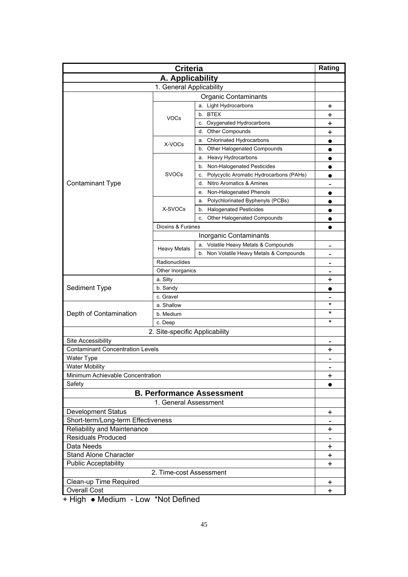| <b>Criteria</b>                         |                                |                                               | Rating                                |  |
|-----------------------------------------|--------------------------------|-----------------------------------------------|---------------------------------------|--|
| A. Applicability                        |                                |                                               |                                       |  |
|                                         | 1. General Applicability       |                                               |                                       |  |
| <b>Organic Contaminants</b>             |                                |                                               |                                       |  |
|                                         |                                | a. Light Hydrocarbons                         | +                                     |  |
|                                         |                                | b. BTEX                                       | +                                     |  |
|                                         | <b>VOCs</b>                    | c. Oxygenated Hydrocarbons                    | +                                     |  |
|                                         |                                | Other Compounds<br>d.                         | +                                     |  |
|                                         |                                | <b>Chlorinated Hydrocarbons</b><br>а.         | $\bullet$                             |  |
|                                         | X-VOCs                         | Other Halogenated Compounds<br>b.             | $\bullet$                             |  |
|                                         |                                | Heavy Hydrocarbons<br>a.                      | $\bullet$                             |  |
|                                         |                                | b. Non-Halogenated Pesticides                 |                                       |  |
|                                         | <b>SVOCs</b>                   | Polycyclic Aromatic Hydrocarbons (PAHs)<br>c. | $\bullet$                             |  |
| <b>Contaminant Type</b>                 |                                | d. Nitro Aromatics & Amines                   |                                       |  |
|                                         |                                | Non-Halogenated Phenols<br>е.                 | $\bullet$                             |  |
|                                         |                                | Polychlorinated Byphenyls (PCBs)<br>а.        | $\bullet$                             |  |
|                                         | X-SVOCs                        | <b>Halogenated Pesticides</b><br>b.           |                                       |  |
|                                         |                                | Other Halogenated Compounds<br>c.             | $\bullet$                             |  |
|                                         | Dioxins & Furanes              |                                               | $\bullet$                             |  |
|                                         |                                | Inorganic Contaminants                        |                                       |  |
|                                         |                                | a. Volatile Heavy Metals & Compounds          | $\qquad \qquad$                       |  |
|                                         | <b>Heavy Metals</b>            | b. Non Volatile Heavy Metals & Compounds      |                                       |  |
|                                         | Radionuclides                  |                                               |                                       |  |
|                                         | Other Inorganics               |                                               | -                                     |  |
|                                         | a. Silty                       |                                               | +                                     |  |
| Sediment Type                           | b. Sandy                       |                                               |                                       |  |
|                                         | c. Gravel                      |                                               |                                       |  |
|                                         | a. Shallow                     |                                               | $\star$                               |  |
| Depth of Contamination                  | b. Medium                      |                                               | *                                     |  |
|                                         | c. Deep                        | $\star$                                       |                                       |  |
|                                         | 2. Site-specific Applicability |                                               |                                       |  |
| Site Accessibility                      |                                |                                               |                                       |  |
| <b>Contaminant Concentration Levels</b> |                                |                                               | $\overline{\phantom{0}}$<br>$\ddot{}$ |  |
| Water Type                              |                                |                                               | $\qquad \qquad \blacksquare$          |  |
| <b>Water Mobility</b>                   |                                |                                               |                                       |  |
| Minimum Achievable Concentration        |                                |                                               | +                                     |  |
| Safety                                  |                                |                                               | $\bullet$                             |  |
|                                         |                                | <b>B. Performance Assessment</b>              |                                       |  |
|                                         | 1. General Assessment          |                                               |                                       |  |
| <b>Development Status</b>               |                                |                                               | +                                     |  |
| Short-term/Long-term Effectiveness      |                                |                                               | $\overline{\phantom{0}}$              |  |
| Reliability and Maintenance             |                                |                                               | +                                     |  |
| <b>Residuals Produced</b>               |                                |                                               | $\qquad \qquad$                       |  |
| Data Needs                              |                                |                                               | $\ddot{}$                             |  |
| Stand Alone Character                   |                                |                                               | $\pmb{+}$                             |  |
| <b>Public Acceptability</b>             |                                |                                               | $\ddot{}$                             |  |
| 2. Time-cost Assessment                 |                                |                                               |                                       |  |
| Clean-up Time Required                  |                                |                                               | +                                     |  |
| <b>Overall Cost</b>                     |                                |                                               | $\ddot{}$                             |  |
|                                         |                                |                                               |                                       |  |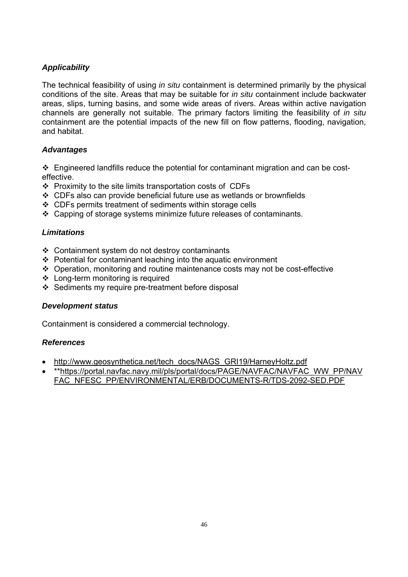The technical feasibility of using *in situ* containment is determined primarily by the physical conditions of the site. Areas that may be suitable for *in situ* containment include backwater areas, slips, turning basins, and some wide areas of rivers. Areas within active navigation channels are generally not suitable. The primary factors limiting the feasibility of *in situ* containment are the potential impacts of the new fill on flow patterns, flooding, navigation, and habitat.

# *Advantages*

 Engineered landfills reduce the potential for contaminant migration and can be costeffective.

- $\div$  Proximity to the site limits transportation costs of CDFs
- CDFs also can provide beneficial future use as wetlands or brownfields
- CDFs permits treatment of sediments within storage cells
- Capping of storage systems minimize future releases of contaminants.

## *Limitations*

- Containment system do not destroy contaminants
- Potential for contaminant leaching into the aquatic environment
- Operation, monitoring and routine maintenance costs may not be cost-effective
- Long-term monitoring is required
- $\div$  Sediments my require pre-treatment before disposal

#### *Development status*

Containment is considered a commercial technology.

- http://www.geosynthetica.net/tech\_docs/NAGS\_GRI19/HarneyHoltz.pdf
- \*\*https://portal.navfac.navy.mil/pls/portal/docs/PAGE/NAVFAC/NAVFAC\_WW\_PP/NAV FAC\_NFESC\_PP/ENVIRONMENTAL/ERB/DOCUMENTS-R/TDS-2092-SED.PDF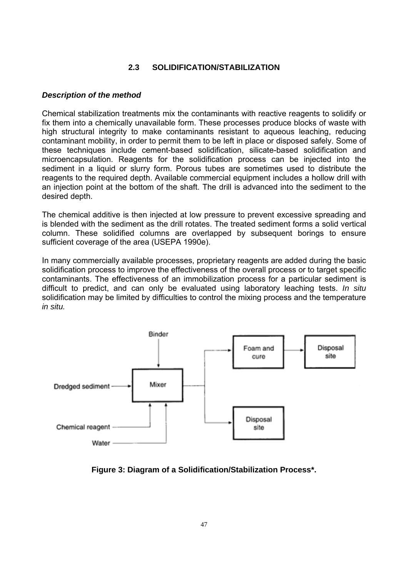## **2.3 SOLIDIFICATION/STABILIZATION**

#### *Description of the method*

Chemical stabilization treatments mix the contaminants with reactive reagents to solidify or fix them into a chemically unavailable form. These processes produce blocks of waste with high structural integrity to make contaminants resistant to aqueous leaching, reducing contaminant mobility, in order to permit them to be left in place or disposed safely. Some of these techniques include cement-based solidification, silicate-based solidification and microencapsulation. Reagents for the solidification process can be injected into the sediment in a liquid or slurry form. Porous tubes are sometimes used to distribute the reagents to the required depth. Available commercial equipment includes a hollow drill with an injection point at the bottom of the shaft. The drill is advanced into the sediment to the desired depth.

The chemical additive is then injected at low pressure to prevent excessive spreading and is blended with the sediment as the drill rotates. The treated sediment forms a solid vertical column. These solidified columns are overlapped by subsequent borings to ensure sufficient coverage of the area (USEPA 1990e).

In many commercially available processes, proprietary reagents are added during the basic solidification process to improve the effectiveness of the overall process or to target specific contaminants. The effectiveness of an immobilization process for a particular sediment is difficult to predict, and can only be evaluated using laboratory leaching tests. *In situ* solidification may be limited by difficulties to control the mixing process and the temperature *in situ.*



**Figure 3: Diagram of a Solidification/Stabilization Process\*.**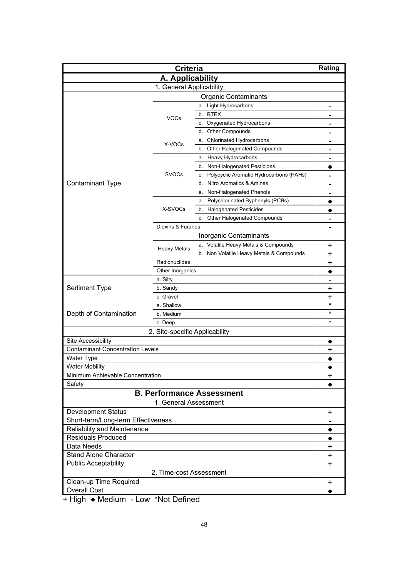| <b>Criteria</b>                         |                                                           |                                               | Rating                       |
|-----------------------------------------|-----------------------------------------------------------|-----------------------------------------------|------------------------------|
| A. Applicability                        |                                                           |                                               |                              |
|                                         | 1. General Applicability                                  |                                               |                              |
| <b>Organic Contaminants</b>             |                                                           |                                               |                              |
|                                         |                                                           | a. Light Hydrocarbons                         |                              |
|                                         |                                                           | b. BTEX                                       |                              |
|                                         | <b>VOCs</b>                                               | c. Oxygenated Hydrocarbons                    | $\qquad \qquad$              |
|                                         |                                                           | <b>Other Compounds</b><br>d.                  | $\qquad \qquad$              |
|                                         |                                                           | <b>Chlorinated Hydrocarbons</b><br>а.         | $\qquad \qquad \blacksquare$ |
|                                         | X-VOCs                                                    | b. Other Halogenated Compounds                |                              |
|                                         |                                                           | a. Heavy Hydrocarbons                         | $\qquad \qquad$              |
|                                         |                                                           | b. Non-Halogenated Pesticides                 | $\bullet$                    |
|                                         | <b>SVOCs</b>                                              | Polycyclic Aromatic Hydrocarbons (PAHs)<br>c. | $\qquad \qquad \blacksquare$ |
| <b>Contaminant Type</b>                 |                                                           | Nitro Aromatics & Amines<br>d.                | $\qquad \qquad \blacksquare$ |
|                                         |                                                           | Non-Halogenated Phenols<br>е.                 |                              |
|                                         |                                                           | Polychlorinated Byphenyls (PCBs)<br>а.        |                              |
|                                         | X-SVOCs                                                   | <b>Halogenated Pesticides</b><br>b.           |                              |
|                                         |                                                           | Other Halogenated Compounds<br>c.             | $\qquad \qquad$              |
|                                         | Dioxins & Furanes                                         |                                               | $\qquad \qquad$              |
|                                         |                                                           | Inorganic Contaminants                        |                              |
|                                         |                                                           | a. Volatile Heavy Metals & Compounds          |                              |
|                                         | <b>Heavy Metals</b>                                       |                                               | +                            |
|                                         | b. Non Volatile Heavy Metals & Compounds<br>Radionuclides |                                               | +                            |
|                                         | Other Inorganics                                          |                                               | +                            |
|                                         | a. Silty                                                  |                                               |                              |
|                                         | b. Sandy                                                  |                                               | $\qquad \qquad$              |
| Sediment Type                           | c. Gravel                                                 |                                               | +                            |
|                                         |                                                           |                                               | +<br>$\star$                 |
|                                         | a. Shallow<br>b. Medium                                   |                                               | $^\star$                     |
| Depth of Contamination                  |                                                           |                                               | *                            |
|                                         | c. Deep                                                   |                                               |                              |
| 2. Site-specific Applicability          |                                                           |                                               |                              |
| Site Accessibility                      |                                                           |                                               | $\bullet$                    |
| <b>Contaminant Concentration Levels</b> |                                                           |                                               | +                            |
| <b>Water Type</b>                       |                                                           |                                               |                              |
| <b>Water Mobility</b>                   |                                                           |                                               |                              |
| Minimum Achievable Concentration        |                                                           |                                               | +                            |
| Safety                                  |                                                           |                                               | $\bullet$                    |
|                                         |                                                           | <b>B. Performance Assessment</b>              |                              |
|                                         | 1. General Assessment                                     |                                               |                              |
| <b>Development Status</b>               |                                                           |                                               | $\ddot{}$                    |
| Short-term/Long-term Effectiveness      |                                                           |                                               |                              |
| Reliability and Maintenance             |                                                           |                                               | $\bullet$                    |
| <b>Residuals Produced</b>               |                                                           |                                               |                              |
| Data Needs                              |                                                           |                                               | $\ddot{}$                    |
| <b>Stand Alone Character</b>            |                                                           |                                               | $\ddot{}$                    |
| <b>Public Acceptability</b>             |                                                           |                                               | +                            |
| 2. Time-cost Assessment                 |                                                           |                                               |                              |
| Clean-up Time Required                  |                                                           |                                               | $\ddot{}$                    |
| <b>Overall Cost</b>                     |                                                           |                                               | $\bullet$                    |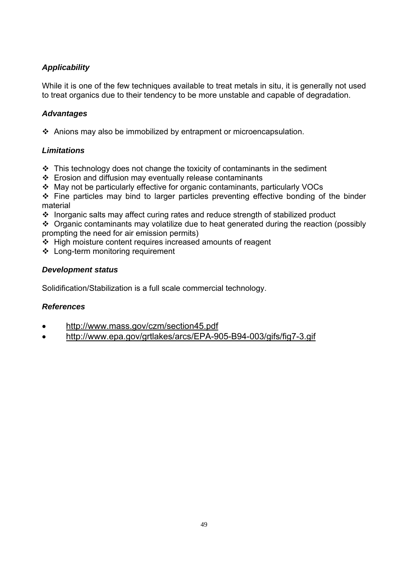While it is one of the few techniques available to treat metals in situ, it is generally not used to treat organics due to their tendency to be more unstable and capable of degradation.

# *Advantages*

Anions may also be immobilized by entrapment or microencapsulation.

# *Limitations*

- $\cdot$  This technology does not change the toxicity of contaminants in the sediment
- $\div$  Erosion and diffusion may eventually release contaminants
- May not be particularly effective for organic contaminants, particularly VOCs

 $\div$  Fine particles may bind to larger particles preventing effective bonding of the binder material

Inorganic salts may affect curing rates and reduce strength of stabilized product

 $\cdot$  Organic contaminants may volatilize due to heat generated during the reaction (possibly prompting the need for air emission permits)

- $\div$  High moisture content requires increased amounts of reagent
- Long-term monitoring requirement

## *Development status*

Solidification/Stabilization is a full scale commercial technology.

- http://www.mass.gov/czm/section45.pdf
- http://www.epa.gov/grtlakes/arcs/EPA-905-B94-003/gifs/fig7-3.gif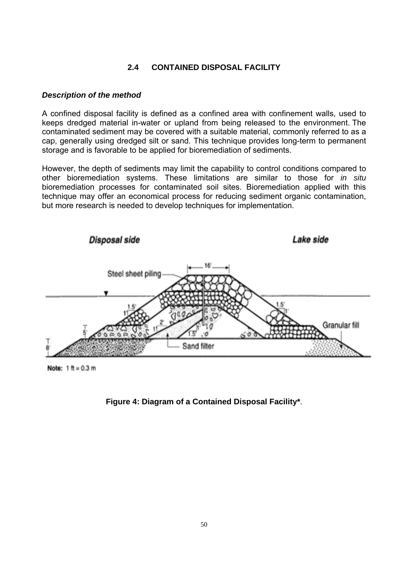# **2.4 CONTAINED DISPOSAL FACILITY**

#### *Description of the method*

A confined disposal facility is defined as a confined area with confinement walls, used to keeps dredged material in-water or upland from being released to the environment. The contaminated sediment may be covered with a suitable material, commonly referred to as a cap, generally using dredged silt or sand. This technique provides long-term to permanent storage and is favorable to be applied for bioremediation of sediments.

However, the depth of sediments may limit the capability to control conditions compared to other bioremediation systems. These limitations are similar to those for *in situ* bioremediation processes for contaminated soil sites. Bioremediation applied with this technique may offer an economical process for reducing sediment organic contamination, but more research is needed to develop techniques for implementation.



Note:  $1$  ft = 0.3 m

**Figure 4: Diagram of a Contained Disposal Facility\***.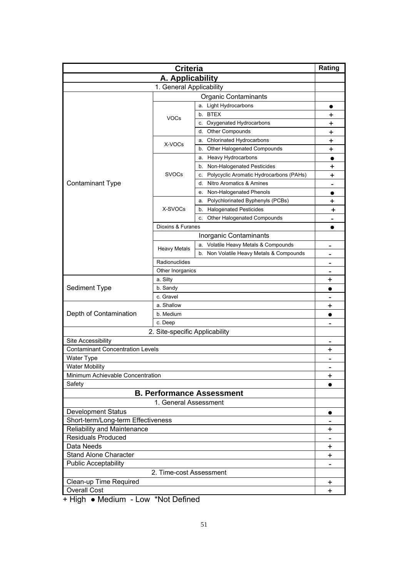| <b>Criteria</b>                                               |                       | Rating                                        |                          |
|---------------------------------------------------------------|-----------------------|-----------------------------------------------|--------------------------|
| A. Applicability                                              |                       |                                               |                          |
| 1. General Applicability                                      |                       |                                               |                          |
| <b>Organic Contaminants</b>                                   |                       |                                               |                          |
|                                                               |                       | a. Light Hydrocarbons                         | $\bullet$                |
|                                                               |                       | b. BTEX                                       | +                        |
|                                                               | <b>VOCs</b>           | c. Oxygenated Hydrocarbons                    | +                        |
|                                                               |                       | <b>Other Compounds</b><br>d.                  | +                        |
|                                                               | X-VOCs                | Chlorinated Hydrocarbons<br>а.                | $\ddot{}$                |
|                                                               |                       | b. Other Halogenated Compounds                | +                        |
|                                                               |                       | a. Heavy Hydrocarbons                         | $\bullet$                |
|                                                               |                       | b. Non-Halogenated Pesticides                 | ┿                        |
|                                                               | <b>SVOCs</b>          | Polycyclic Aromatic Hydrocarbons (PAHs)<br>c. | +                        |
| <b>Contaminant Type</b>                                       |                       | Nitro Aromatics & Amines<br>d.                | $\blacksquare$           |
|                                                               |                       | Non-Halogenated Phenols<br>е.                 | $\bullet$                |
|                                                               |                       | Polychlorinated Byphenyls (PCBs)<br>а.        | $\pmb{+}$                |
|                                                               | X-SVOCs               | <b>Halogenated Pesticides</b><br>b.           | +                        |
|                                                               |                       | Other Halogenated Compounds<br>c.             | $\overline{\phantom{0}}$ |
|                                                               | Dioxins & Furanes     |                                               | 0                        |
|                                                               |                       | Inorganic Contaminants                        |                          |
|                                                               |                       | a. Volatile Heavy Metals & Compounds          |                          |
|                                                               | <b>Heavy Metals</b>   | b. Non Volatile Heavy Metals & Compounds      | $\qquad \qquad$          |
|                                                               | Radionuclides         |                                               |                          |
|                                                               | Other Inorganics      |                                               |                          |
|                                                               | a. Silty              |                                               | +                        |
| Sediment Type                                                 | b. Sandy              |                                               |                          |
|                                                               | c. Gravel             |                                               |                          |
|                                                               | a. Shallow            |                                               | +                        |
| Depth of Contamination                                        | b. Medium             |                                               | $\bullet$                |
|                                                               | c. Deep               |                                               |                          |
|                                                               |                       |                                               |                          |
| 2. Site-specific Applicability                                |                       |                                               |                          |
| Site Accessibility<br><b>Contaminant Concentration Levels</b> |                       |                                               | $\overline{\phantom{0}}$ |
|                                                               |                       |                                               | $\ddot{}$                |
| <b>Water Type</b><br><b>Water Mobility</b>                    |                       |                                               | $\overline{\phantom{a}}$ |
| Minimum Achievable Concentration                              |                       |                                               |                          |
| Safety                                                        |                       |                                               | $\ddot{}$                |
|                                                               |                       | <b>B. Performance Assessment</b>              | $\bullet$                |
|                                                               |                       |                                               |                          |
|                                                               | 1. General Assessment |                                               |                          |
| <b>Development Status</b>                                     |                       |                                               | $\bullet$                |
| Short-term/Long-term Effectiveness                            |                       |                                               |                          |
| Reliability and Maintenance                                   |                       |                                               | +                        |
| <b>Residuals Produced</b>                                     |                       |                                               |                          |
| Data Needs                                                    |                       |                                               | $\ddot{}$                |
| <b>Stand Alone Character</b>                                  |                       |                                               | $\ddot{}$                |
| <b>Public Acceptability</b>                                   |                       |                                               |                          |
| 2. Time-cost Assessment                                       |                       |                                               |                          |
| Clean-up Time Required                                        |                       |                                               | $\ddot{}$                |
| <b>Overall Cost</b>                                           |                       |                                               | $\ddot{}$                |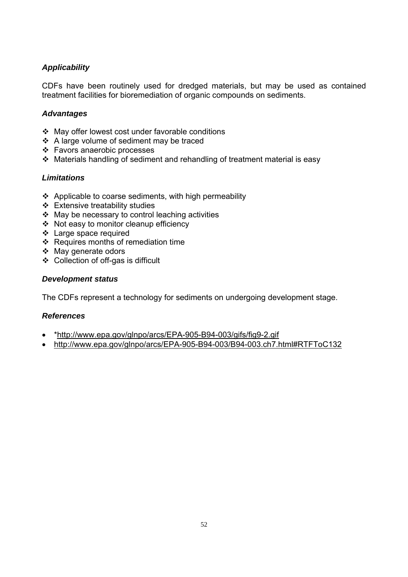CDFs have been routinely used for dredged materials, but may be used as contained treatment facilities for bioremediation of organic compounds on sediments.

## *Advantages*

- May offer lowest cost under favorable conditions
- ❖ A large volume of sediment may be traced
- Favors anaerobic processes
- Materials handling of sediment and rehandling of treatment material is easy

## *Limitations*

- $\triangle$  Applicable to coarse sediments, with high permeability
- $\div$  Extensive treatability studies
- May be necessary to control leaching activities
- Not easy to monitor cleanup efficiency
- Large space required
- ❖ Requires months of remediation time
- ❖ May generate odors
- Collection of off-gas is difficult

#### *Development status*

The CDFs represent a technology for sediments on undergoing development stage.

- \*http://www.epa.gov/glnpo/arcs/EPA-905-B94-003/gifs/fig9-2.gif
- http://www.epa.gov/glnpo/arcs/EPA-905-B94-003/B94-003.ch7.html#RTFToC132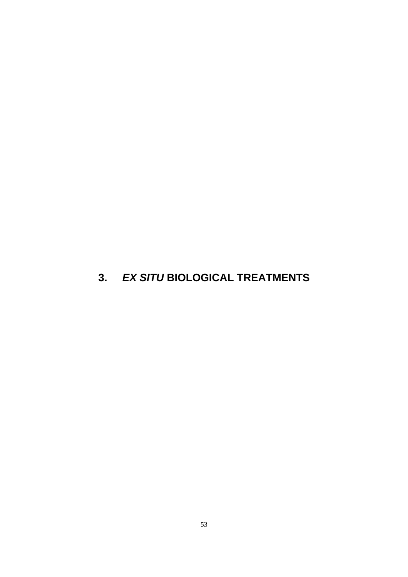# **3.** *EX SITU* **BIOLOGICAL TREATMENTS**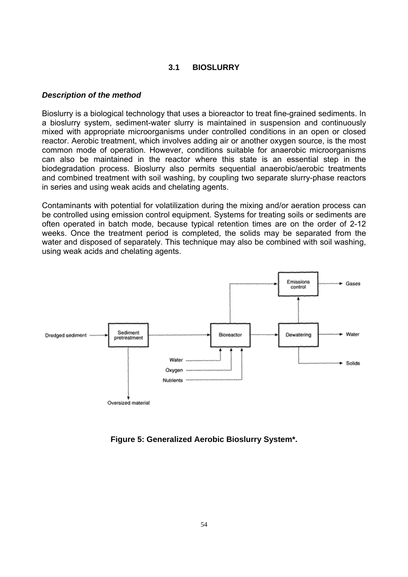#### **3.1 BIOSLURRY**

#### *Description of the method*

Bioslurry is a biological technology that uses a bioreactor to treat fine-grained sediments. In a bioslurry system, sediment-water slurry is maintained in suspension and continuously mixed with appropriate microorganisms under controlled conditions in an open or closed reactor. Aerobic treatment, which involves adding air or another oxygen source, is the most common mode of operation. However, conditions suitable for anaerobic microorganisms can also be maintained in the reactor where this state is an essential step in the biodegradation process. Bioslurry also permits sequential anaerobic/aerobic treatments and combined treatment with soil washing, by coupling two separate slurry-phase reactors in series and using weak acids and chelating agents.

Contaminants with potential for volatilization during the mixing and/or aeration process can be controlled using emission control equipment. Systems for treating soils or sediments are often operated in batch mode, because typical retention times are on the order of 2-12 weeks. Once the treatment period is completed, the solids may be separated from the water and disposed of separately. This technique may also be combined with soil washing, using weak acids and chelating agents.



**Figure 5: Generalized Aerobic Bioslurry System\*.**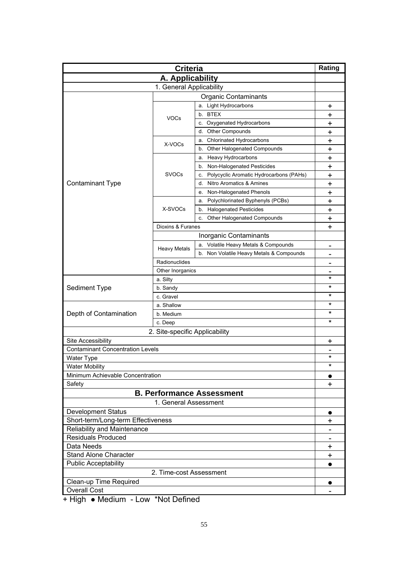| <b>Criteria</b>                         |                                |                                               | Rating                   |  |
|-----------------------------------------|--------------------------------|-----------------------------------------------|--------------------------|--|
| A. Applicability                        |                                |                                               |                          |  |
|                                         | 1. General Applicability       |                                               |                          |  |
| <b>Organic Contaminants</b>             |                                |                                               |                          |  |
|                                         |                                | a. Light Hydrocarbons                         | +                        |  |
|                                         |                                | b. BTEX                                       | +                        |  |
|                                         | <b>VOCs</b>                    | c. Oxygenated Hydrocarbons                    | +                        |  |
|                                         |                                | <b>Other Compounds</b><br>d.                  | +                        |  |
|                                         | X-VOCs                         | <b>Chlorinated Hydrocarbons</b><br>а.         | +                        |  |
|                                         |                                | b. Other Halogenated Compounds                | +                        |  |
|                                         |                                | a. Heavy Hydrocarbons                         | +                        |  |
|                                         |                                | b. Non-Halogenated Pesticides                 | +                        |  |
|                                         | <b>SVOCs</b>                   | Polycyclic Aromatic Hydrocarbons (PAHs)<br>c. | +                        |  |
| <b>Contaminant Type</b>                 |                                | Nitro Aromatics & Amines<br>d.                | +                        |  |
|                                         |                                | Non-Halogenated Phenols<br>е.                 | +                        |  |
|                                         |                                | Polychlorinated Byphenyls (PCBs)<br>а.        | $\ddot{}$                |  |
|                                         | X-SVOCs                        | <b>Halogenated Pesticides</b><br>b.           | $\ddot{}$                |  |
|                                         |                                | Other Halogenated Compounds<br>c.             | +                        |  |
|                                         | Dioxins & Furanes              |                                               | $\ddot{}$                |  |
|                                         |                                | Inorganic Contaminants                        |                          |  |
|                                         |                                | a. Volatile Heavy Metals & Compounds          | $\blacksquare$           |  |
|                                         | <b>Heavy Metals</b>            | b. Non Volatile Heavy Metals & Compounds      |                          |  |
|                                         | Radionuclides                  |                                               |                          |  |
|                                         | Other Inorganics               |                                               |                          |  |
|                                         | a. Silty                       |                                               | *                        |  |
| Sediment Type                           | b. Sandy                       |                                               | $^\star$                 |  |
|                                         | c. Gravel                      |                                               | *                        |  |
|                                         | a. Shallow                     |                                               | *                        |  |
| Depth of Contamination                  | b. Medium                      |                                               | *                        |  |
|                                         | c. Deep                        | *                                             |                          |  |
|                                         | 2. Site-specific Applicability |                                               |                          |  |
| Site Accessibility                      |                                |                                               | +                        |  |
| <b>Contaminant Concentration Levels</b> |                                |                                               | $\overline{\phantom{a}}$ |  |
| <b>Water Type</b>                       |                                |                                               | *                        |  |
| <b>Water Mobility</b>                   |                                |                                               | $^\star$                 |  |
| Minimum Achievable Concentration        |                                |                                               | $\bullet$                |  |
| Safety                                  |                                |                                               | $\ddot{}$                |  |
|                                         |                                | <b>B. Performance Assessment</b>              |                          |  |
|                                         | 1. General Assessment          |                                               |                          |  |
| <b>Development Status</b>               |                                |                                               | $\bullet$                |  |
| Short-term/Long-term Effectiveness      |                                |                                               | $\ddag$                  |  |
| Reliability and Maintenance             |                                |                                               |                          |  |
| <b>Residuals Produced</b>               |                                |                                               |                          |  |
| Data Needs                              |                                |                                               | $\ddot{}$                |  |
| <b>Stand Alone Character</b>            |                                |                                               | $\ddot{}$                |  |
| <b>Public Acceptability</b>             |                                |                                               |                          |  |
| 2. Time-cost Assessment                 |                                |                                               |                          |  |
| Clean-up Time Required                  |                                |                                               | $\bullet$                |  |
| <b>Overall Cost</b>                     |                                |                                               |                          |  |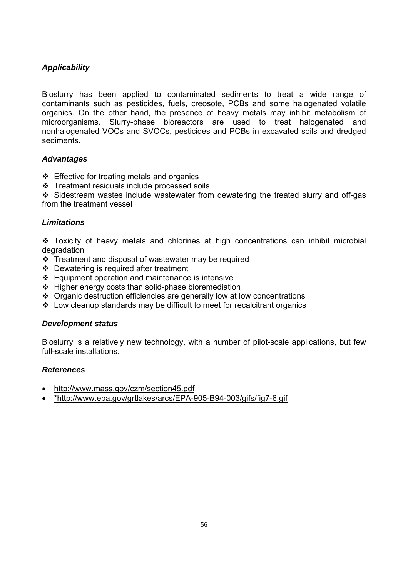Bioslurry has been applied to contaminated sediments to treat a wide range of contaminants such as pesticides, fuels, creosote, PCBs and some halogenated volatile organics. On the other hand, the presence of heavy metals may inhibit metabolism of microorganisms. Slurry-phase bioreactors are used to treat halogenated and nonhalogenated VOCs and SVOCs, pesticides and PCBs in excavated soils and dredged sediments.

#### *Advantages*

- $\div$  Effective for treating metals and organics
- Treatment residuals include processed soils

 Sidestream wastes include wastewater from dewatering the treated slurry and off-gas from the treatment vessel

#### *Limitations*

 Toxicity of heavy metals and chlorines at high concentrations can inhibit microbial degradation

- Treatment and disposal of wastewater may be required
- Dewatering is required after treatment
- Equipment operation and maintenance is intensive
- $\div$  Higher energy costs than solid-phase bioremediation
- Organic destruction efficiencies are generally low at low concentrations
- Low cleanup standards may be difficult to meet for recalcitrant organics

#### *Development status*

Bioslurry is a relatively new technology, with a number of pilot-scale applications, but few full-scale installations.

- http://www.mass.gov/czm/section45.pdf
- \*http://www.epa.gov/grtlakes/arcs/EPA-905-B94-003/gifs/fig7-6.gif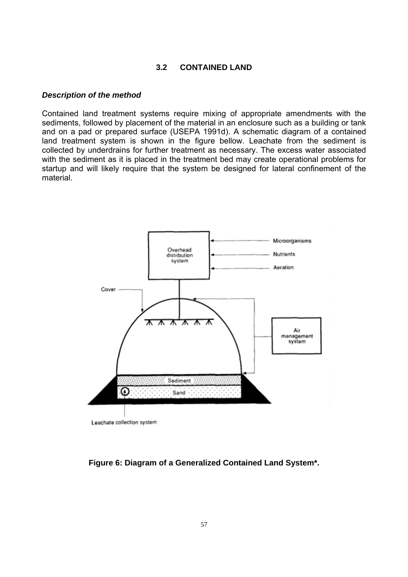#### **3.2 CONTAINED LAND**

#### *Description of the method*

Contained land treatment systems require mixing of appropriate amendments with the sediments, followed by placement of the material in an enclosure such as a building or tank and on a pad or prepared surface (USEPA 1991d). A schematic diagram of a contained land treatment system is shown in the figure bellow. Leachate from the sediment is collected by underdrains for further treatment as necessary. The excess water associated with the sediment as it is placed in the treatment bed may create operational problems for startup and will likely require that the system be designed for lateral confinement of the material.



**Figure 6: Diagram of a Generalized Contained Land System\*.**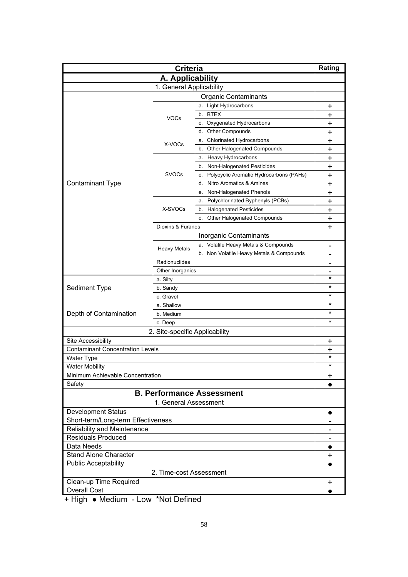| <b>Criteria</b>                         |                                |                                               | Rating                       |  |
|-----------------------------------------|--------------------------------|-----------------------------------------------|------------------------------|--|
| A. Applicability                        |                                |                                               |                              |  |
| 1. General Applicability                |                                |                                               |                              |  |
| <b>Organic Contaminants</b>             |                                |                                               |                              |  |
|                                         |                                | a. Light Hydrocarbons                         | +                            |  |
|                                         |                                | b. BTEX                                       | +                            |  |
|                                         | <b>VOCs</b>                    | c. Oxygenated Hydrocarbons                    | +                            |  |
|                                         |                                | <b>Other Compounds</b><br>d.                  | +                            |  |
|                                         |                                | <b>Chlorinated Hydrocarbons</b><br>а.         | +                            |  |
|                                         | X-VOCs                         | b. Other Halogenated Compounds                | +                            |  |
|                                         |                                | a. Heavy Hydrocarbons                         | +                            |  |
|                                         |                                | b. Non-Halogenated Pesticides                 | +                            |  |
|                                         | <b>SVOCs</b>                   | Polycyclic Aromatic Hydrocarbons (PAHs)<br>c. | +                            |  |
| <b>Contaminant Type</b>                 |                                | Nitro Aromatics & Amines<br>d.                | +                            |  |
|                                         |                                | Non-Halogenated Phenols<br>е.                 | +                            |  |
|                                         |                                | Polychlorinated Byphenyls (PCBs)<br>а.        | $\ddot{}$                    |  |
|                                         | X-SVOCs                        | <b>Halogenated Pesticides</b><br>b.           | $\ddot{}$                    |  |
|                                         |                                | Other Halogenated Compounds<br>c.             | +                            |  |
|                                         | Dioxins & Furanes              |                                               | $\ddot{}$                    |  |
|                                         |                                | Inorganic Contaminants                        |                              |  |
|                                         |                                | a. Volatile Heavy Metals & Compounds          | $\blacksquare$               |  |
|                                         | <b>Heavy Metals</b>            | b. Non Volatile Heavy Metals & Compounds      |                              |  |
|                                         | Radionuclides                  |                                               |                              |  |
|                                         | Other Inorganics               |                                               |                              |  |
|                                         | a. Silty                       |                                               | *                            |  |
| Sediment Type                           | b. Sandy                       |                                               | $^\star$                     |  |
|                                         | c. Gravel                      |                                               | *                            |  |
|                                         | a. Shallow                     |                                               | *                            |  |
| Depth of Contamination                  | b. Medium                      |                                               | *                            |  |
|                                         | c. Deep                        | *                                             |                              |  |
|                                         | 2. Site-specific Applicability |                                               |                              |  |
| Site Accessibility                      |                                |                                               | +                            |  |
| <b>Contaminant Concentration Levels</b> |                                |                                               | +                            |  |
| <b>Water Type</b>                       |                                |                                               | $^\star$                     |  |
| <b>Water Mobility</b>                   |                                |                                               | $^\star$                     |  |
| Minimum Achievable Concentration        |                                |                                               | $\ddot{}$                    |  |
| Safety                                  |                                |                                               | $\bullet$                    |  |
|                                         |                                | <b>B. Performance Assessment</b>              |                              |  |
|                                         | 1. General Assessment          |                                               |                              |  |
| <b>Development Status</b>               |                                |                                               | $\bullet$                    |  |
| Short-term/Long-term Effectiveness      |                                |                                               |                              |  |
| Reliability and Maintenance             |                                |                                               | $\qquad \qquad \blacksquare$ |  |
| <b>Residuals Produced</b>               |                                |                                               |                              |  |
| Data Needs                              |                                |                                               | $\bullet$                    |  |
| <b>Stand Alone Character</b>            |                                |                                               | +                            |  |
| <b>Public Acceptability</b>             |                                |                                               |                              |  |
| 2. Time-cost Assessment                 |                                |                                               |                              |  |
| Clean-up Time Required                  |                                |                                               | +                            |  |
| <b>Overall Cost</b>                     |                                |                                               | $\bullet$                    |  |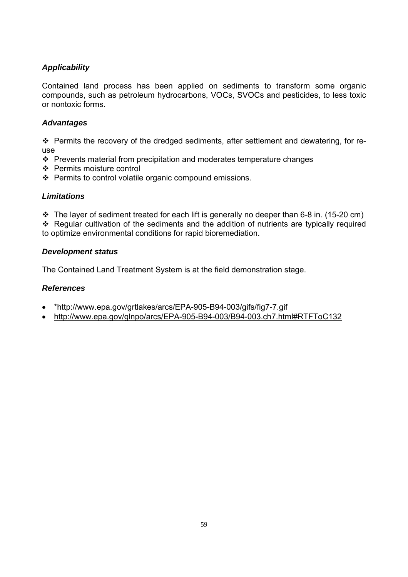Contained land process has been applied on sediments to transform some organic compounds, such as petroleum hydrocarbons, VOCs, SVOCs and pesticides, to less toxic or nontoxic forms.

#### *Advantages*

\* Permits the recovery of the dredged sediments, after settlement and dewatering, for reuse

- $\cdot$  Prevents material from precipitation and moderates temperature changes
- Permits moisture control
- ❖ Permits to control volatile organic compound emissions.

#### *Limitations*

 $\cdot \cdot$  The layer of sediment treated for each lift is generally no deeper than 6-8 in. (15-20 cm)

 Regular cultivation of the sediments and the addition of nutrients are typically required to optimize environmental conditions for rapid bioremediation.

#### *Development status*

The Contained Land Treatment System is at the field demonstration stage.

- \*http://www.epa.gov/grtlakes/arcs/EPA-905-B94-003/gifs/fig7-7.gif
- http://www.epa.gov/glnpo/arcs/EPA-905-B94-003/B94-003.ch7.html#RTFToC132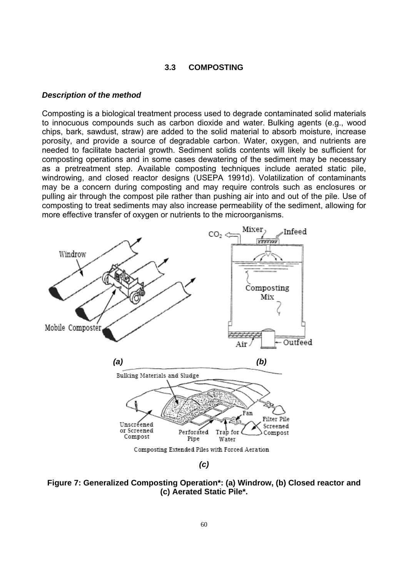#### **3.3 COMPOSTING**

#### *Description of the method*

Composting is a biological treatment process used to degrade contaminated solid materials to innocuous compounds such as carbon dioxide and water. Bulking agents (e.g., wood chips, bark, sawdust, straw) are added to the solid material to absorb moisture, increase porosity, and provide a source of degradable carbon. Water, oxygen, and nutrients are needed to facilitate bacterial growth. Sediment solids contents will likely be sufficient for composting operations and in some cases dewatering of the sediment may be necessary as a pretreatment step. Available composting techniques include aerated static pile, windrowing, and closed reactor designs (USEPA 1991d). Volatilization of contaminants may be a concern during composting and may require controls such as enclosures or pulling air through the compost pile rather than pushing air into and out of the pile. Use of composting to treat sediments may also increase permeability of the sediment, allowing for more effective transfer of oxygen or nutrients to the microorganisms.



**Figure 7: Generalized Composting Operation\*: (a) Windrow, (b) Closed reactor and (c) Aerated Static Pile\*.**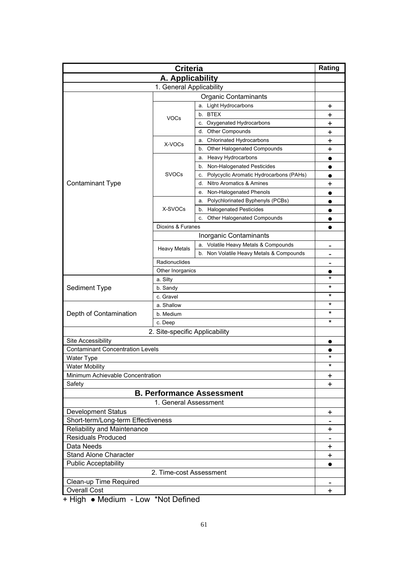| <b>Criteria</b>                                      |                          |                                               | Rating          |  |
|------------------------------------------------------|--------------------------|-----------------------------------------------|-----------------|--|
| A. Applicability                                     |                          |                                               |                 |  |
|                                                      | 1. General Applicability |                                               |                 |  |
| <b>Organic Contaminants</b>                          |                          |                                               |                 |  |
|                                                      |                          | a. Light Hydrocarbons                         | +               |  |
|                                                      |                          | b. BTEX                                       | +               |  |
|                                                      | <b>VOCs</b>              | c. Oxygenated Hydrocarbons                    | +               |  |
|                                                      |                          | <b>Other Compounds</b><br>d.                  | +               |  |
|                                                      |                          | <b>Chlorinated Hydrocarbons</b><br>а.         | +               |  |
|                                                      | X-VOCs                   | b. Other Halogenated Compounds                | +               |  |
|                                                      |                          | a. Heavy Hydrocarbons                         | $\bullet$       |  |
|                                                      |                          | b. Non-Halogenated Pesticides                 | $\bullet$       |  |
|                                                      | <b>SVOCs</b>             | Polycyclic Aromatic Hydrocarbons (PAHs)<br>c. |                 |  |
| <b>Contaminant Type</b>                              |                          | Nitro Aromatics & Amines<br>d.                | +               |  |
|                                                      |                          | Non-Halogenated Phenols<br>е.                 |                 |  |
|                                                      |                          | Polychlorinated Byphenyls (PCBs)<br>а.        |                 |  |
|                                                      | X-SVOCs                  | <b>Halogenated Pesticides</b><br>b.           |                 |  |
|                                                      |                          | Other Halogenated Compounds<br>c.             |                 |  |
|                                                      | Dioxins & Furanes        |                                               |                 |  |
|                                                      |                          | Inorganic Contaminants                        |                 |  |
|                                                      |                          | a. Volatile Heavy Metals & Compounds          |                 |  |
|                                                      | <b>Heavy Metals</b>      | b. Non Volatile Heavy Metals & Compounds      | $\qquad \qquad$ |  |
|                                                      | Radionuclides            |                                               |                 |  |
|                                                      | Other Inorganics         |                                               |                 |  |
|                                                      | a. Silty                 |                                               | *               |  |
| Sediment Type                                        | b. Sandy                 |                                               | $^\star$        |  |
|                                                      | c. Gravel                |                                               | *               |  |
|                                                      | a. Shallow               |                                               | *               |  |
| Depth of Contamination                               | b. Medium                |                                               | *               |  |
|                                                      | c. Deep                  |                                               | *               |  |
|                                                      |                          |                                               |                 |  |
| 2. Site-specific Applicability<br>Site Accessibility |                          |                                               |                 |  |
| <b>Contaminant Concentration Levels</b>              |                          |                                               | $\bullet$       |  |
|                                                      |                          |                                               | *               |  |
| <b>Water Type</b><br><b>Water Mobility</b>           |                          |                                               | $^\star$        |  |
| Minimum Achievable Concentration                     |                          |                                               |                 |  |
| Safety                                               |                          |                                               | $\pmb{+}$<br>+  |  |
|                                                      |                          | <b>B. Performance Assessment</b>              |                 |  |
|                                                      |                          |                                               |                 |  |
|                                                      | 1. General Assessment    |                                               |                 |  |
| <b>Development Status</b>                            |                          |                                               | $\ddot{}$       |  |
| Short-term/Long-term Effectiveness                   |                          |                                               |                 |  |
| Reliability and Maintenance                          |                          |                                               | +               |  |
| <b>Residuals Produced</b>                            |                          |                                               |                 |  |
| Data Needs                                           |                          |                                               | $\ddot{}$       |  |
| <b>Stand Alone Character</b>                         |                          |                                               | $\ddot{}$       |  |
| <b>Public Acceptability</b>                          |                          |                                               |                 |  |
| 2. Time-cost Assessment                              |                          |                                               |                 |  |
| Clean-up Time Required                               |                          |                                               | $\pmb{+}$       |  |
| <b>Overall Cost</b>                                  |                          |                                               |                 |  |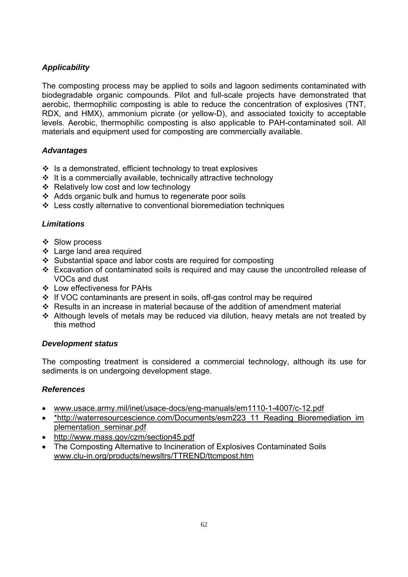The composting process may be applied to soils and lagoon sediments contaminated with biodegradable organic compounds. Pilot and full-scale projects have demonstrated that aerobic, thermophilic composting is able to reduce the concentration of explosives (TNT, RDX, and HMX), ammonium picrate (or yellow-D), and associated toxicity to acceptable levels. Aerobic, thermophilic composting is also applicable to PAH-contaminated soil. All materials and equipment used for composting are commercially available.

## *Advantages*

- $\cdot$  Is a demonstrated, efficient technology to treat explosives
- $\div$  It is a commercially available, technically attractive technology
- ❖ Relatively low cost and low technology
- Adds organic bulk and humus to regenerate poor soils
- Less costly alternative to conventional bioremediation techniques

## *Limitations*

- ❖ Slow process
- Large land area required
- $\div$  Substantial space and labor costs are required for composting
- Excavation of contaminated soils is required and may cause the uncontrolled release of VOCs and dust
- Low effectiveness for PAHs
- If VOC contaminants are present in soils, off-gas control may be required
- Results in an increase in material because of the addition of amendment material
- Although levels of metals may be reduced via dilution, heavy metals are not treated by this method

#### *Development status*

The composting treatment is considered a commercial technology, although its use for sediments is on undergoing development stage.

- www.usace.army.mil/inet/usace-docs/eng-manuals/em1110-1-4007/c-12.pdf
- \*http://waterresourcescience.com/Documents/esm223\_11\_Reading\_Bioremediation\_im plementation\_seminar.pdf
- http://www.mass.gov/czm/section45.pdf
- The Composting Alternative to Incineration of Explosives Contaminated Soils www.clu-in.org/products/newsltrs/TTREND/ttcmpost.htm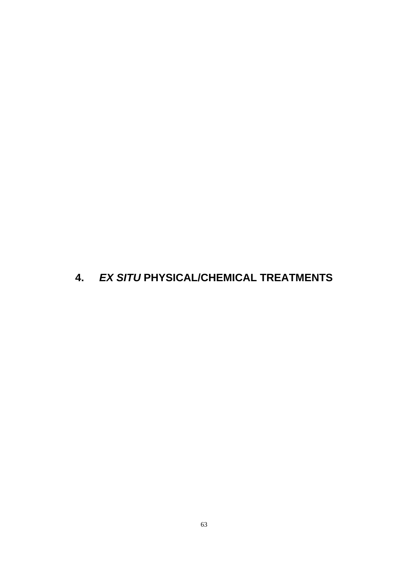# **4.** *EX SITU* **PHYSICAL/CHEMICAL TREATMENTS**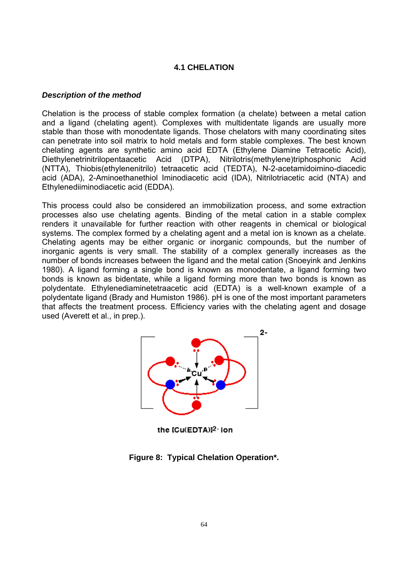#### **4.1 CHELATION**

#### *Description of the method*

Chelation is the process of stable complex formation (a chelate) between a metal cation and a ligand (chelating agent). Complexes with multidentate ligands are usually more stable than those with monodentate ligands. Those chelators with many coordinating sites can penetrate into soil matrix to hold metals and form stable complexes. The best known chelating agents are synthetic amino acid EDTA (Ethylene Diamine Tetracetic Acid), Diethylenetrinitrilopentaacetic Acid (DTPA), Nitrilotris(methylene)triphosphonic Acid (NTTA), Thiobis(ethylenenitrilo) tetraacetic acid (TEDTA), N-2-acetamidoimino-diacedic acid (ADA), 2-Aminoethanethiol Iminodiacetic acid (IDA), Nitrilotriacetic acid (NTA) and Ethylenediiminodiacetic acid (EDDA).

This process could also be considered an immobilization process, and some extraction processes also use chelating agents. Binding of the metal cation in a stable complex renders it unavailable for further reaction with other reagents in chemical or biological systems. The complex formed by a chelating agent and a metal ion is known as a chelate. Chelating agents may be either organic or inorganic compounds, but the number of inorganic agents is very small. The stability of a complex generally increases as the number of bonds increases between the ligand and the metal cation (Snoeyink and Jenkins 1980). A ligand forming a single bond is known as monodentate, a ligand forming two bonds is known as bidentate, while a ligand forming more than two bonds is known as polydentate. Ethylenediaminetetraacetic acid (EDTA) is a well-known example of a polydentate ligand (Brady and Humiston 1986). pH is one of the most important parameters that affects the treatment process. Efficiency varies with the chelating agent and dosage used (Averett et al., in prep.).



the [Cu(EDTA)]<sup>2</sup> ion

**Figure 8: Typical Chelation Operation\*.**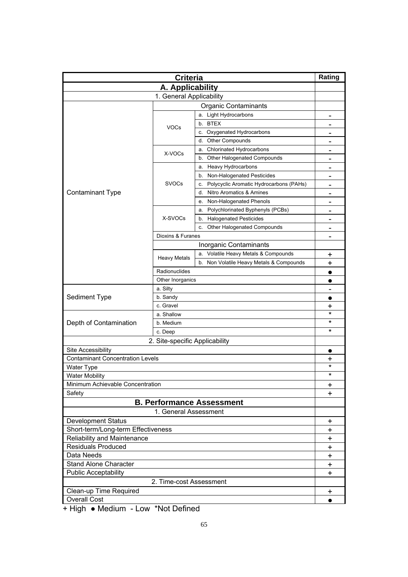| <b>Criteria</b>                                      |                          |                                               | Rating                       |
|------------------------------------------------------|--------------------------|-----------------------------------------------|------------------------------|
| A. Applicability                                     |                          |                                               |                              |
|                                                      | 1. General Applicability |                                               |                              |
| <b>Organic Contaminants</b>                          |                          |                                               |                              |
|                                                      |                          | a. Light Hydrocarbons                         |                              |
|                                                      |                          | b. BTEX                                       |                              |
|                                                      | <b>VOCs</b>              | c. Oxygenated Hydrocarbons                    | -                            |
|                                                      |                          | <b>Other Compounds</b><br>d.                  | $\qquad \qquad \blacksquare$ |
|                                                      |                          | <b>Chlorinated Hydrocarbons</b><br>а.         | $\qquad \qquad$              |
|                                                      | X-VOCs                   | <b>Other Halogenated Compounds</b><br>b.      |                              |
|                                                      |                          | a. Heavy Hydrocarbons                         | -                            |
|                                                      |                          | b. Non-Halogenated Pesticides                 | $\qquad \qquad$              |
|                                                      | <b>SVOCs</b>             | Polycyclic Aromatic Hydrocarbons (PAHs)<br>c. | $\qquad \qquad \blacksquare$ |
| <b>Contaminant Type</b>                              |                          | Nitro Aromatics & Amines<br>d.                | $\qquad \qquad$              |
|                                                      |                          | Non-Halogenated Phenols<br>е.                 | $\blacksquare$               |
|                                                      |                          | Polychlorinated Byphenyls (PCBs)<br>а.        | $\overline{\phantom{0}}$     |
|                                                      | X-SVOCs                  | <b>Halogenated Pesticides</b><br>b.           | -                            |
|                                                      |                          | Other Halogenated Compounds<br>c.             | $\qquad \qquad \blacksquare$ |
|                                                      | Dioxins & Furanes        |                                               | $\qquad \qquad \blacksquare$ |
|                                                      |                          | Inorganic Contaminants                        |                              |
|                                                      |                          | a. Volatile Heavy Metals & Compounds          | +                            |
|                                                      | <b>Heavy Metals</b>      | b. Non Volatile Heavy Metals & Compounds      | +                            |
|                                                      | Radionuclides            |                                               |                              |
|                                                      | Other Inorganics         |                                               |                              |
|                                                      | a. Silty                 |                                               |                              |
| Sediment Type                                        | b. Sandy                 |                                               | $\qquad \qquad$              |
|                                                      | c. Gravel                |                                               | +                            |
|                                                      | a. Shallow               |                                               | $^\star$                     |
| Depth of Contamination                               | b. Medium                |                                               | *                            |
|                                                      | c. Deep                  | $\star$                                       |                              |
|                                                      |                          |                                               |                              |
| 2. Site-specific Applicability<br>Site Accessibility |                          |                                               |                              |
| <b>Contaminant Concentration Levels</b>              |                          |                                               |                              |
|                                                      |                          |                                               | +<br>$\star$                 |
| Water Type<br><b>Water Mobility</b>                  |                          |                                               | $\star$                      |
| Minimum Achievable Concentration                     |                          |                                               |                              |
| Safety                                               |                          |                                               | $\ddot{}$<br>$\ddot{}$       |
|                                                      |                          | <b>B. Performance Assessment</b>              |                              |
|                                                      |                          |                                               |                              |
| 1. General Assessment                                |                          |                                               |                              |
| Development Status                                   |                          |                                               | $\ddot{}$                    |
| Short-term/Long-term Effectiveness                   |                          |                                               | +                            |
| Reliability and Maintenance                          |                          |                                               | +                            |
| <b>Residuals Produced</b>                            |                          |                                               | $\pm$                        |
| Data Needs                                           |                          |                                               | $\pm$                        |
| <b>Stand Alone Character</b>                         |                          |                                               | $\ddot{}$                    |
| <b>Public Acceptability</b>                          |                          |                                               | +                            |
| 2. Time-cost Assessment                              |                          |                                               |                              |
| Clean-up Time Required                               |                          |                                               | $\ddot{}$                    |
| <b>Overall Cost</b>                                  |                          |                                               | $\bullet$                    |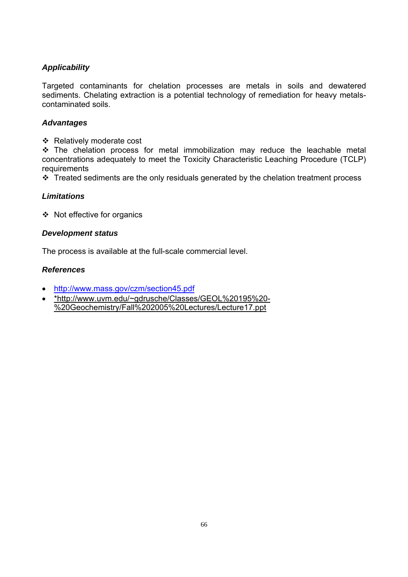Targeted contaminants for chelation processes are metals in soils and dewatered sediments. Chelating extraction is a potential technology of remediation for heavy metalscontaminated soils.

#### *Advantages*

❖ Relatively moderate cost

 The chelation process for metal immobilization may reduce the leachable metal concentrations adequately to meet the Toxicity Characteristic Leaching Procedure (TCLP) requirements

 $\cdot \cdot$  Treated sediments are the only residuals generated by the chelation treatment process

#### *Limitations*

Not effective for organics

#### *Development status*

The process is available at the full-scale commercial level.

- http://www.mass.gov/czm/section45.pdf
- \*http://www.uvm.edu/~gdrusche/Classes/GEOL%20195%20- %20Geochemistry/Fall%202005%20Lectures/Lecture17.ppt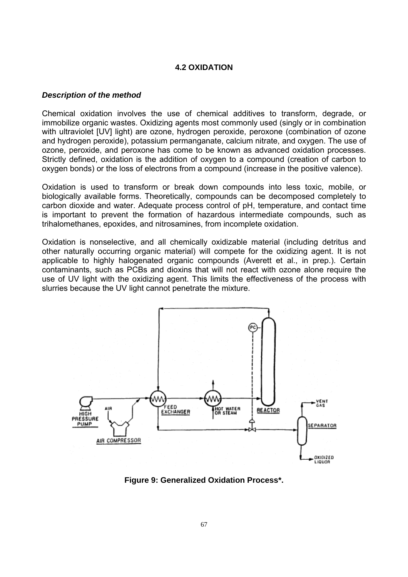#### **4.2 OXIDATION**

#### *Description of the method*

Chemical oxidation involves the use of chemical additives to transform, degrade, or immobilize organic wastes. Oxidizing agents most commonly used (singly or in combination with ultraviolet [UV] light) are ozone, hydrogen peroxide, peroxone (combination of ozone and hydrogen peroxide), potassium permanganate, calcium nitrate, and oxygen. The use of ozone, peroxide, and peroxone has come to be known as advanced oxidation processes. Strictly defined, oxidation is the addition of oxygen to a compound (creation of carbon to oxygen bonds) or the loss of electrons from a compound (increase in the positive valence).

Oxidation is used to transform or break down compounds into less toxic, mobile, or biologically available forms. Theoretically, compounds can be decomposed completely to carbon dioxide and water. Adequate process control of pH, temperature, and contact time is important to prevent the formation of hazardous intermediate compounds, such as trihalomethanes, epoxides, and nitrosamines, from incomplete oxidation.

Oxidation is nonselective, and all chemically oxidizable material (including detritus and other naturally occurring organic material) will compete for the oxidizing agent. It is not applicable to highly halogenated organic compounds (Averett et al., in prep.). Certain contaminants, such as PCBs and dioxins that will not react with ozone alone require the use of UV light with the oxidizing agent. This limits the effectiveness of the process with slurries because the UV light cannot penetrate the mixture.



**Figure 9: Generalized Oxidation Process\*.**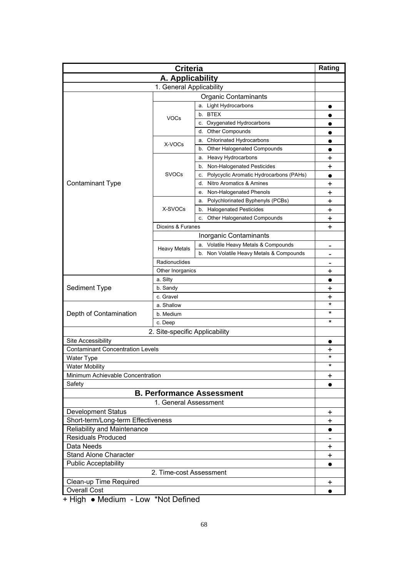| <b>Criteria</b>                                      |                     |                                               | Rating          |
|------------------------------------------------------|---------------------|-----------------------------------------------|-----------------|
| A. Applicability                                     |                     |                                               |                 |
| 1. General Applicability                             |                     |                                               |                 |
| <b>Organic Contaminants</b>                          |                     |                                               |                 |
|                                                      |                     | a. Light Hydrocarbons                         |                 |
|                                                      |                     | b. BTEX                                       |                 |
|                                                      | <b>VOCs</b>         | c. Oxygenated Hydrocarbons                    |                 |
|                                                      |                     | <b>Other Compounds</b><br>d.                  |                 |
|                                                      |                     | <b>Chlorinated Hydrocarbons</b><br>а.         |                 |
|                                                      | X-VOCs              | b. Other Halogenated Compounds                |                 |
|                                                      |                     | a. Heavy Hydrocarbons                         | +               |
|                                                      |                     | b. Non-Halogenated Pesticides                 | +               |
|                                                      | <b>SVOCs</b>        | Polycyclic Aromatic Hydrocarbons (PAHs)<br>c. | $\bullet$       |
| <b>Contaminant Type</b>                              |                     | Nitro Aromatics & Amines<br>d.                | +               |
|                                                      |                     | Non-Halogenated Phenols<br>е.                 | +               |
|                                                      |                     | Polychlorinated Byphenyls (PCBs)<br>а.        | $\ddag$         |
|                                                      | X-SVOCs             | <b>Halogenated Pesticides</b><br>b.           | +               |
|                                                      |                     | Other Halogenated Compounds<br>c.             | +               |
|                                                      | Dioxins & Furanes   |                                               | $\ddot{}$       |
|                                                      |                     | Inorganic Contaminants                        |                 |
|                                                      |                     | a. Volatile Heavy Metals & Compounds          | $\qquad \qquad$ |
|                                                      | <b>Heavy Metals</b> | b. Non Volatile Heavy Metals & Compounds      |                 |
|                                                      | Radionuclides       |                                               |                 |
|                                                      | Other Inorganics    |                                               | +               |
|                                                      | a. Silty            |                                               | $\bullet$       |
| Sediment Type                                        | b. Sandy            |                                               | +               |
|                                                      | c. Gravel           | +                                             |                 |
|                                                      | a. Shallow          |                                               | $\star$         |
| Depth of Contamination                               | b. Medium           |                                               | $^\star$        |
|                                                      | c. Deep             | *                                             |                 |
|                                                      |                     |                                               |                 |
| 2. Site-specific Applicability<br>Site Accessibility |                     |                                               |                 |
| <b>Contaminant Concentration Levels</b>              |                     |                                               | $\bullet$       |
| <b>Water Type</b>                                    |                     |                                               | +<br>$^\star$   |
| <b>Water Mobility</b>                                |                     |                                               | $^\star$        |
| Minimum Achievable Concentration                     |                     |                                               | $\ddot{}$       |
| Safety                                               |                     |                                               | $\bullet$       |
|                                                      |                     | <b>B. Performance Assessment</b>              |                 |
|                                                      |                     |                                               |                 |
| 1. General Assessment                                |                     |                                               |                 |
| <b>Development Status</b>                            |                     |                                               | $\ddot{}$       |
| Short-term/Long-term Effectiveness                   |                     |                                               | $\ddot{}$       |
| Reliability and Maintenance                          |                     |                                               | $\bullet$       |
| <b>Residuals Produced</b><br>Data Needs              |                     |                                               |                 |
|                                                      |                     |                                               | $\ddot{}$       |
| <b>Stand Alone Character</b>                         |                     |                                               | $\ddot{}$       |
| <b>Public Acceptability</b>                          |                     |                                               |                 |
| 2. Time-cost Assessment                              |                     |                                               |                 |
| Clean-up Time Required                               |                     |                                               | +               |
| <b>Overall Cost</b>                                  |                     |                                               | $\bullet$       |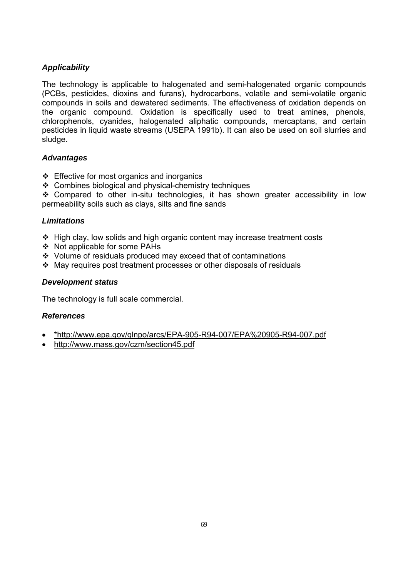The technology is applicable to halogenated and semi-halogenated organic compounds (PCBs, pesticides, dioxins and furans), hydrocarbons, volatile and semi-volatile organic compounds in soils and dewatered sediments. The effectiveness of oxidation depends on the organic compound. Oxidation is specifically used to treat amines, phenols, chlorophenols, cyanides, halogenated aliphatic compounds, mercaptans, and certain pesticides in liquid waste streams (USEPA 1991b). It can also be used on soil slurries and sludge.

#### *Advantages*

- $\div$  Effective for most organics and inorganics
- Combines biological and physical-chemistry techniques

 Compared to other in-situ technologies, it has shown greater accessibility in low permeability soils such as clays, silts and fine sands

#### *Limitations*

- $\div$  High clay, low solids and high organic content may increase treatment costs
- ❖ Not applicable for some PAHs
- Volume of residuals produced may exceed that of contaminations
- $\cdot$  May requires post treatment processes or other disposals of residuals

#### *Development status*

The technology is full scale commercial.

- \*http://www.epa.gov/glnpo/arcs/EPA-905-R94-007/EPA%20905-R94-007.pdf
- http://www.mass.gov/czm/section45.pdf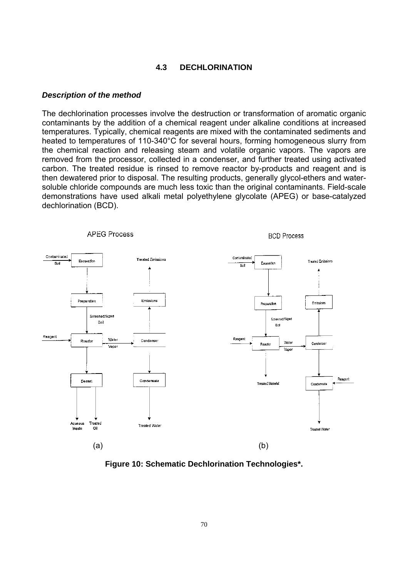#### **4.3 DECHLORINATION**

#### *Description of the method*

The dechlorination processes involve the destruction or transformation of aromatic organic contaminants by the addition of a chemical reagent under alkaline conditions at increased temperatures. Typically, chemical reagents are mixed with the contaminated sediments and heated to temperatures of 110-340°C for several hours, forming homogeneous slurry from the chemical reaction and releasing steam and volatile organic vapors. The vapors are removed from the processor, collected in a condenser, and further treated using activated carbon. The treated residue is rinsed to remove reactor by-products and reagent and is then dewatered prior to disposal. The resulting products, generally glycol-ethers and watersoluble chloride compounds are much less toxic than the original contaminants. Field-scale demonstrations have used alkali metal polyethylene glycolate (APEG) or base-catalyzed dechlorination (BCD).



**Figure 10: Schematic Dechlorination Technologies\*.**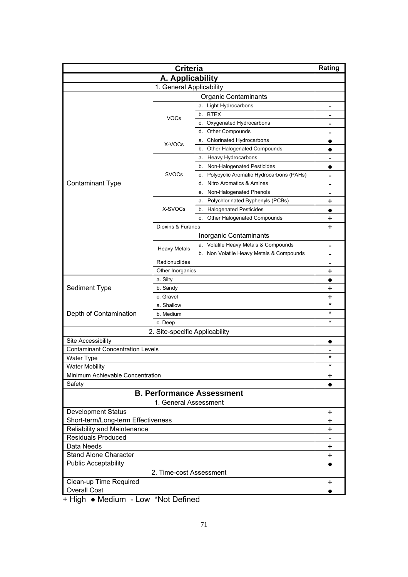| <b>Criteria</b>                         |                                |                                               | Rating                       |
|-----------------------------------------|--------------------------------|-----------------------------------------------|------------------------------|
| A. Applicability                        |                                |                                               |                              |
| 1. General Applicability                |                                |                                               |                              |
| <b>Organic Contaminants</b>             |                                |                                               |                              |
|                                         |                                | a. Light Hydrocarbons                         |                              |
|                                         |                                | b. BTEX                                       | $\overline{\phantom{0}}$     |
|                                         | <b>VOCs</b>                    | c. Oxygenated Hydrocarbons                    | $\qquad \qquad$              |
|                                         |                                | <b>Other Compounds</b><br>d.                  | $\qquad \qquad \blacksquare$ |
|                                         |                                | <b>Chlorinated Hydrocarbons</b><br>а.         |                              |
|                                         | X-VOCs                         | b. Other Halogenated Compounds                |                              |
|                                         |                                | a. Heavy Hydrocarbons                         | $\qquad \qquad \blacksquare$ |
|                                         |                                | b. Non-Halogenated Pesticides                 | $\bullet$                    |
|                                         | <b>SVOCs</b>                   | Polycyclic Aromatic Hydrocarbons (PAHs)<br>c. | $\qquad \qquad$              |
| <b>Contaminant Type</b>                 |                                | Nitro Aromatics & Amines<br>d.                | $\qquad \qquad$              |
|                                         |                                | Non-Halogenated Phenols<br>е.                 |                              |
|                                         |                                | Polychlorinated Byphenyls (PCBs)<br>а.        | +                            |
|                                         | X-SVOCs                        | <b>Halogenated Pesticides</b><br>b.           | $\bullet$                    |
|                                         |                                | Other Halogenated Compounds<br>c.             | +                            |
|                                         | Dioxins & Furanes              |                                               | +                            |
|                                         |                                | Inorganic Contaminants                        |                              |
|                                         |                                | a. Volatile Heavy Metals & Compounds          | $\qquad \qquad$              |
|                                         | <b>Heavy Metals</b>            | b. Non Volatile Heavy Metals & Compounds      |                              |
|                                         | Radionuclides                  |                                               |                              |
|                                         | Other Inorganics               |                                               | +                            |
|                                         | a. Silty                       |                                               | $\bullet$                    |
| Sediment Type                           | b. Sandy                       |                                               | +                            |
|                                         | c. Gravel                      |                                               | +                            |
|                                         | a. Shallow                     |                                               | $\star$                      |
| Depth of Contamination                  | b. Medium                      |                                               | $^\star$                     |
|                                         | c. Deep                        | *                                             |                              |
|                                         | 2. Site-specific Applicability |                                               |                              |
| Site Accessibility                      |                                |                                               |                              |
| <b>Contaminant Concentration Levels</b> |                                |                                               |                              |
| <b>Water Type</b>                       |                                |                                               | $^\star$                     |
| <b>Water Mobility</b>                   |                                |                                               | $^\star$                     |
| Minimum Achievable Concentration        |                                |                                               | $\ddot{}$                    |
| Safety                                  |                                |                                               | $\bullet$                    |
|                                         |                                | <b>B. Performance Assessment</b>              |                              |
|                                         | 1. General Assessment          |                                               |                              |
| <b>Development Status</b>               |                                |                                               | $\ddot{}$                    |
| Short-term/Long-term Effectiveness      |                                |                                               | $\ddot{}$                    |
| Reliability and Maintenance             |                                |                                               | $\ddot{}$                    |
| <b>Residuals Produced</b>               |                                |                                               |                              |
| Data Needs                              |                                |                                               | $\ddot{}$                    |
| <b>Stand Alone Character</b>            |                                |                                               | $\ddot{}$                    |
| <b>Public Acceptability</b>             |                                |                                               |                              |
| 2. Time-cost Assessment                 |                                |                                               |                              |
| Clean-up Time Required                  |                                |                                               | $\ddot{}$                    |
| <b>Overall Cost</b>                     |                                |                                               | $\bullet$                    |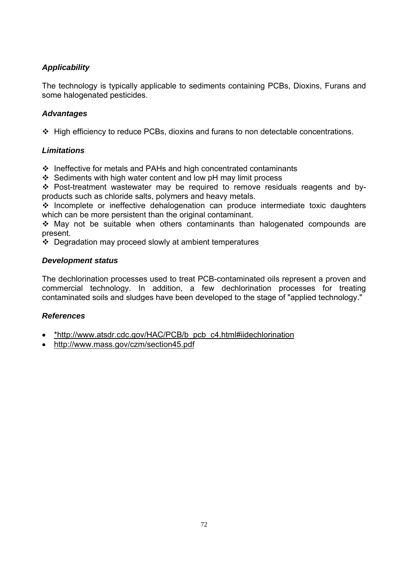The technology is typically applicable to sediments containing PCBs, Dioxins, Furans and some halogenated pesticides.

# *Advantages*

High efficiency to reduce PCBs, dioxins and furans to non detectable concentrations.

# *Limitations*

❖ Ineffective for metals and PAHs and high concentrated contaminants

 $\div$  Sediments with high water content and low pH may limit process

 Post-treatment wastewater may be required to remove residuals reagents and byproducts such as chloride salts, polymers and heavy metals.

 $\cdot$  Incomplete or ineffective dehalogenation can produce intermediate toxic daughters which can be more persistent than the original contaminant.

 May not be suitable when others contaminants than halogenated compounds are present.

 $\div$  Degradation may proceed slowly at ambient temperatures

## *Development status*

The dechlorination processes used to treat PCB-contaminated oils represent a proven and commercial technology. In addition, a few dechlorination processes for treating contaminated soils and sludges have been developed to the stage of "applied technology."

- \*http://www.atsdr.cdc.gov/HAC/PCB/b\_pcb\_c4.html#iidechlorination
- http://www.mass.gov/czm/section45.pdf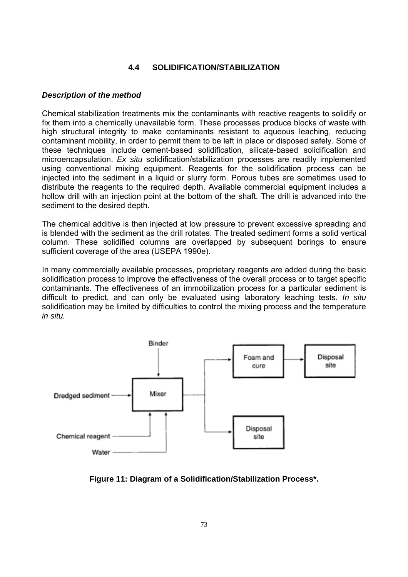# **4.4 SOLIDIFICATION/STABILIZATION**

#### *Description of the method*

Chemical stabilization treatments mix the contaminants with reactive reagents to solidify or fix them into a chemically unavailable form. These processes produce blocks of waste with high structural integrity to make contaminants resistant to aqueous leaching, reducing contaminant mobility, in order to permit them to be left in place or disposed safely. Some of these techniques include cement-based solidification, silicate-based solidification and microencapsulation. *Ex situ* solidification/stabilization processes are readily implemented using conventional mixing equipment. Reagents for the solidification process can be injected into the sediment in a liquid or slurry form. Porous tubes are sometimes used to distribute the reagents to the required depth. Available commercial equipment includes a hollow drill with an injection point at the bottom of the shaft. The drill is advanced into the sediment to the desired depth.

The chemical additive is then injected at low pressure to prevent excessive spreading and is blended with the sediment as the drill rotates. The treated sediment forms a solid vertical column. These solidified columns are overlapped by subsequent borings to ensure sufficient coverage of the area (USEPA 1990e).

In many commercially available processes, proprietary reagents are added during the basic solidification process to improve the effectiveness of the overall process or to target specific contaminants. The effectiveness of an immobilization process for a particular sediment is difficult to predict, and can only be evaluated using laboratory leaching tests. *In situ* solidification may be limited by difficulties to control the mixing process and the temperature *in situ.*



**Figure 11: Diagram of a Solidification/Stabilization Process\*.**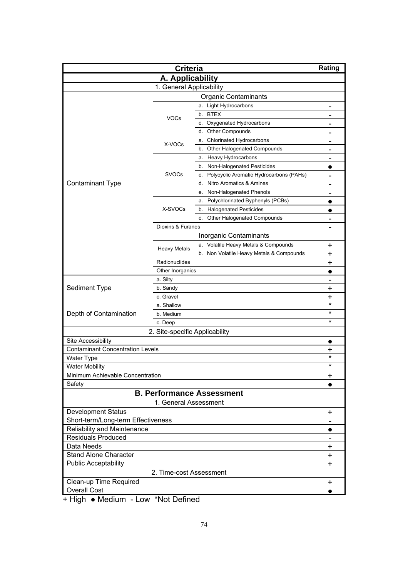| <b>Criteria</b>                                               |                                |                                               | Rating               |  |
|---------------------------------------------------------------|--------------------------------|-----------------------------------------------|----------------------|--|
| A. Applicability                                              |                                |                                               |                      |  |
|                                                               | 1. General Applicability       |                                               |                      |  |
| <b>Organic Contaminants</b>                                   |                                |                                               |                      |  |
|                                                               |                                | a. Light Hydrocarbons                         |                      |  |
|                                                               |                                | b. BTEX                                       |                      |  |
|                                                               | <b>VOCs</b>                    | c. Oxygenated Hydrocarbons                    | $\qquad \qquad$      |  |
|                                                               |                                | <b>Other Compounds</b><br>d.                  | $\qquad \qquad$      |  |
|                                                               |                                | <b>Chlorinated Hydrocarbons</b><br>а.         | $\qquad \qquad$      |  |
|                                                               | X-VOCs                         | b. Other Halogenated Compounds                |                      |  |
|                                                               |                                | a. Heavy Hydrocarbons                         | $\qquad \qquad$      |  |
|                                                               |                                | b. Non-Halogenated Pesticides                 | $\bullet$            |  |
|                                                               | <b>SVOCs</b>                   | Polycyclic Aromatic Hydrocarbons (PAHs)<br>c. | $\qquad \qquad$      |  |
| <b>Contaminant Type</b>                                       |                                | Nitro Aromatics & Amines<br>d.                | $\qquad \qquad$      |  |
|                                                               |                                | Non-Halogenated Phenols<br>е.                 |                      |  |
|                                                               |                                | Polychlorinated Byphenyls (PCBs)<br>а.        |                      |  |
|                                                               | X-SVOCs                        | <b>Halogenated Pesticides</b><br>b.           |                      |  |
|                                                               |                                | Other Halogenated Compounds<br>c.             | $\qquad \qquad$      |  |
|                                                               | Dioxins & Furanes              |                                               | $\qquad \qquad$      |  |
|                                                               |                                | Inorganic Contaminants                        |                      |  |
|                                                               |                                | a. Volatile Heavy Metals & Compounds          | +                    |  |
|                                                               | <b>Heavy Metals</b>            | b. Non Volatile Heavy Metals & Compounds      | +                    |  |
|                                                               | Radionuclides                  |                                               | +                    |  |
|                                                               | Other Inorganics               |                                               |                      |  |
|                                                               | a. Silty                       |                                               |                      |  |
| Sediment Type                                                 | b. Sandy                       |                                               | $\qquad \qquad$<br>+ |  |
|                                                               | c. Gravel                      |                                               | +                    |  |
|                                                               | a. Shallow                     |                                               | $\star$              |  |
| Depth of Contamination                                        | b. Medium                      |                                               | $^\star$             |  |
|                                                               |                                | c. Deep                                       |                      |  |
|                                                               | 2. Site-specific Applicability |                                               |                      |  |
|                                                               |                                |                                               |                      |  |
| Site Accessibility<br><b>Contaminant Concentration Levels</b> |                                |                                               | $\bullet$            |  |
|                                                               |                                |                                               | +<br>$^\star$        |  |
| <b>Water Type</b><br><b>Water Mobility</b>                    |                                |                                               | $^\star$             |  |
|                                                               |                                |                                               |                      |  |
| Minimum Achievable Concentration<br>Safety                    |                                |                                               | $\ddot{}$            |  |
| <b>B. Performance Assessment</b>                              |                                |                                               | $\bullet$            |  |
|                                                               |                                |                                               |                      |  |
| 1. General Assessment                                         |                                |                                               |                      |  |
| <b>Development Status</b>                                     |                                |                                               | $\ddot{}$            |  |
| Short-term/Long-term Effectiveness                            |                                |                                               |                      |  |
| Reliability and Maintenance<br><b>Residuals Produced</b>      |                                |                                               | $\bullet$            |  |
|                                                               |                                |                                               |                      |  |
| Data Needs                                                    |                                |                                               | $\ddot{}$            |  |
| <b>Stand Alone Character</b>                                  |                                |                                               | $\ddot{}$<br>+       |  |
| <b>Public Acceptability</b>                                   |                                |                                               |                      |  |
| 2. Time-cost Assessment                                       |                                |                                               |                      |  |
| Clean-up Time Required                                        |                                |                                               | $\mathbf +$          |  |
| <b>Overall Cost</b>                                           |                                |                                               |                      |  |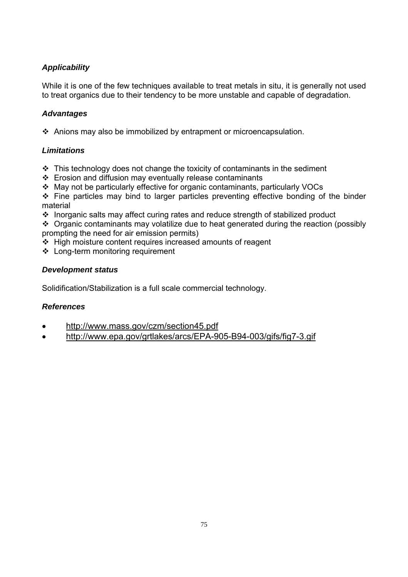While it is one of the few techniques available to treat metals in situ, it is generally not used to treat organics due to their tendency to be more unstable and capable of degradation.

# *Advantages*

Anions may also be immobilized by entrapment or microencapsulation.

# *Limitations*

- $\cdot$  This technology does not change the toxicity of contaminants in the sediment
- $\div$  Erosion and diffusion may eventually release contaminants
- May not be particularly effective for organic contaminants, particularly VOCs

 $\div$  Fine particles may bind to larger particles preventing effective bonding of the binder material

Inorganic salts may affect curing rates and reduce strength of stabilized product

 $\cdot$  Organic contaminants may volatilize due to heat generated during the reaction (possibly prompting the need for air emission permits)

- $\div$  High moisture content requires increased amounts of reagent
- Long-term monitoring requirement

# *Development status*

Solidification/Stabilization is a full scale commercial technology.

# *References*

- http://www.mass.gov/czm/section45.pdf
- http://www.epa.gov/grtlakes/arcs/EPA-905-B94-003/gifs/fig7-3.gif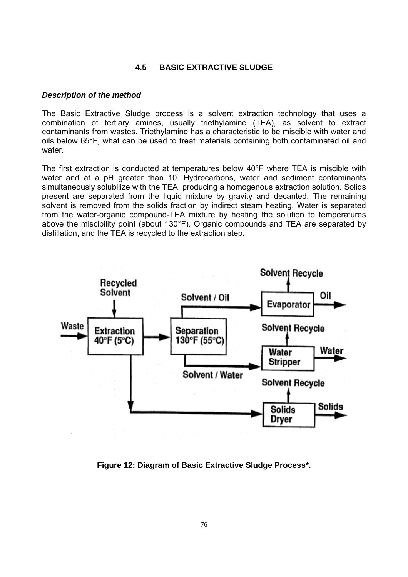#### **4.5 BASIC EXTRACTIVE SLUDGE**

#### *Description of the method*

The Basic Extractive Sludge process is a solvent extraction technology that uses a combination of tertiary amines, usually triethylamine (TEA), as solvent to extract contaminants from wastes. Triethylamine has a characteristic to be miscible with water and oils below 65°F, what can be used to treat materials containing both contaminated oil and water.

The first extraction is conducted at temperatures below 40°F where TEA is miscible with water and at a pH greater than 10. Hydrocarbons, water and sediment contaminants simultaneously solubilize with the TEA, producing a homogenous extraction solution. Solids present are separated from the liquid mixture by gravity and decanted. The remaining solvent is removed from the solids fraction by indirect steam heating. Water is separated from the water-organic compound-TEA mixture by heating the solution to temperatures above the miscibility point (about 130°F). Organic compounds and TEA are separated by distillation, and the TEA is recycled to the extraction step.



**Figure 12: Diagram of Basic Extractive Sludge Process\*.**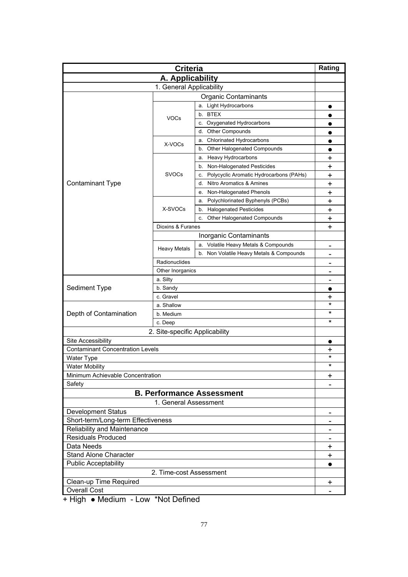| Criteria                                |                                |                                               | Rating                       |  |
|-----------------------------------------|--------------------------------|-----------------------------------------------|------------------------------|--|
| A. Applicability                        |                                |                                               |                              |  |
| 1. General Applicability                |                                |                                               |                              |  |
| <b>Organic Contaminants</b>             |                                |                                               |                              |  |
|                                         |                                | a. Light Hydrocarbons                         | $\bullet$                    |  |
|                                         |                                | b. BTEX                                       |                              |  |
|                                         | <b>VOCs</b>                    | c. Oxygenated Hydrocarbons                    | $\bullet$                    |  |
|                                         |                                | <b>Other Compounds</b><br>d.                  | $\bullet$                    |  |
|                                         |                                | <b>Chlorinated Hydrocarbons</b><br>а.         | $\bullet$                    |  |
|                                         | X-VOCs                         | Other Halogenated Compounds<br>b.             | $\bullet$                    |  |
|                                         |                                | Heavy Hydrocarbons<br>a.                      | +                            |  |
|                                         |                                | Non-Halogenated Pesticides<br>b.              | +                            |  |
|                                         | <b>SVOCs</b>                   | Polycyclic Aromatic Hydrocarbons (PAHs)<br>c. | +                            |  |
| <b>Contaminant Type</b>                 |                                | Nitro Aromatics & Amines<br>d.                | +                            |  |
|                                         |                                | Non-Halogenated Phenols<br>е.                 | $\ddot{}$                    |  |
|                                         |                                | Polychlorinated Byphenyls (PCBs)<br>a.        | $\ddot{}$                    |  |
|                                         | X-SVOCs                        | <b>Halogenated Pesticides</b><br>b.           | $\ddot{}$                    |  |
|                                         |                                | Other Halogenated Compounds<br>c.             | $\ddot{}$                    |  |
|                                         | Dioxins & Furanes              |                                               | +                            |  |
|                                         |                                | Inorganic Contaminants                        |                              |  |
|                                         |                                | a. Volatile Heavy Metals & Compounds          | $\qquad \qquad$              |  |
|                                         | <b>Heavy Metals</b>            | b. Non Volatile Heavy Metals & Compounds      |                              |  |
|                                         | Radionuclides                  |                                               |                              |  |
| Other Inorganics                        |                                |                                               | $\qquad \qquad$              |  |
|                                         | a. Silty                       |                                               | $\blacksquare$               |  |
| Sediment Type                           | b. Sandy                       |                                               |                              |  |
|                                         | c. Gravel                      | +                                             |                              |  |
|                                         | a. Shallow                     |                                               | $\star$                      |  |
| Depth of Contamination                  | b. Medium                      |                                               | *                            |  |
|                                         | c. Deep                        |                                               | $\star$                      |  |
|                                         | 2. Site-specific Applicability |                                               |                              |  |
| Site Accessibility                      |                                |                                               | $\bullet$                    |  |
| <b>Contaminant Concentration Levels</b> |                                |                                               | +                            |  |
| <b>Water Type</b>                       |                                |                                               | *                            |  |
| <b>Water Mobility</b>                   |                                |                                               | $^\star$                     |  |
| Minimum Achievable Concentration        |                                |                                               | +                            |  |
| Safety                                  |                                |                                               |                              |  |
| <b>B. Performance Assessment</b>        |                                |                                               |                              |  |
| 1. General Assessment                   |                                |                                               |                              |  |
| <b>Development Status</b>               |                                |                                               |                              |  |
| Short-term/Long-term Effectiveness      |                                |                                               | $\qquad \qquad \blacksquare$ |  |
| Reliability and Maintenance             |                                |                                               |                              |  |
| <b>Residuals Produced</b>               |                                |                                               |                              |  |
| Data Needs                              |                                |                                               |                              |  |
| Stand Alone Character                   |                                |                                               |                              |  |
| <b>Public Acceptability</b>             |                                |                                               |                              |  |
| 2. Time-cost Assessment                 |                                |                                               |                              |  |
| Clean-up Time Required                  |                                |                                               |                              |  |
| <b>Overall Cost</b>                     |                                |                                               |                              |  |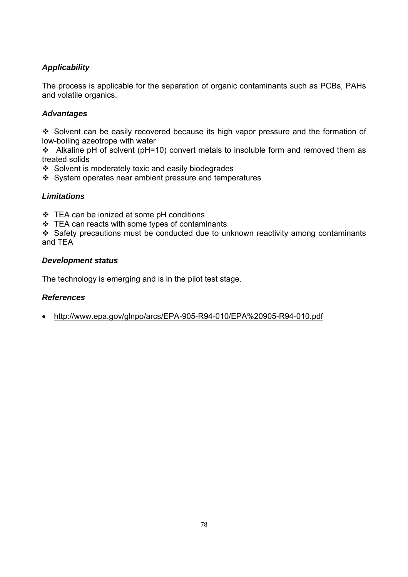The process is applicable for the separation of organic contaminants such as PCBs, PAHs and volatile organics.

# *Advantages*

 Solvent can be easily recovered because its high vapor pressure and the formation of low-boiling azeotrope with water

Alkaline pH of solvent (pH=10) convert metals to insoluble form and removed them as treated solids

 $\div$  Solvent is moderately toxic and easily biodegrades

❖ System operates near ambient pressure and temperatures

# *Limitations*

- TEA can be ionized at some pH conditions
- $\div$  TEA can reacts with some types of contaminants

\* Safety precautions must be conducted due to unknown reactivity among contaminants and TEA

# *Development status*

The technology is emerging and is in the pilot test stage.

# *References*

• http://www.epa.gov/glnpo/arcs/EPA-905-R94-010/EPA%20905-R94-010.pdf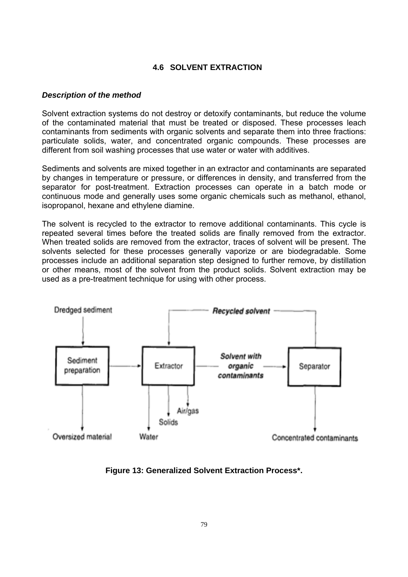# **4.6 SOLVENT EXTRACTION**

#### *Description of the method*

Solvent extraction systems do not destroy or detoxify contaminants, but reduce the volume of the contaminated material that must be treated or disposed. These processes leach contaminants from sediments with organic solvents and separate them into three fractions: particulate solids, water, and concentrated organic compounds. These processes are different from soil washing processes that use water or water with additives.

Sediments and solvents are mixed together in an extractor and contaminants are separated by changes in temperature or pressure, or differences in density, and transferred from the separator for post-treatment. Extraction processes can operate in a batch mode or continuous mode and generally uses some organic chemicals such as methanol, ethanol, isopropanol, hexane and ethylene diamine.

The solvent is recycled to the extractor to remove additional contaminants. This cycle is repeated several times before the treated solids are finally removed from the extractor. When treated solids are removed from the extractor, traces of solvent will be present. The solvents selected for these processes generally vaporize or are biodegradable. Some processes include an additional separation step designed to further remove, by distillation or other means, most of the solvent from the product solids. Solvent extraction may be used as a pre-treatment technique for using with other process.



**Figure 13: Generalized Solvent Extraction Process\*.**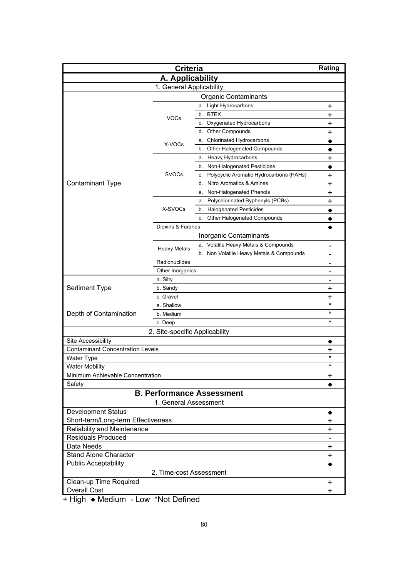| <b>Criteria</b>                                           |                          |                                               | Rating         |
|-----------------------------------------------------------|--------------------------|-----------------------------------------------|----------------|
| A. Applicability                                          |                          |                                               |                |
|                                                           | 1. General Applicability |                                               |                |
|                                                           |                          | <b>Organic Contaminants</b>                   |                |
|                                                           |                          | a. Light Hydrocarbons                         | +              |
|                                                           |                          | b. BTEX                                       | +              |
|                                                           | <b>VOCs</b>              | c. Oxygenated Hydrocarbons                    | +              |
|                                                           |                          | <b>Other Compounds</b><br>d.                  | +              |
|                                                           |                          | a. Chlorinated Hydrocarbons                   |                |
|                                                           | X-VOCs                   | b. Other Halogenated Compounds                | $\bullet$      |
|                                                           |                          | a. Heavy Hydrocarbons                         | +              |
|                                                           |                          | Non-Halogenated Pesticides<br>b.              | $\bullet$      |
|                                                           | <b>SVOCs</b>             | Polycyclic Aromatic Hydrocarbons (PAHs)<br>C. | +              |
| <b>Contaminant Type</b>                                   |                          | Nitro Aromatics & Amines<br>d.                | +              |
|                                                           |                          | Non-Halogenated Phenols<br>е.                 | +              |
|                                                           |                          | Polychlorinated Byphenyls (PCBs)<br>a.        | $\ddagger$     |
|                                                           | X-SVOCs                  | <b>Halogenated Pesticides</b><br>b.           | $\bullet$      |
|                                                           |                          | Other Halogenated Compounds<br>c.             |                |
|                                                           | Dioxins & Furanes        |                                               |                |
|                                                           |                          | Inorganic Contaminants                        |                |
|                                                           |                          | a. Volatile Heavy Metals & Compounds          |                |
|                                                           | <b>Heavy Metals</b>      | b. Non Volatile Heavy Metals & Compounds      | $\blacksquare$ |
|                                                           |                          |                                               |                |
| Radionuclides                                             |                          |                                               |                |
| Other Inorganics<br>a. Silty                              |                          |                                               |                |
| Sediment Type                                             | b. Sandy                 |                                               | $\blacksquare$ |
|                                                           | c. Gravel                | +                                             |                |
|                                                           | a. Shallow               |                                               | +<br>*         |
| Depth of Contamination                                    | b. Medium                |                                               | *              |
|                                                           | c. Deep                  | *                                             |                |
|                                                           |                          |                                               |                |
| 2. Site-specific Applicability                            |                          |                                               |                |
| Site Accessibility                                        |                          |                                               |                |
| <b>Contaminant Concentration Levels</b>                   |                          |                                               | +<br>$^\star$  |
| <b>Water Type</b>                                         |                          |                                               | $^\star$       |
| <b>Water Mobility</b>                                     |                          |                                               |                |
| Minimum Achievable Concentration<br>Safety                |                          |                                               | $\ddot{}$      |
|                                                           |                          |                                               |                |
| <b>B. Performance Assessment</b><br>1. General Assessment |                          |                                               |                |
|                                                           |                          |                                               |                |
| <b>Development Status</b>                                 |                          |                                               | $\bullet$      |
| Short-term/Long-term Effectiveness                        |                          |                                               | $\ddag$        |
| Reliability and Maintenance                               |                          |                                               | $\ddot{}$      |
| <b>Residuals Produced</b>                                 |                          |                                               |                |
| Data Needs                                                |                          |                                               | +              |
| <b>Stand Alone Character</b>                              |                          |                                               |                |
| <b>Public Acceptability</b>                               |                          |                                               |                |
| 2. Time-cost Assessment                                   |                          |                                               |                |
| Clean-up Time Required                                    |                          |                                               | +              |
| <b>Overall Cost</b>                                       |                          |                                               | $\ddot{}$      |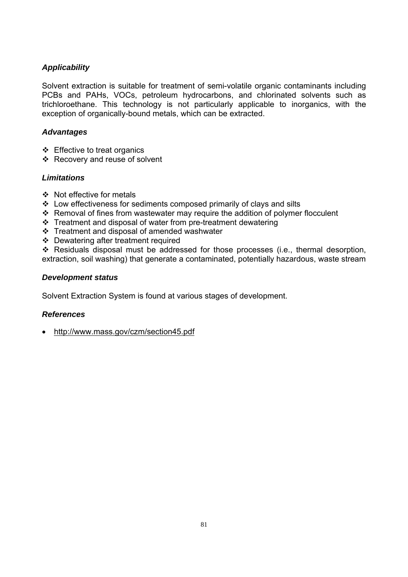Solvent extraction is suitable for treatment of semi-volatile organic contaminants including PCBs and PAHs, VOCs, petroleum hydrocarbons, and chlorinated solvents such as trichloroethane. This technology is not particularly applicable to inorganics, with the exception of organically-bound metals, which can be extracted.

# *Advantages*

- $\div$  Effective to treat organics
- ❖ Recovery and reuse of solvent

# *Limitations*

- ❖ Not effective for metals
- $\cdot$  Low effectiveness for sediments composed primarily of clays and silts
- $\cdot$  Removal of fines from wastewater may require the addition of polymer flocculent
- $\cdot$  Treatment and disposal of water from pre-treatment dewatering
- $\div$  Treatment and disposal of amended washwater
- ❖ Dewatering after treatment required

 Residuals disposal must be addressed for those processes (i.e., thermal desorption, extraction, soil washing) that generate a contaminated, potentially hazardous, waste stream

# *Development status*

Solvent Extraction System is found at various stages of development.

## *References*

• http://www.mass.gov/czm/section45.pdf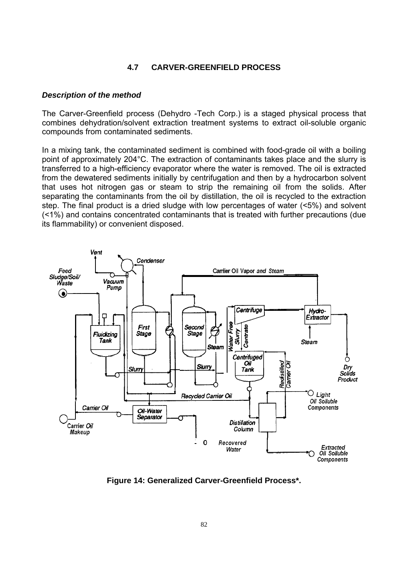## **4.7 CARVER-GREENFIELD PROCESS**

#### *Description of the method*

The Carver-Greenfield process (Dehydro -Tech Corp.) is a staged physical process that combines dehydration/solvent extraction treatment systems to extract oil-soluble organic compounds from contaminated sediments.

In a mixing tank, the contaminated sediment is combined with food-grade oil with a boiling point of approximately 204°C. The extraction of contaminants takes place and the slurry is transferred to a high-efficiency evaporator where the water is removed. The oil is extracted from the dewatered sediments initially by centrifugation and then by a hydrocarbon solvent that uses hot nitrogen gas or steam to strip the remaining oil from the solids. After separating the contaminants from the oil by distillation, the oil is recycled to the extraction step. The final product is a dried sludge with low percentages of water (<5%) and solvent (<1%) and contains concentrated contaminants that is treated with further precautions (due its flammability) or convenient disposed.



**Figure 14: Generalized Carver-Greenfield Process\*.**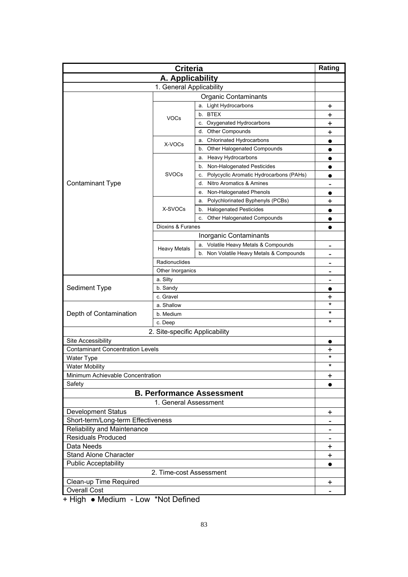| A. Applicability<br>1. General Applicability<br><b>Organic Contaminants</b><br>a. Light Hydrocarbons<br>+<br>b. BTEX<br>+<br><b>VOCs</b><br>c. Oxygenated Hydrocarbons<br>+<br>Other Compounds<br>d.<br>+<br><b>Chlorinated Hydrocarbons</b><br>а.<br>$\bullet$<br>X-VOCs<br>Other Halogenated Compounds<br>b.<br>$\bullet$<br>Heavy Hydrocarbons<br>a.<br>$\bullet$<br>b. Non-Halogenated Pesticides<br><b>SVOCs</b><br>Polycyclic Aromatic Hydrocarbons (PAHs)<br>c.<br><b>Contaminant Type</b><br>d. Nitro Aromatics & Amines<br>Non-Halogenated Phenols<br>е.<br>$\bullet$<br>Polychlorinated Byphenyls (PCBs)<br>$\ddot{}$<br>a.<br>X-SVOCs<br><b>Halogenated Pesticides</b><br>b.<br>$\bullet$<br>Other Halogenated Compounds<br>c.<br>$\bullet$<br>Dioxins & Furanes<br>$\bullet$<br>Inorganic Contaminants<br>a. Volatile Heavy Metals & Compounds<br>$\qquad \qquad$<br><b>Heavy Metals</b><br>b. Non Volatile Heavy Metals & Compounds<br>Radionuclides<br>Other Inorganics<br>$\qquad \qquad$<br>a. Silty<br>$\blacksquare$<br>Sediment Type<br>b. Sandy<br>c. Gravel<br>+<br>$\star$<br>a. Shallow<br>*<br>Depth of Contamination<br>b. Medium<br>$\star$<br>c. Deep<br>2. Site-specific Applicability<br>Site Accessibility<br>$\bullet$<br><b>Contaminant Concentration Levels</b><br>+<br>*<br>Water Type<br>$^\star$<br><b>Water Mobility</b><br>Minimum Achievable Concentration<br>+<br>Safety<br>$\bullet$<br><b>B. Performance Assessment</b><br>1. General Assessment<br><b>Development Status</b><br>+<br>Short-term/Long-term Effectiveness<br>$\qquad \qquad \blacksquare$<br>Reliability and Maintenance | <b>Criteria</b>           |  |  | Rating          |
|-----------------------------------------------------------------------------------------------------------------------------------------------------------------------------------------------------------------------------------------------------------------------------------------------------------------------------------------------------------------------------------------------------------------------------------------------------------------------------------------------------------------------------------------------------------------------------------------------------------------------------------------------------------------------------------------------------------------------------------------------------------------------------------------------------------------------------------------------------------------------------------------------------------------------------------------------------------------------------------------------------------------------------------------------------------------------------------------------------------------------------------------------------------------------------------------------------------------------------------------------------------------------------------------------------------------------------------------------------------------------------------------------------------------------------------------------------------------------------------------------------------------------------------------------------------------------------------------------------------------------------------|---------------------------|--|--|-----------------|
|                                                                                                                                                                                                                                                                                                                                                                                                                                                                                                                                                                                                                                                                                                                                                                                                                                                                                                                                                                                                                                                                                                                                                                                                                                                                                                                                                                                                                                                                                                                                                                                                                                   |                           |  |  |                 |
|                                                                                                                                                                                                                                                                                                                                                                                                                                                                                                                                                                                                                                                                                                                                                                                                                                                                                                                                                                                                                                                                                                                                                                                                                                                                                                                                                                                                                                                                                                                                                                                                                                   |                           |  |  |                 |
|                                                                                                                                                                                                                                                                                                                                                                                                                                                                                                                                                                                                                                                                                                                                                                                                                                                                                                                                                                                                                                                                                                                                                                                                                                                                                                                                                                                                                                                                                                                                                                                                                                   |                           |  |  |                 |
|                                                                                                                                                                                                                                                                                                                                                                                                                                                                                                                                                                                                                                                                                                                                                                                                                                                                                                                                                                                                                                                                                                                                                                                                                                                                                                                                                                                                                                                                                                                                                                                                                                   |                           |  |  |                 |
|                                                                                                                                                                                                                                                                                                                                                                                                                                                                                                                                                                                                                                                                                                                                                                                                                                                                                                                                                                                                                                                                                                                                                                                                                                                                                                                                                                                                                                                                                                                                                                                                                                   |                           |  |  |                 |
|                                                                                                                                                                                                                                                                                                                                                                                                                                                                                                                                                                                                                                                                                                                                                                                                                                                                                                                                                                                                                                                                                                                                                                                                                                                                                                                                                                                                                                                                                                                                                                                                                                   |                           |  |  |                 |
|                                                                                                                                                                                                                                                                                                                                                                                                                                                                                                                                                                                                                                                                                                                                                                                                                                                                                                                                                                                                                                                                                                                                                                                                                                                                                                                                                                                                                                                                                                                                                                                                                                   |                           |  |  |                 |
|                                                                                                                                                                                                                                                                                                                                                                                                                                                                                                                                                                                                                                                                                                                                                                                                                                                                                                                                                                                                                                                                                                                                                                                                                                                                                                                                                                                                                                                                                                                                                                                                                                   |                           |  |  |                 |
|                                                                                                                                                                                                                                                                                                                                                                                                                                                                                                                                                                                                                                                                                                                                                                                                                                                                                                                                                                                                                                                                                                                                                                                                                                                                                                                                                                                                                                                                                                                                                                                                                                   |                           |  |  |                 |
|                                                                                                                                                                                                                                                                                                                                                                                                                                                                                                                                                                                                                                                                                                                                                                                                                                                                                                                                                                                                                                                                                                                                                                                                                                                                                                                                                                                                                                                                                                                                                                                                                                   |                           |  |  |                 |
|                                                                                                                                                                                                                                                                                                                                                                                                                                                                                                                                                                                                                                                                                                                                                                                                                                                                                                                                                                                                                                                                                                                                                                                                                                                                                                                                                                                                                                                                                                                                                                                                                                   |                           |  |  |                 |
|                                                                                                                                                                                                                                                                                                                                                                                                                                                                                                                                                                                                                                                                                                                                                                                                                                                                                                                                                                                                                                                                                                                                                                                                                                                                                                                                                                                                                                                                                                                                                                                                                                   |                           |  |  |                 |
|                                                                                                                                                                                                                                                                                                                                                                                                                                                                                                                                                                                                                                                                                                                                                                                                                                                                                                                                                                                                                                                                                                                                                                                                                                                                                                                                                                                                                                                                                                                                                                                                                                   |                           |  |  |                 |
|                                                                                                                                                                                                                                                                                                                                                                                                                                                                                                                                                                                                                                                                                                                                                                                                                                                                                                                                                                                                                                                                                                                                                                                                                                                                                                                                                                                                                                                                                                                                                                                                                                   |                           |  |  |                 |
|                                                                                                                                                                                                                                                                                                                                                                                                                                                                                                                                                                                                                                                                                                                                                                                                                                                                                                                                                                                                                                                                                                                                                                                                                                                                                                                                                                                                                                                                                                                                                                                                                                   |                           |  |  |                 |
|                                                                                                                                                                                                                                                                                                                                                                                                                                                                                                                                                                                                                                                                                                                                                                                                                                                                                                                                                                                                                                                                                                                                                                                                                                                                                                                                                                                                                                                                                                                                                                                                                                   |                           |  |  |                 |
|                                                                                                                                                                                                                                                                                                                                                                                                                                                                                                                                                                                                                                                                                                                                                                                                                                                                                                                                                                                                                                                                                                                                                                                                                                                                                                                                                                                                                                                                                                                                                                                                                                   |                           |  |  |                 |
|                                                                                                                                                                                                                                                                                                                                                                                                                                                                                                                                                                                                                                                                                                                                                                                                                                                                                                                                                                                                                                                                                                                                                                                                                                                                                                                                                                                                                                                                                                                                                                                                                                   |                           |  |  |                 |
|                                                                                                                                                                                                                                                                                                                                                                                                                                                                                                                                                                                                                                                                                                                                                                                                                                                                                                                                                                                                                                                                                                                                                                                                                                                                                                                                                                                                                                                                                                                                                                                                                                   |                           |  |  |                 |
|                                                                                                                                                                                                                                                                                                                                                                                                                                                                                                                                                                                                                                                                                                                                                                                                                                                                                                                                                                                                                                                                                                                                                                                                                                                                                                                                                                                                                                                                                                                                                                                                                                   |                           |  |  |                 |
|                                                                                                                                                                                                                                                                                                                                                                                                                                                                                                                                                                                                                                                                                                                                                                                                                                                                                                                                                                                                                                                                                                                                                                                                                                                                                                                                                                                                                                                                                                                                                                                                                                   |                           |  |  |                 |
|                                                                                                                                                                                                                                                                                                                                                                                                                                                                                                                                                                                                                                                                                                                                                                                                                                                                                                                                                                                                                                                                                                                                                                                                                                                                                                                                                                                                                                                                                                                                                                                                                                   |                           |  |  |                 |
|                                                                                                                                                                                                                                                                                                                                                                                                                                                                                                                                                                                                                                                                                                                                                                                                                                                                                                                                                                                                                                                                                                                                                                                                                                                                                                                                                                                                                                                                                                                                                                                                                                   |                           |  |  |                 |
|                                                                                                                                                                                                                                                                                                                                                                                                                                                                                                                                                                                                                                                                                                                                                                                                                                                                                                                                                                                                                                                                                                                                                                                                                                                                                                                                                                                                                                                                                                                                                                                                                                   |                           |  |  |                 |
|                                                                                                                                                                                                                                                                                                                                                                                                                                                                                                                                                                                                                                                                                                                                                                                                                                                                                                                                                                                                                                                                                                                                                                                                                                                                                                                                                                                                                                                                                                                                                                                                                                   |                           |  |  |                 |
|                                                                                                                                                                                                                                                                                                                                                                                                                                                                                                                                                                                                                                                                                                                                                                                                                                                                                                                                                                                                                                                                                                                                                                                                                                                                                                                                                                                                                                                                                                                                                                                                                                   |                           |  |  |                 |
|                                                                                                                                                                                                                                                                                                                                                                                                                                                                                                                                                                                                                                                                                                                                                                                                                                                                                                                                                                                                                                                                                                                                                                                                                                                                                                                                                                                                                                                                                                                                                                                                                                   |                           |  |  |                 |
|                                                                                                                                                                                                                                                                                                                                                                                                                                                                                                                                                                                                                                                                                                                                                                                                                                                                                                                                                                                                                                                                                                                                                                                                                                                                                                                                                                                                                                                                                                                                                                                                                                   |                           |  |  |                 |
|                                                                                                                                                                                                                                                                                                                                                                                                                                                                                                                                                                                                                                                                                                                                                                                                                                                                                                                                                                                                                                                                                                                                                                                                                                                                                                                                                                                                                                                                                                                                                                                                                                   |                           |  |  |                 |
|                                                                                                                                                                                                                                                                                                                                                                                                                                                                                                                                                                                                                                                                                                                                                                                                                                                                                                                                                                                                                                                                                                                                                                                                                                                                                                                                                                                                                                                                                                                                                                                                                                   |                           |  |  |                 |
|                                                                                                                                                                                                                                                                                                                                                                                                                                                                                                                                                                                                                                                                                                                                                                                                                                                                                                                                                                                                                                                                                                                                                                                                                                                                                                                                                                                                                                                                                                                                                                                                                                   |                           |  |  |                 |
|                                                                                                                                                                                                                                                                                                                                                                                                                                                                                                                                                                                                                                                                                                                                                                                                                                                                                                                                                                                                                                                                                                                                                                                                                                                                                                                                                                                                                                                                                                                                                                                                                                   |                           |  |  |                 |
|                                                                                                                                                                                                                                                                                                                                                                                                                                                                                                                                                                                                                                                                                                                                                                                                                                                                                                                                                                                                                                                                                                                                                                                                                                                                                                                                                                                                                                                                                                                                                                                                                                   |                           |  |  |                 |
|                                                                                                                                                                                                                                                                                                                                                                                                                                                                                                                                                                                                                                                                                                                                                                                                                                                                                                                                                                                                                                                                                                                                                                                                                                                                                                                                                                                                                                                                                                                                                                                                                                   |                           |  |  |                 |
|                                                                                                                                                                                                                                                                                                                                                                                                                                                                                                                                                                                                                                                                                                                                                                                                                                                                                                                                                                                                                                                                                                                                                                                                                                                                                                                                                                                                                                                                                                                                                                                                                                   |                           |  |  |                 |
|                                                                                                                                                                                                                                                                                                                                                                                                                                                                                                                                                                                                                                                                                                                                                                                                                                                                                                                                                                                                                                                                                                                                                                                                                                                                                                                                                                                                                                                                                                                                                                                                                                   |                           |  |  |                 |
|                                                                                                                                                                                                                                                                                                                                                                                                                                                                                                                                                                                                                                                                                                                                                                                                                                                                                                                                                                                                                                                                                                                                                                                                                                                                                                                                                                                                                                                                                                                                                                                                                                   |                           |  |  |                 |
|                                                                                                                                                                                                                                                                                                                                                                                                                                                                                                                                                                                                                                                                                                                                                                                                                                                                                                                                                                                                                                                                                                                                                                                                                                                                                                                                                                                                                                                                                                                                                                                                                                   |                           |  |  |                 |
|                                                                                                                                                                                                                                                                                                                                                                                                                                                                                                                                                                                                                                                                                                                                                                                                                                                                                                                                                                                                                                                                                                                                                                                                                                                                                                                                                                                                                                                                                                                                                                                                                                   |                           |  |  |                 |
|                                                                                                                                                                                                                                                                                                                                                                                                                                                                                                                                                                                                                                                                                                                                                                                                                                                                                                                                                                                                                                                                                                                                                                                                                                                                                                                                                                                                                                                                                                                                                                                                                                   |                           |  |  |                 |
|                                                                                                                                                                                                                                                                                                                                                                                                                                                                                                                                                                                                                                                                                                                                                                                                                                                                                                                                                                                                                                                                                                                                                                                                                                                                                                                                                                                                                                                                                                                                                                                                                                   |                           |  |  |                 |
|                                                                                                                                                                                                                                                                                                                                                                                                                                                                                                                                                                                                                                                                                                                                                                                                                                                                                                                                                                                                                                                                                                                                                                                                                                                                                                                                                                                                                                                                                                                                                                                                                                   | <b>Residuals Produced</b> |  |  | $\qquad \qquad$ |
| Data Needs<br>$\ddot{}$                                                                                                                                                                                                                                                                                                                                                                                                                                                                                                                                                                                                                                                                                                                                                                                                                                                                                                                                                                                                                                                                                                                                                                                                                                                                                                                                                                                                                                                                                                                                                                                                           |                           |  |  |                 |
| Stand Alone Character<br>$\ddot{}$                                                                                                                                                                                                                                                                                                                                                                                                                                                                                                                                                                                                                                                                                                                                                                                                                                                                                                                                                                                                                                                                                                                                                                                                                                                                                                                                                                                                                                                                                                                                                                                                |                           |  |  |                 |
| <b>Public Acceptability</b><br>$\bullet$                                                                                                                                                                                                                                                                                                                                                                                                                                                                                                                                                                                                                                                                                                                                                                                                                                                                                                                                                                                                                                                                                                                                                                                                                                                                                                                                                                                                                                                                                                                                                                                          |                           |  |  |                 |
| 2. Time-cost Assessment                                                                                                                                                                                                                                                                                                                                                                                                                                                                                                                                                                                                                                                                                                                                                                                                                                                                                                                                                                                                                                                                                                                                                                                                                                                                                                                                                                                                                                                                                                                                                                                                           |                           |  |  |                 |
| Clean-up Time Required<br>+                                                                                                                                                                                                                                                                                                                                                                                                                                                                                                                                                                                                                                                                                                                                                                                                                                                                                                                                                                                                                                                                                                                                                                                                                                                                                                                                                                                                                                                                                                                                                                                                       |                           |  |  |                 |
| <b>Overall Cost</b>                                                                                                                                                                                                                                                                                                                                                                                                                                                                                                                                                                                                                                                                                                                                                                                                                                                                                                                                                                                                                                                                                                                                                                                                                                                                                                                                                                                                                                                                                                                                                                                                               |                           |  |  |                 |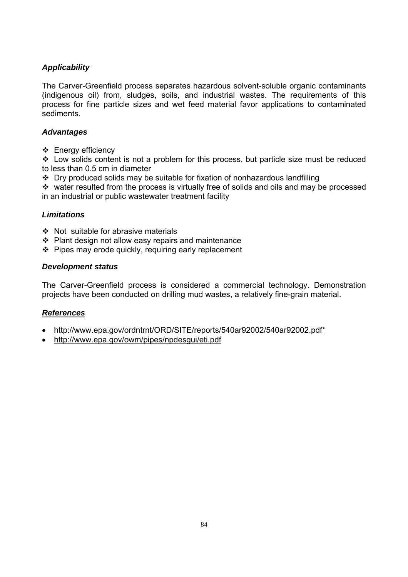The Carver-Greenfield process separates hazardous solvent-soluble organic contaminants (indigenous oil) from, sludges, soils, and industrial wastes. The requirements of this process for fine particle sizes and wet feed material favor applications to contaminated sediments.

# *Advantages*

❖ Energy efficiency

 $\cdot$  Low solids content is not a problem for this process, but particle size must be reduced to less than 0.5 cm in diameter

 $\cdot$  Dry produced solids may be suitable for fixation of nonhazardous landfilling

 $\cdot$  water resulted from the process is virtually free of solids and oils and may be processed in an industrial or public wastewater treatment facility

# *Limitations*

- $\div$  Not suitable for abrasive materials
- $\div$  Plant design not allow easy repairs and maintenance
- $\div$  Pipes may erode quickly, requiring early replacement

## *Development status*

The Carver-Greenfield process is considered a commercial technology. Demonstration projects have been conducted on drilling mud wastes, a relatively fine-grain material.

# *References*

- http://www.epa.gov/ordntrnt/ORD/SITE/reports/540ar92002/540ar92002.pdf\*
- http://www.epa.gov/owm/pipes/npdesgui/eti.pdf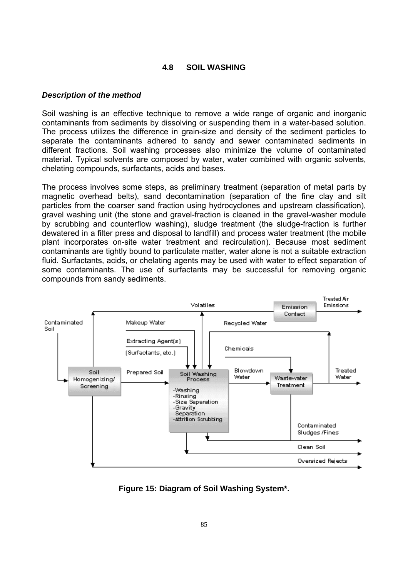## **4.8 SOIL WASHING**

#### *Description of the method*

Soil washing is an effective technique to remove a wide range of organic and inorganic contaminants from sediments by dissolving or suspending them in a water-based solution. The process utilizes the difference in grain-size and density of the sediment particles to separate the contaminants adhered to sandy and sewer contaminated sediments in different fractions. Soil washing processes also minimize the volume of contaminated material. Typical solvents are composed by water, water combined with organic solvents, chelating compounds, surfactants, acids and bases.

The process involves some steps, as preliminary treatment (separation of metal parts by magnetic overhead belts), sand decontamination (separation of the fine clay and silt particles from the coarser sand fraction using hydrocyclones and upstream classification), gravel washing unit (the stone and gravel-fraction is cleaned in the gravel-washer module by scrubbing and counterflow washing), sludge treatment (the sludge-fraction is further dewatered in a filter press and disposal to landfill) and process water treatment (the mobile plant incorporates on-site water treatment and recirculation). Because most sediment contaminants are tightly bound to particulate matter, water alone is not a suitable extraction fluid. Surfactants, acids, or chelating agents may be used with water to effect separation of some contaminants. The use of surfactants may be successful for removing organic compounds from sandy sediments.



**Figure 15: Diagram of Soil Washing System\*.**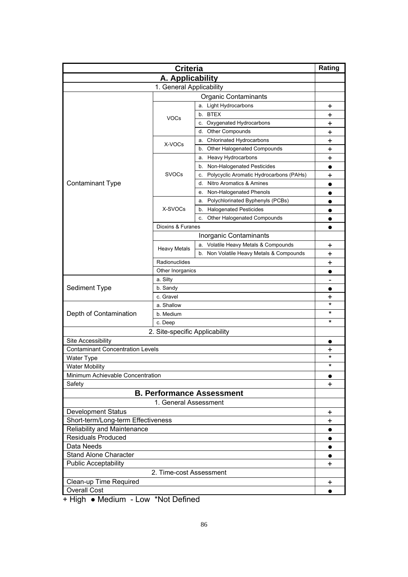| <b>Criteria</b>                                          |                                |                                               | Rating                 |  |
|----------------------------------------------------------|--------------------------------|-----------------------------------------------|------------------------|--|
| A. Applicability                                         |                                |                                               |                        |  |
|                                                          | 1. General Applicability       |                                               |                        |  |
| <b>Organic Contaminants</b>                              |                                |                                               |                        |  |
|                                                          |                                | a. Light Hydrocarbons                         | +                      |  |
|                                                          |                                | b. BTEX                                       | +                      |  |
|                                                          | <b>VOCs</b>                    | c. Oxygenated Hydrocarbons                    | +                      |  |
|                                                          |                                | <b>Other Compounds</b><br>d.                  | +                      |  |
|                                                          |                                | <b>Chlorinated Hydrocarbons</b><br>а.         | +                      |  |
|                                                          | X-VOCs                         | b. Other Halogenated Compounds                | +                      |  |
|                                                          |                                | a. Heavy Hydrocarbons                         | +                      |  |
|                                                          |                                | b. Non-Halogenated Pesticides                 | $\bullet$              |  |
|                                                          | <b>SVOCs</b>                   | Polycyclic Aromatic Hydrocarbons (PAHs)<br>c. | +                      |  |
| <b>Contaminant Type</b>                                  |                                | Nitro Aromatics & Amines<br>d.                |                        |  |
|                                                          |                                | Non-Halogenated Phenols<br>е.                 |                        |  |
|                                                          |                                | Polychlorinated Byphenyls (PCBs)<br>а.        |                        |  |
|                                                          | X-SVOCs                        | <b>Halogenated Pesticides</b><br>b.           | $\bullet$              |  |
|                                                          |                                | Other Halogenated Compounds<br>c.             |                        |  |
|                                                          | Dioxins & Furanes              |                                               |                        |  |
|                                                          |                                | Inorganic Contaminants                        |                        |  |
|                                                          |                                | a. Volatile Heavy Metals & Compounds          | +                      |  |
|                                                          | <b>Heavy Metals</b>            | b. Non Volatile Heavy Metals & Compounds      | +                      |  |
|                                                          | Radionuclides                  |                                               | +                      |  |
|                                                          | Other Inorganics               |                                               |                        |  |
| a. Silty                                                 |                                |                                               |                        |  |
| Sediment Type                                            | b. Sandy                       |                                               |                        |  |
|                                                          | c. Gravel                      |                                               | $\bullet$<br>+         |  |
|                                                          | a. Shallow                     |                                               | $\ast$                 |  |
| Depth of Contamination                                   | b. Medium                      |                                               | $^\star$               |  |
|                                                          | c. Deep                        | *                                             |                        |  |
|                                                          | 2. Site-specific Applicability |                                               |                        |  |
| Site Accessibility                                       |                                |                                               |                        |  |
| <b>Contaminant Concentration Levels</b>                  |                                |                                               | $\bullet$              |  |
|                                                          |                                |                                               | +<br>$^\star$          |  |
| <b>Water Type</b><br><b>Water Mobility</b>               |                                |                                               | $^\star$               |  |
| Minimum Achievable Concentration                         |                                |                                               |                        |  |
| Safety                                                   |                                |                                               | $\bullet$<br>$\ddot{}$ |  |
| <b>B. Performance Assessment</b>                         |                                |                                               |                        |  |
|                                                          |                                |                                               |                        |  |
| 1. General Assessment                                    |                                |                                               |                        |  |
| <b>Development Status</b>                                |                                |                                               | $\ddot{}$              |  |
| Short-term/Long-term Effectiveness                       |                                |                                               | $\ddag$                |  |
| Reliability and Maintenance<br><b>Residuals Produced</b> |                                |                                               | $\bullet$<br>$\bullet$ |  |
| Data Needs                                               |                                |                                               |                        |  |
|                                                          |                                |                                               |                        |  |
| <b>Stand Alone Character</b>                             |                                |                                               |                        |  |
| <b>Public Acceptability</b>                              |                                |                                               |                        |  |
| 2. Time-cost Assessment                                  |                                |                                               |                        |  |
| Clean-up Time Required                                   |                                |                                               |                        |  |
| <b>Overall Cost</b>                                      |                                |                                               |                        |  |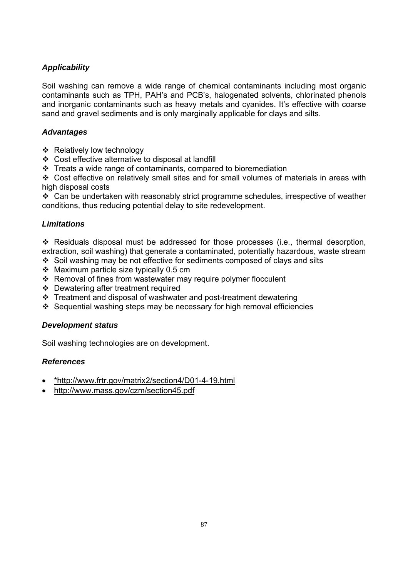Soil washing can remove a wide range of chemical contaminants including most organic contaminants such as TPH, PAH's and PCB's, halogenated solvents, chlorinated phenols and inorganic contaminants such as heavy metals and cyanides. It's effective with coarse sand and gravel sediments and is only marginally applicable for clays and silts.

# *Advantages*

- ❖ Relatively low technology
- Cost effective alternative to disposal at landfill
- $\cdot \cdot$  Treats a wide range of contaminants, compared to bioremediation

 Cost effective on relatively small sites and for small volumes of materials in areas with high disposal costs

 $\div$  Can be undertaken with reasonably strict programme schedules, irrespective of weather conditions, thus reducing potential delay to site redevelopment.

# *Limitations*

 Residuals disposal must be addressed for those processes (i.e., thermal desorption, extraction, soil washing) that generate a contaminated, potentially hazardous, waste stream

- Soil washing may be not effective for sediments composed of clays and silts
- $\div$  Maximum particle size typically 0.5 cm
- Removal of fines from wastewater may require polymer flocculent
- Dewatering after treatment required
- Treatment and disposal of washwater and post-treatment dewatering
- Sequential washing steps may be necessary for high removal efficiencies

# *Development status*

Soil washing technologies are on development.

# *References*

- \*http://www.frtr.gov/matrix2/section4/D01-4-19.html
- http://www.mass.gov/czm/section45.pdf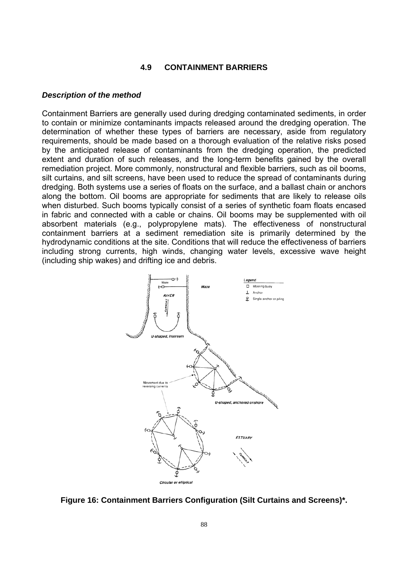#### **4.9 CONTAINMENT BARRIERS**

#### *Description of the method*

Containment Barriers are generally used during dredging contaminated sediments, in order to contain or minimize contaminants impacts released around the dredging operation. The determination of whether these types of barriers are necessary, aside from regulatory requirements, should be made based on a thorough evaluation of the relative risks posed by the anticipated release of contaminants from the dredging operation, the predicted extent and duration of such releases, and the long-term benefits gained by the overall remediation project. More commonly, nonstructural and flexible barriers, such as oil booms, silt curtains, and silt screens, have been used to reduce the spread of contaminants during dredging. Both systems use a series of floats on the surface, and a ballast chain or anchors along the bottom. Oil booms are appropriate for sediments that are likely to release oils when disturbed. Such booms typically consist of a series of synthetic foam floats encased in fabric and connected with a cable or chains. Oil booms may be supplemented with oil absorbent materials (e.g., polypropylene mats). The effectiveness of nonstructural containment barriers at a sediment remediation site is primarily determined by the hydrodynamic conditions at the site. Conditions that will reduce the effectiveness of barriers including strong currents, high winds, changing water levels, excessive wave height (including ship wakes) and drifting ice and debris.



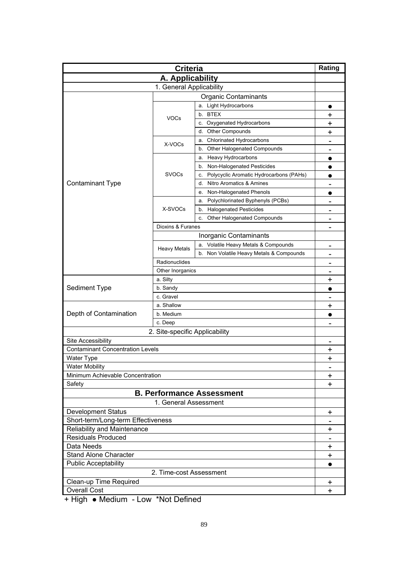| <b>Criteria</b>                                               |                     |                                               | Rating                       |  |
|---------------------------------------------------------------|---------------------|-----------------------------------------------|------------------------------|--|
|                                                               | A. Applicability    |                                               |                              |  |
| 1. General Applicability                                      |                     |                                               |                              |  |
| <b>Organic Contaminants</b>                                   |                     |                                               |                              |  |
|                                                               |                     | a. Light Hydrocarbons                         |                              |  |
|                                                               |                     | b. BTEX                                       | +                            |  |
|                                                               | <b>VOCs</b>         | c. Oxygenated Hydrocarbons                    | +                            |  |
|                                                               |                     | <b>Other Compounds</b><br>d.                  | +                            |  |
|                                                               |                     | <b>Chlorinated Hydrocarbons</b><br>а.         | $\qquad \qquad$              |  |
|                                                               | X-VOCs              | b. Other Halogenated Compounds                |                              |  |
|                                                               |                     | a. Heavy Hydrocarbons                         | $\bullet$                    |  |
|                                                               |                     | b. Non-Halogenated Pesticides                 | $\bullet$                    |  |
|                                                               | <b>SVOCs</b>        | Polycyclic Aromatic Hydrocarbons (PAHs)<br>c. |                              |  |
| <b>Contaminant Type</b>                                       |                     | Nitro Aromatics & Amines<br>d.                |                              |  |
|                                                               |                     | Non-Halogenated Phenols<br>е.                 |                              |  |
|                                                               |                     | Polychlorinated Byphenyls (PCBs)<br>а.        | $\overline{\phantom{0}}$     |  |
|                                                               | X-SVOCs             | <b>Halogenated Pesticides</b><br>b.           | $\qquad \qquad$              |  |
|                                                               |                     | Other Halogenated Compounds<br>c.             | $\qquad \qquad$              |  |
|                                                               | Dioxins & Furanes   |                                               | $\qquad \qquad$              |  |
|                                                               |                     | Inorganic Contaminants                        |                              |  |
|                                                               |                     | a. Volatile Heavy Metals & Compounds          |                              |  |
|                                                               | <b>Heavy Metals</b> | b. Non Volatile Heavy Metals & Compounds      | $\qquad \qquad$              |  |
|                                                               | Radionuclides       |                                               |                              |  |
|                                                               | Other Inorganics    |                                               |                              |  |
| a. Silty                                                      |                     |                                               | +                            |  |
| Sediment Type                                                 | b. Sandy            |                                               |                              |  |
|                                                               | c. Gravel           |                                               |                              |  |
|                                                               | a. Shallow          |                                               | +                            |  |
| Depth of Contamination                                        | b. Medium           |                                               |                              |  |
|                                                               | c. Deep             |                                               |                              |  |
|                                                               |                     |                                               |                              |  |
| 2. Site-specific Applicability                                |                     |                                               |                              |  |
| Site Accessibility<br><b>Contaminant Concentration Levels</b> |                     |                                               | $\qquad \qquad \blacksquare$ |  |
|                                                               |                     |                                               | $\ddot{}$                    |  |
| <b>Water Type</b><br><b>Water Mobility</b>                    |                     |                                               | $\ddot{}$                    |  |
|                                                               |                     |                                               |                              |  |
| Minimum Achievable Concentration<br>Safety                    |                     |                                               | $\pmb{+}$<br>+               |  |
|                                                               |                     |                                               |                              |  |
| <b>B. Performance Assessment</b>                              |                     |                                               |                              |  |
| 1. General Assessment                                         |                     |                                               |                              |  |
| <b>Development Status</b>                                     |                     |                                               | $\ddot{}$                    |  |
| Short-term/Long-term Effectiveness                            |                     |                                               |                              |  |
| Reliability and Maintenance                                   |                     |                                               | +                            |  |
| <b>Residuals Produced</b>                                     |                     |                                               | $\ddot{}$                    |  |
| Data Needs                                                    |                     |                                               |                              |  |
| <b>Stand Alone Character</b>                                  |                     |                                               |                              |  |
| <b>Public Acceptability</b>                                   |                     |                                               |                              |  |
| 2. Time-cost Assessment                                       |                     |                                               |                              |  |
| Clean-up Time Required                                        |                     |                                               | $\ddot{}$                    |  |
| <b>Overall Cost</b>                                           |                     |                                               |                              |  |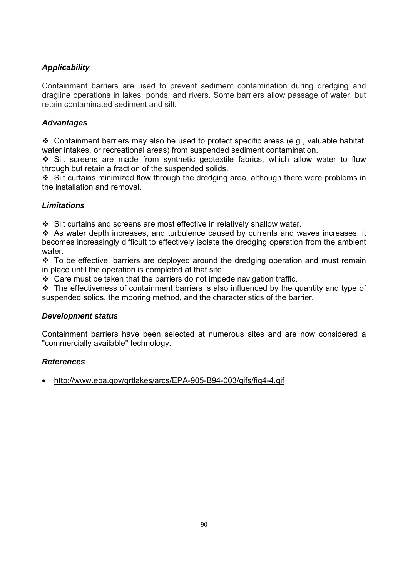Containment barriers are used to prevent sediment contamination during dredging and dragline operations in lakes, ponds, and rivers. Some barriers allow passage of water, but retain contaminated sediment and silt.

# *Advantages*

 $\div$  Containment barriers may also be used to protect specific areas (e.g., valuable habitat, water intakes, or recreational areas) from suspended sediment contamination.

 $\div$  Silt screens are made from synthetic geotextile fabrics, which allow water to flow through but retain a fraction of the suspended solids.

 $\div$  Silt curtains minimized flow through the dredging area, although there were problems in the installation and removal.

# *Limitations*

Silt curtains and screens are most effective in relatively shallow water.

 As water depth increases, and turbulence caused by currents and waves increases, it becomes increasingly difficult to effectively isolate the dredging operation from the ambient water.

 $\div$  To be effective, barriers are deployed around the dredging operation and must remain in place until the operation is completed at that site.

 $\div$  Care must be taken that the barriers do not impede navigation traffic.

 $\div$  The effectiveness of containment barriers is also influenced by the quantity and type of suspended solids, the mooring method, and the characteristics of the barrier.

## *Development status*

Containment barriers have been selected at numerous sites and are now considered a "commercially available" technology.

# *References*

• http://www.epa.gov/grtlakes/arcs/EPA-905-B94-003/gifs/fig4-4.gif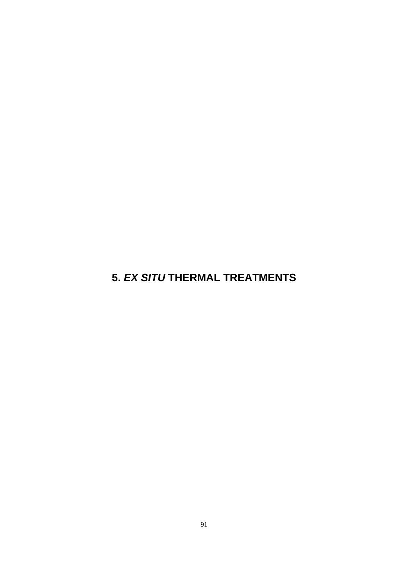**5.** *EX SITU* **THERMAL TREATMENTS**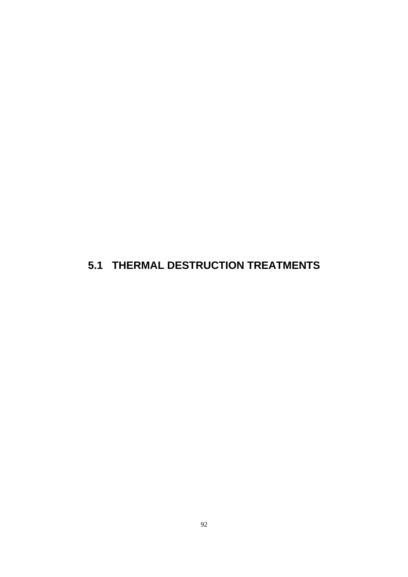# **5.1 THERMAL DESTRUCTION TREATMENTS**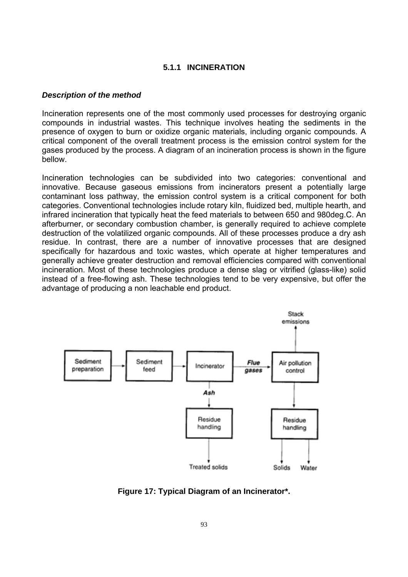## **5.1.1 INCINERATION**

#### *Description of the method*

Incineration represents one of the most commonly used processes for destroying organic compounds in industrial wastes. This technique involves heating the sediments in the presence of oxygen to burn or oxidize organic materials, including organic compounds. A critical component of the overall treatment process is the emission control system for the gases produced by the process. A diagram of an incineration process is shown in the figure bellow.

Incineration technologies can be subdivided into two categories: conventional and innovative. Because gaseous emissions from incinerators present a potentially large contaminant loss pathway, the emission control system is a critical component for both categories. Conventional technologies include rotary kiln, fluidized bed, multiple hearth, and infrared incineration that typically heat the feed materials to between 650 and 980deg.C. An afterburner, or secondary combustion chamber, is generally required to achieve complete destruction of the volatilized organic compounds. All of these processes produce a dry ash residue. In contrast, there are a number of innovative processes that are designed specifically for hazardous and toxic wastes, which operate at higher temperatures and generally achieve greater destruction and removal efficiencies compared with conventional incineration. Most of these technologies produce a dense slag or vitrified (glass-like) solid instead of a free-flowing ash. These technologies tend to be very expensive, but offer the advantage of producing a non leachable end product.



**Figure 17: Typical Diagram of an Incinerator\*.**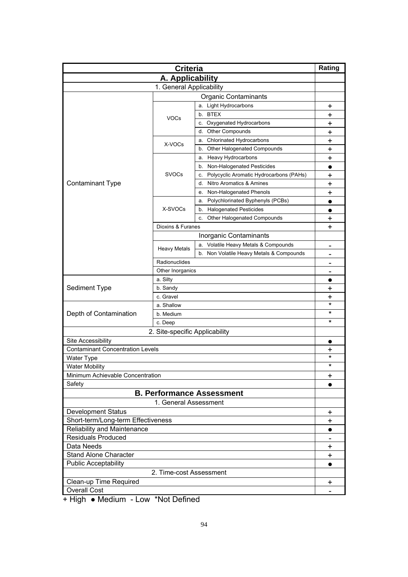| A. Applicability<br>1. General Applicability<br><b>Organic Contaminants</b><br>a. Light Hydrocarbons<br>+<br>b. BTEX<br>+<br><b>VOCs</b><br>c. Oxygenated Hydrocarbons<br>+<br><b>Other Compounds</b><br>d.<br>+<br>a. Chlorinated Hydrocarbons<br>+<br>X-VOCs<br>Other Halogenated Compounds<br>b.<br>+<br><b>Heavy Hydrocarbons</b><br>+<br>a.<br>Non-Halogenated Pesticides<br>b.<br><b>SVOCs</b><br>Polycyclic Aromatic Hydrocarbons (PAHs)<br>c.<br>+<br><b>Contaminant Type</b><br>Nitro Aromatics & Amines<br>d.<br>+<br>Non-Halogenated Phenols<br>+<br>е.<br>Polychlorinated Byphenyls (PCBs)<br>a.<br>$\bullet$<br>X-SVOCs<br><b>Halogenated Pesticides</b><br>b.<br>$\bullet$<br>Other Halogenated Compounds<br>c.<br>+<br>Dioxins & Furanes<br>+<br>Inorganic Contaminants<br>a. Volatile Heavy Metals & Compounds<br>$\overline{\phantom{0}}$<br><b>Heavy Metals</b><br>b. Non Volatile Heavy Metals & Compounds<br>Radionuclides<br>Other Inorganics<br>$\blacksquare$<br>a. Silty<br>Sediment Type<br>b. Sandy<br>+<br>c. Gravel<br>+<br>$\star$<br>a. Shallow<br>*<br>Depth of Contamination<br>b. Medium<br>$\star$<br>c. Deep<br>2. Site-specific Applicability<br>Site Accessibility<br>$\bullet$<br><b>Contaminant Concentration Levels</b><br>٠<br>$^\star$<br>Water Type<br>$^\star$<br><b>Water Mobility</b><br>Minimum Achievable Concentration<br>+<br>Safety<br><b>B. Performance Assessment</b><br>1. General Assessment<br><b>Development Status</b><br>$\ddot{}$<br>Short-term/Long-term Effectiveness<br>$\ddot{}$<br>Reliability and Maintenance<br>$\bullet$<br><b>Residuals Produced</b><br>Data Needs<br>+<br>Stand Alone Character<br>+<br><b>Public Acceptability</b><br>$\bullet$ | <b>Criteria</b>         |  |  | Rating |
|------------------------------------------------------------------------------------------------------------------------------------------------------------------------------------------------------------------------------------------------------------------------------------------------------------------------------------------------------------------------------------------------------------------------------------------------------------------------------------------------------------------------------------------------------------------------------------------------------------------------------------------------------------------------------------------------------------------------------------------------------------------------------------------------------------------------------------------------------------------------------------------------------------------------------------------------------------------------------------------------------------------------------------------------------------------------------------------------------------------------------------------------------------------------------------------------------------------------------------------------------------------------------------------------------------------------------------------------------------------------------------------------------------------------------------------------------------------------------------------------------------------------------------------------------------------------------------------------------------------------------------------------------------------------------------------------------------------------|-------------------------|--|--|--------|
|                                                                                                                                                                                                                                                                                                                                                                                                                                                                                                                                                                                                                                                                                                                                                                                                                                                                                                                                                                                                                                                                                                                                                                                                                                                                                                                                                                                                                                                                                                                                                                                                                                                                                                                        |                         |  |  |        |
|                                                                                                                                                                                                                                                                                                                                                                                                                                                                                                                                                                                                                                                                                                                                                                                                                                                                                                                                                                                                                                                                                                                                                                                                                                                                                                                                                                                                                                                                                                                                                                                                                                                                                                                        |                         |  |  |        |
|                                                                                                                                                                                                                                                                                                                                                                                                                                                                                                                                                                                                                                                                                                                                                                                                                                                                                                                                                                                                                                                                                                                                                                                                                                                                                                                                                                                                                                                                                                                                                                                                                                                                                                                        |                         |  |  |        |
|                                                                                                                                                                                                                                                                                                                                                                                                                                                                                                                                                                                                                                                                                                                                                                                                                                                                                                                                                                                                                                                                                                                                                                                                                                                                                                                                                                                                                                                                                                                                                                                                                                                                                                                        |                         |  |  |        |
|                                                                                                                                                                                                                                                                                                                                                                                                                                                                                                                                                                                                                                                                                                                                                                                                                                                                                                                                                                                                                                                                                                                                                                                                                                                                                                                                                                                                                                                                                                                                                                                                                                                                                                                        |                         |  |  |        |
|                                                                                                                                                                                                                                                                                                                                                                                                                                                                                                                                                                                                                                                                                                                                                                                                                                                                                                                                                                                                                                                                                                                                                                                                                                                                                                                                                                                                                                                                                                                                                                                                                                                                                                                        |                         |  |  |        |
|                                                                                                                                                                                                                                                                                                                                                                                                                                                                                                                                                                                                                                                                                                                                                                                                                                                                                                                                                                                                                                                                                                                                                                                                                                                                                                                                                                                                                                                                                                                                                                                                                                                                                                                        |                         |  |  |        |
|                                                                                                                                                                                                                                                                                                                                                                                                                                                                                                                                                                                                                                                                                                                                                                                                                                                                                                                                                                                                                                                                                                                                                                                                                                                                                                                                                                                                                                                                                                                                                                                                                                                                                                                        |                         |  |  |        |
|                                                                                                                                                                                                                                                                                                                                                                                                                                                                                                                                                                                                                                                                                                                                                                                                                                                                                                                                                                                                                                                                                                                                                                                                                                                                                                                                                                                                                                                                                                                                                                                                                                                                                                                        |                         |  |  |        |
|                                                                                                                                                                                                                                                                                                                                                                                                                                                                                                                                                                                                                                                                                                                                                                                                                                                                                                                                                                                                                                                                                                                                                                                                                                                                                                                                                                                                                                                                                                                                                                                                                                                                                                                        |                         |  |  |        |
|                                                                                                                                                                                                                                                                                                                                                                                                                                                                                                                                                                                                                                                                                                                                                                                                                                                                                                                                                                                                                                                                                                                                                                                                                                                                                                                                                                                                                                                                                                                                                                                                                                                                                                                        |                         |  |  |        |
|                                                                                                                                                                                                                                                                                                                                                                                                                                                                                                                                                                                                                                                                                                                                                                                                                                                                                                                                                                                                                                                                                                                                                                                                                                                                                                                                                                                                                                                                                                                                                                                                                                                                                                                        |                         |  |  |        |
|                                                                                                                                                                                                                                                                                                                                                                                                                                                                                                                                                                                                                                                                                                                                                                                                                                                                                                                                                                                                                                                                                                                                                                                                                                                                                                                                                                                                                                                                                                                                                                                                                                                                                                                        |                         |  |  |        |
|                                                                                                                                                                                                                                                                                                                                                                                                                                                                                                                                                                                                                                                                                                                                                                                                                                                                                                                                                                                                                                                                                                                                                                                                                                                                                                                                                                                                                                                                                                                                                                                                                                                                                                                        |                         |  |  |        |
|                                                                                                                                                                                                                                                                                                                                                                                                                                                                                                                                                                                                                                                                                                                                                                                                                                                                                                                                                                                                                                                                                                                                                                                                                                                                                                                                                                                                                                                                                                                                                                                                                                                                                                                        |                         |  |  |        |
|                                                                                                                                                                                                                                                                                                                                                                                                                                                                                                                                                                                                                                                                                                                                                                                                                                                                                                                                                                                                                                                                                                                                                                                                                                                                                                                                                                                                                                                                                                                                                                                                                                                                                                                        |                         |  |  |        |
|                                                                                                                                                                                                                                                                                                                                                                                                                                                                                                                                                                                                                                                                                                                                                                                                                                                                                                                                                                                                                                                                                                                                                                                                                                                                                                                                                                                                                                                                                                                                                                                                                                                                                                                        |                         |  |  |        |
|                                                                                                                                                                                                                                                                                                                                                                                                                                                                                                                                                                                                                                                                                                                                                                                                                                                                                                                                                                                                                                                                                                                                                                                                                                                                                                                                                                                                                                                                                                                                                                                                                                                                                                                        |                         |  |  |        |
|                                                                                                                                                                                                                                                                                                                                                                                                                                                                                                                                                                                                                                                                                                                                                                                                                                                                                                                                                                                                                                                                                                                                                                                                                                                                                                                                                                                                                                                                                                                                                                                                                                                                                                                        |                         |  |  |        |
|                                                                                                                                                                                                                                                                                                                                                                                                                                                                                                                                                                                                                                                                                                                                                                                                                                                                                                                                                                                                                                                                                                                                                                                                                                                                                                                                                                                                                                                                                                                                                                                                                                                                                                                        |                         |  |  |        |
|                                                                                                                                                                                                                                                                                                                                                                                                                                                                                                                                                                                                                                                                                                                                                                                                                                                                                                                                                                                                                                                                                                                                                                                                                                                                                                                                                                                                                                                                                                                                                                                                                                                                                                                        |                         |  |  |        |
|                                                                                                                                                                                                                                                                                                                                                                                                                                                                                                                                                                                                                                                                                                                                                                                                                                                                                                                                                                                                                                                                                                                                                                                                                                                                                                                                                                                                                                                                                                                                                                                                                                                                                                                        |                         |  |  |        |
|                                                                                                                                                                                                                                                                                                                                                                                                                                                                                                                                                                                                                                                                                                                                                                                                                                                                                                                                                                                                                                                                                                                                                                                                                                                                                                                                                                                                                                                                                                                                                                                                                                                                                                                        |                         |  |  |        |
|                                                                                                                                                                                                                                                                                                                                                                                                                                                                                                                                                                                                                                                                                                                                                                                                                                                                                                                                                                                                                                                                                                                                                                                                                                                                                                                                                                                                                                                                                                                                                                                                                                                                                                                        |                         |  |  |        |
|                                                                                                                                                                                                                                                                                                                                                                                                                                                                                                                                                                                                                                                                                                                                                                                                                                                                                                                                                                                                                                                                                                                                                                                                                                                                                                                                                                                                                                                                                                                                                                                                                                                                                                                        |                         |  |  |        |
|                                                                                                                                                                                                                                                                                                                                                                                                                                                                                                                                                                                                                                                                                                                                                                                                                                                                                                                                                                                                                                                                                                                                                                                                                                                                                                                                                                                                                                                                                                                                                                                                                                                                                                                        |                         |  |  |        |
|                                                                                                                                                                                                                                                                                                                                                                                                                                                                                                                                                                                                                                                                                                                                                                                                                                                                                                                                                                                                                                                                                                                                                                                                                                                                                                                                                                                                                                                                                                                                                                                                                                                                                                                        |                         |  |  |        |
|                                                                                                                                                                                                                                                                                                                                                                                                                                                                                                                                                                                                                                                                                                                                                                                                                                                                                                                                                                                                                                                                                                                                                                                                                                                                                                                                                                                                                                                                                                                                                                                                                                                                                                                        |                         |  |  |        |
|                                                                                                                                                                                                                                                                                                                                                                                                                                                                                                                                                                                                                                                                                                                                                                                                                                                                                                                                                                                                                                                                                                                                                                                                                                                                                                                                                                                                                                                                                                                                                                                                                                                                                                                        |                         |  |  |        |
|                                                                                                                                                                                                                                                                                                                                                                                                                                                                                                                                                                                                                                                                                                                                                                                                                                                                                                                                                                                                                                                                                                                                                                                                                                                                                                                                                                                                                                                                                                                                                                                                                                                                                                                        |                         |  |  |        |
|                                                                                                                                                                                                                                                                                                                                                                                                                                                                                                                                                                                                                                                                                                                                                                                                                                                                                                                                                                                                                                                                                                                                                                                                                                                                                                                                                                                                                                                                                                                                                                                                                                                                                                                        |                         |  |  |        |
|                                                                                                                                                                                                                                                                                                                                                                                                                                                                                                                                                                                                                                                                                                                                                                                                                                                                                                                                                                                                                                                                                                                                                                                                                                                                                                                                                                                                                                                                                                                                                                                                                                                                                                                        |                         |  |  |        |
|                                                                                                                                                                                                                                                                                                                                                                                                                                                                                                                                                                                                                                                                                                                                                                                                                                                                                                                                                                                                                                                                                                                                                                                                                                                                                                                                                                                                                                                                                                                                                                                                                                                                                                                        |                         |  |  |        |
|                                                                                                                                                                                                                                                                                                                                                                                                                                                                                                                                                                                                                                                                                                                                                                                                                                                                                                                                                                                                                                                                                                                                                                                                                                                                                                                                                                                                                                                                                                                                                                                                                                                                                                                        |                         |  |  |        |
|                                                                                                                                                                                                                                                                                                                                                                                                                                                                                                                                                                                                                                                                                                                                                                                                                                                                                                                                                                                                                                                                                                                                                                                                                                                                                                                                                                                                                                                                                                                                                                                                                                                                                                                        |                         |  |  |        |
|                                                                                                                                                                                                                                                                                                                                                                                                                                                                                                                                                                                                                                                                                                                                                                                                                                                                                                                                                                                                                                                                                                                                                                                                                                                                                                                                                                                                                                                                                                                                                                                                                                                                                                                        |                         |  |  |        |
|                                                                                                                                                                                                                                                                                                                                                                                                                                                                                                                                                                                                                                                                                                                                                                                                                                                                                                                                                                                                                                                                                                                                                                                                                                                                                                                                                                                                                                                                                                                                                                                                                                                                                                                        |                         |  |  |        |
|                                                                                                                                                                                                                                                                                                                                                                                                                                                                                                                                                                                                                                                                                                                                                                                                                                                                                                                                                                                                                                                                                                                                                                                                                                                                                                                                                                                                                                                                                                                                                                                                                                                                                                                        |                         |  |  |        |
|                                                                                                                                                                                                                                                                                                                                                                                                                                                                                                                                                                                                                                                                                                                                                                                                                                                                                                                                                                                                                                                                                                                                                                                                                                                                                                                                                                                                                                                                                                                                                                                                                                                                                                                        |                         |  |  |        |
|                                                                                                                                                                                                                                                                                                                                                                                                                                                                                                                                                                                                                                                                                                                                                                                                                                                                                                                                                                                                                                                                                                                                                                                                                                                                                                                                                                                                                                                                                                                                                                                                                                                                                                                        |                         |  |  |        |
|                                                                                                                                                                                                                                                                                                                                                                                                                                                                                                                                                                                                                                                                                                                                                                                                                                                                                                                                                                                                                                                                                                                                                                                                                                                                                                                                                                                                                                                                                                                                                                                                                                                                                                                        |                         |  |  |        |
|                                                                                                                                                                                                                                                                                                                                                                                                                                                                                                                                                                                                                                                                                                                                                                                                                                                                                                                                                                                                                                                                                                                                                                                                                                                                                                                                                                                                                                                                                                                                                                                                                                                                                                                        |                         |  |  |        |
|                                                                                                                                                                                                                                                                                                                                                                                                                                                                                                                                                                                                                                                                                                                                                                                                                                                                                                                                                                                                                                                                                                                                                                                                                                                                                                                                                                                                                                                                                                                                                                                                                                                                                                                        |                         |  |  |        |
|                                                                                                                                                                                                                                                                                                                                                                                                                                                                                                                                                                                                                                                                                                                                                                                                                                                                                                                                                                                                                                                                                                                                                                                                                                                                                                                                                                                                                                                                                                                                                                                                                                                                                                                        |                         |  |  |        |
|                                                                                                                                                                                                                                                                                                                                                                                                                                                                                                                                                                                                                                                                                                                                                                                                                                                                                                                                                                                                                                                                                                                                                                                                                                                                                                                                                                                                                                                                                                                                                                                                                                                                                                                        |                         |  |  |        |
|                                                                                                                                                                                                                                                                                                                                                                                                                                                                                                                                                                                                                                                                                                                                                                                                                                                                                                                                                                                                                                                                                                                                                                                                                                                                                                                                                                                                                                                                                                                                                                                                                                                                                                                        | 2. Time-cost Assessment |  |  |        |
| Clean-up Time Required<br>+                                                                                                                                                                                                                                                                                                                                                                                                                                                                                                                                                                                                                                                                                                                                                                                                                                                                                                                                                                                                                                                                                                                                                                                                                                                                                                                                                                                                                                                                                                                                                                                                                                                                                            |                         |  |  |        |
| <b>Overall Cost</b>                                                                                                                                                                                                                                                                                                                                                                                                                                                                                                                                                                                                                                                                                                                                                                                                                                                                                                                                                                                                                                                                                                                                                                                                                                                                                                                                                                                                                                                                                                                                                                                                                                                                                                    |                         |  |  |        |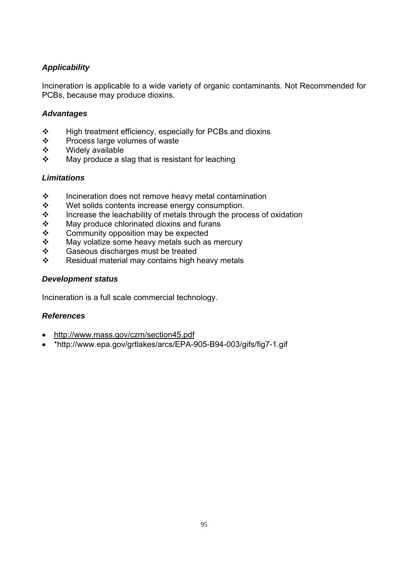Incineration is applicable to a wide variety of organic contaminants. Not Recommended for PCBs, because may produce dioxins.

# *Advantages*

- High treatment efficiency, especially for PCBs and dioxins
- ❖ Process large volumes of waste
- $\div$  Widely available
- $\cdot$  May produce a slag that is resistant for leaching

# *Limitations*

- $\cdot \cdot$  Incineration does not remove heavy metal contamination
- Wet solids contents increase energy consumption.
- $\cdot \cdot$  Increase the leachability of metals through the process of oxidation
- $\div$  May produce chlorinated dioxins and furans
- ❖ Community opposition may be expected
- $\cdot \cdot$  May volatize some heavy metals such as mercury
- ❖ Gaseous discharges must be treated
- $\div$  Residual material may contains high heavy metals

# *Development status*

Incineration is a full scale commercial technology.

## *References*

- http://www.mass.gov/czm/section45.pdf
- \*http://www.epa.gov/grtlakes/arcs/EPA-905-B94-003/gifs/fig7-1.gif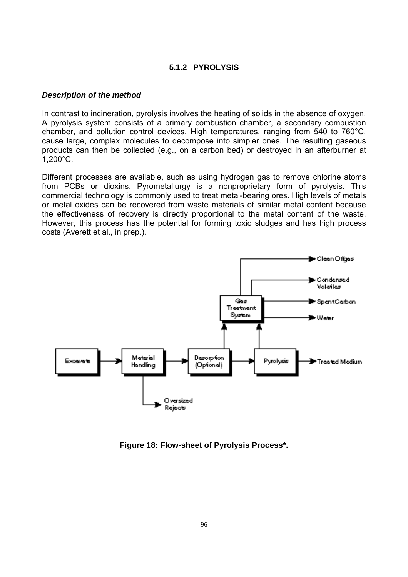# **5.1.2 PYROLYSIS**

#### *Description of the method*

In contrast to incineration, pyrolysis involves the heating of solids in the absence of oxygen. A pyrolysis system consists of a primary combustion chamber, a secondary combustion chamber, and pollution control devices. High temperatures, ranging from 540 to 760°C, cause large, complex molecules to decompose into simpler ones. The resulting gaseous products can then be collected (e.g., on a carbon bed) or destroyed in an afterburner at 1,200°C.

Different processes are available, such as using hydrogen gas to remove chlorine atoms from PCBs or dioxins. Pyrometallurgy is a nonproprietary form of pyrolysis. This commercial technology is commonly used to treat metal-bearing ores. High levels of metals or metal oxides can be recovered from waste materials of similar metal content because the effectiveness of recovery is directly proportional to the metal content of the waste. However, this process has the potential for forming toxic sludges and has high process costs (Averett et al., in prep.).



**Figure 18: Flow-sheet of Pyrolysis Process\*.**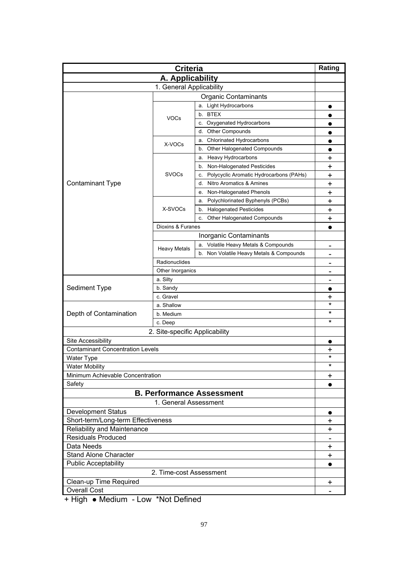| <b>Criteria</b>                                                 |                     |                                               | Rating                 |  |
|-----------------------------------------------------------------|---------------------|-----------------------------------------------|------------------------|--|
| A. Applicability                                                |                     |                                               |                        |  |
| 1. General Applicability                                        |                     |                                               |                        |  |
| <b>Organic Contaminants</b>                                     |                     |                                               |                        |  |
|                                                                 |                     | a. Light Hydrocarbons                         |                        |  |
|                                                                 |                     | b. BTEX                                       |                        |  |
|                                                                 | <b>VOCs</b>         | c. Oxygenated Hydrocarbons                    | $\bullet$              |  |
|                                                                 |                     | <b>Other Compounds</b><br>d.                  |                        |  |
|                                                                 |                     | Chlorinated Hydrocarbons<br>а.                |                        |  |
|                                                                 | X-VOCs              | b. Other Halogenated Compounds                |                        |  |
|                                                                 |                     | a. Heavy Hydrocarbons                         | +                      |  |
|                                                                 |                     | b. Non-Halogenated Pesticides                 | +                      |  |
|                                                                 | <b>SVOCs</b>        | Polycyclic Aromatic Hydrocarbons (PAHs)<br>c. | +                      |  |
| <b>Contaminant Type</b>                                         |                     | Nitro Aromatics & Amines<br>d.                | +                      |  |
|                                                                 |                     | Non-Halogenated Phenols<br>е.                 | +                      |  |
|                                                                 |                     | Polychlorinated Byphenyls (PCBs)<br>a.        | $\ddot{}$              |  |
|                                                                 | X-SVOCs             | <b>Halogenated Pesticides</b><br>b.           | $\ddot{}$              |  |
|                                                                 |                     | Other Halogenated Compounds<br>c.             | $\ddot{}$              |  |
|                                                                 | Dioxins & Furanes   |                                               |                        |  |
|                                                                 |                     | Inorganic Contaminants                        |                        |  |
|                                                                 |                     | a. Volatile Heavy Metals & Compounds          |                        |  |
|                                                                 | <b>Heavy Metals</b> | b. Non Volatile Heavy Metals & Compounds      | $\qquad \qquad$        |  |
|                                                                 | Radionuclides       |                                               |                        |  |
|                                                                 | Other Inorganics    |                                               |                        |  |
| a. Silty                                                        |                     |                                               |                        |  |
| Sediment Type                                                   | b. Sandy            |                                               | -                      |  |
|                                                                 | c. Gravel           |                                               | +                      |  |
|                                                                 | a. Shallow          |                                               | $\ast$                 |  |
| Depth of Contamination                                          | b. Medium           |                                               | $^\star$               |  |
|                                                                 |                     | c. Deep                                       |                        |  |
|                                                                 |                     |                                               |                        |  |
| 2. Site-specific Applicability                                  |                     |                                               |                        |  |
| Site Accessibility<br><b>Contaminant Concentration Levels</b>   |                     |                                               | $\bullet$              |  |
|                                                                 |                     |                                               | +<br>$^\star$          |  |
| <b>Water Type</b><br><b>Water Mobility</b>                      |                     |                                               | $^\star$               |  |
| Minimum Achievable Concentration                                |                     |                                               |                        |  |
| Safety                                                          |                     |                                               | $\ddot{}$<br>$\bullet$ |  |
| <b>B. Performance Assessment</b>                                |                     |                                               |                        |  |
| 1. General Assessment                                           |                     |                                               |                        |  |
|                                                                 |                     |                                               |                        |  |
| <b>Development Status</b><br>Short-term/Long-term Effectiveness |                     |                                               | $\bullet$              |  |
|                                                                 |                     |                                               | $\ddot{}$              |  |
| Reliability and Maintenance<br><b>Residuals Produced</b>        |                     |                                               | $\ddot{}$              |  |
| Data Needs                                                      |                     |                                               |                        |  |
|                                                                 |                     |                                               |                        |  |
| <b>Stand Alone Character</b>                                    |                     |                                               |                        |  |
| <b>Public Acceptability</b>                                     |                     |                                               |                        |  |
| 2. Time-cost Assessment                                         |                     |                                               |                        |  |
| Clean-up Time Required                                          |                     |                                               | +                      |  |
| <b>Overall Cost</b>                                             |                     |                                               |                        |  |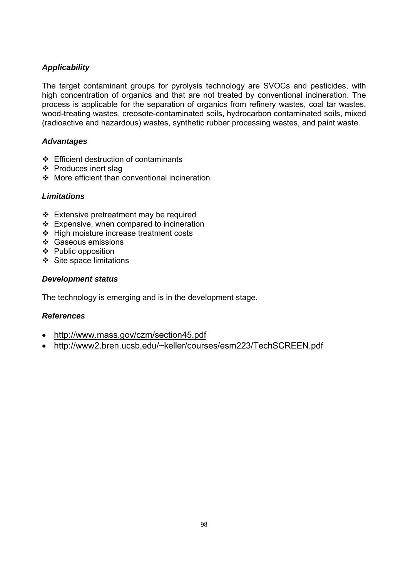The target contaminant groups for pyrolysis technology are SVOCs and pesticides, with high concentration of organics and that are not treated by conventional incineration. The process is applicable for the separation of organics from refinery wastes, coal tar wastes, wood-treating wastes, creosote-contaminated soils, hydrocarbon contaminated soils, mixed (radioactive and hazardous) wastes, synthetic rubber processing wastes, and paint waste.

# *Advantages*

- $\div$  Efficient destruction of contaminants
- ❖ Produces inert slag
- More efficient than conventional incineration

# *Limitations*

- Extensive pretreatment may be required
- $\div$  Expensive, when compared to incineration
- ❖ High moisture increase treatment costs
- ❖ Gaseous emissions
- ❖ Public opposition
- $\div$  Site space limitations

# *Development status*

The technology is emerging and is in the development stage.

## *References*

- http://www.mass.gov/czm/section45.pdf
- http://www2.bren.ucsb.edu/~keller/courses/esm223/TechSCREEN.pdf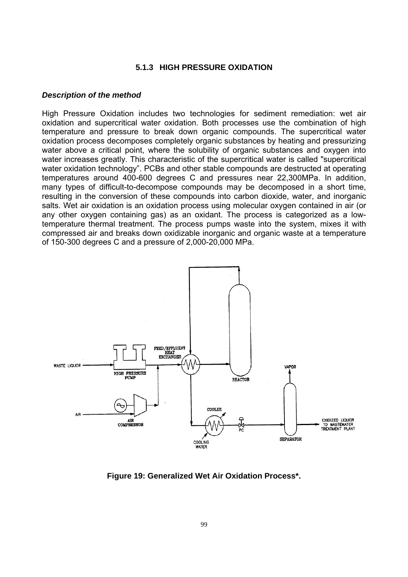#### **5.1.3 HIGH PRESSURE OXIDATION**

#### *Description of the method*

High Pressure Oxidation includes two technologies for sediment remediation: wet air oxidation and supercritical water oxidation. Both processes use the combination of high temperature and pressure to break down organic compounds. The supercritical water oxidation process decomposes completely organic substances by heating and pressurizing water above a critical point, where the solubility of organic substances and oxygen into water increases greatly. This characteristic of the supercritical water is called "supercritical water oxidation technology". PCBs and other stable compounds are destructed at operating temperatures around 400-600 degrees C and pressures near 22,300MPa. In addition, many types of difficult-to-decompose compounds may be decomposed in a short time, resulting in the conversion of these compounds into carbon dioxide, water, and inorganic salts. Wet air oxidation is an oxidation process using molecular oxygen contained in air (or any other oxygen containing gas) as an oxidant. The process is categorized as a lowtemperature thermal treatment. The process pumps waste into the system, mixes it with compressed air and breaks down oxidizable inorganic and organic waste at a temperature of 150-300 degrees C and a pressure of 2,000-20,000 MPa.



**Figure 19: Generalized Wet Air Oxidation Process\*.**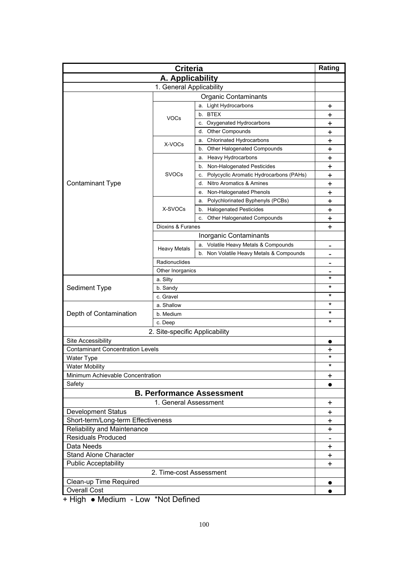| <b>Criteria</b>                         |                                |                                               | Rating         |  |
|-----------------------------------------|--------------------------------|-----------------------------------------------|----------------|--|
| A. Applicability                        |                                |                                               |                |  |
|                                         | 1. General Applicability       |                                               |                |  |
| <b>Organic Contaminants</b>             |                                |                                               |                |  |
|                                         |                                | a. Light Hydrocarbons                         | +              |  |
|                                         |                                | b. BTEX                                       | +              |  |
|                                         | <b>VOCs</b>                    | c. Oxygenated Hydrocarbons                    | +              |  |
|                                         |                                | <b>Other Compounds</b><br>d.                  | +              |  |
|                                         |                                | <b>Chlorinated Hydrocarbons</b><br>а.         | +              |  |
|                                         | X-VOCs                         | b. Other Halogenated Compounds                | +              |  |
|                                         |                                | a. Heavy Hydrocarbons                         | +              |  |
|                                         |                                | b. Non-Halogenated Pesticides                 | +              |  |
|                                         | <b>SVOCs</b>                   | Polycyclic Aromatic Hydrocarbons (PAHs)<br>c. | +              |  |
| <b>Contaminant Type</b>                 |                                | Nitro Aromatics & Amines<br>d.                | +              |  |
|                                         |                                | Non-Halogenated Phenols<br>е.                 | +              |  |
|                                         |                                | Polychlorinated Byphenyls (PCBs)<br>a.        | $\ddot{}$      |  |
|                                         | X-SVOCs                        | <b>Halogenated Pesticides</b><br>b.           | $\ddot{}$      |  |
|                                         |                                | Other Halogenated Compounds<br>c.             | +              |  |
|                                         | Dioxins & Furanes              |                                               | $\ddot{}$      |  |
|                                         |                                | Inorganic Contaminants                        |                |  |
|                                         |                                | a. Volatile Heavy Metals & Compounds          |                |  |
|                                         | <b>Heavy Metals</b>            | b. Non Volatile Heavy Metals & Compounds      | $\blacksquare$ |  |
|                                         |                                |                                               |                |  |
|                                         | Radionuclides                  |                                               |                |  |
| Other Inorganics                        |                                |                                               | *              |  |
|                                         | a. Silty                       |                                               | $^\star$       |  |
| Sediment Type                           | b. Sandy                       |                                               | *              |  |
|                                         | c. Gravel                      |                                               | *              |  |
|                                         | a. Shallow<br>b. Medium        |                                               | *              |  |
| Depth of Contamination                  |                                | *                                             |                |  |
|                                         | c. Deep                        |                                               |                |  |
|                                         | 2. Site-specific Applicability |                                               |                |  |
| Site Accessibility                      |                                |                                               | $\bullet$      |  |
| <b>Contaminant Concentration Levels</b> |                                |                                               | +              |  |
| <b>Water Type</b>                       |                                |                                               | $^\star$       |  |
| <b>Water Mobility</b>                   |                                |                                               | $^\star$       |  |
| Minimum Achievable Concentration        |                                |                                               | $\ddot{}$      |  |
| Safety                                  |                                |                                               | $\bullet$      |  |
| <b>B. Performance Assessment</b>        |                                |                                               |                |  |
| 1. General Assessment                   |                                |                                               | $\ddot{}$      |  |
| <b>Development Status</b>               |                                |                                               | $\ddot{}$      |  |
| Short-term/Long-term Effectiveness      |                                |                                               | $\ddot{}$      |  |
| Reliability and Maintenance             |                                |                                               | $\ddot{}$      |  |
| <b>Residuals Produced</b>               |                                |                                               |                |  |
| Data Needs                              |                                |                                               |                |  |
| <b>Stand Alone Character</b>            |                                |                                               | $\ddot{}$      |  |
| <b>Public Acceptability</b>             |                                |                                               |                |  |
| 2. Time-cost Assessment                 |                                |                                               |                |  |
| Clean-up Time Required                  |                                |                                               |                |  |
| <b>Overall Cost</b>                     |                                |                                               | $\bullet$      |  |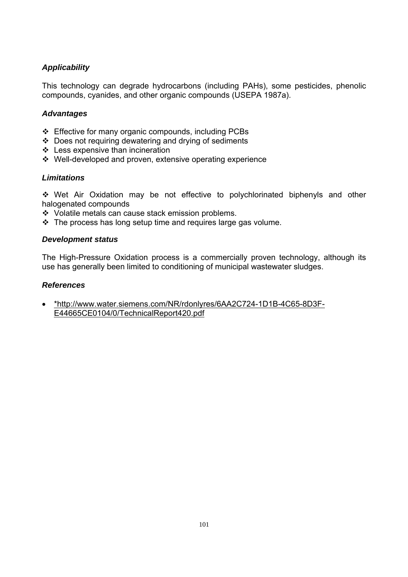This technology can degrade hydrocarbons (including PAHs), some pesticides, phenolic compounds, cyanides, and other organic compounds (USEPA 1987a).

# *Advantages*

- Effective for many organic compounds, including PCBs
- Does not requiring dewatering and drying of sediments
- ❖ Less expensive than incineration
- Well-developed and proven, extensive operating experience

# *Limitations*

 Wet Air Oxidation may be not effective to polychlorinated biphenyls and other halogenated compounds

- Volatile metals can cause stack emission problems.
- $\cdot \cdot$  The process has long setup time and requires large gas volume.

## *Development status*

The High-Pressure Oxidation process is a commercially proven technology, although its use has generally been limited to conditioning of municipal wastewater sludges.

## *References*

• \*http://www.water.siemens.com/NR/rdonlyres/6AA2C724-1D1B-4C65-8D3F-E44665CE0104/0/TechnicalReport420.pdf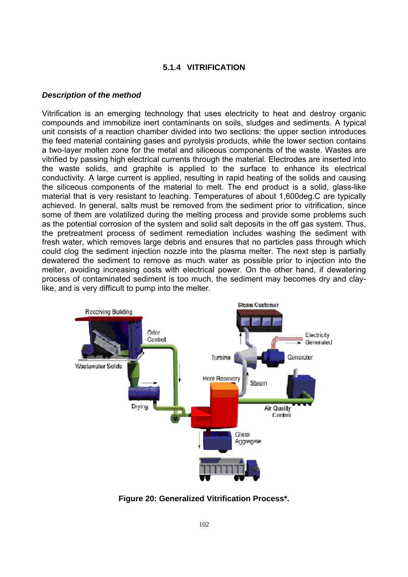## **5.1.4 VITRIFICATION**

#### *Description of the method*

Vitrification is an emerging technology that uses electricity to heat and destroy organic compounds and immobilize inert contaminants on soils, sludges and sediments. A typical unit consists of a reaction chamber divided into two sections: the upper section introduces the feed material containing gases and pyrolysis products, while the lower section contains a two-layer molten zone for the metal and siliceous components of the waste. Wastes are vitrified by passing high electrical currents through the material. Electrodes are inserted into the waste solids, and graphite is applied to the surface to enhance its electrical conductivity. A large current is applied, resulting in rapid heating of the solids and causing the siliceous components of the material to melt. The end product is a solid, glass-like material that is very resistant to leaching. Temperatures of about 1,600deg.C are typically achieved. In general, salts must be removed from the sediment prior to vitrification, since some of them are volatilized during the melting process and provide some problems such as the potential corrosion of the system and solid salt deposits in the off gas system. Thus, the pretreatment process of sediment remediation includes washing the sediment with fresh water, which removes large debris and ensures that no particles pass through which could clog the sediment injection nozzle into the plasma melter. The next step is partially dewatered the sediment to remove as much water as possible prior to injection into the melter, avoiding increasing costs with electrical power. On the other hand, if dewatering process of contaminated sediment is too much, the sediment may becomes dry and claylike, and is very difficult to pump into the melter.



**Figure 20: Generalized Vitrification Process\*.**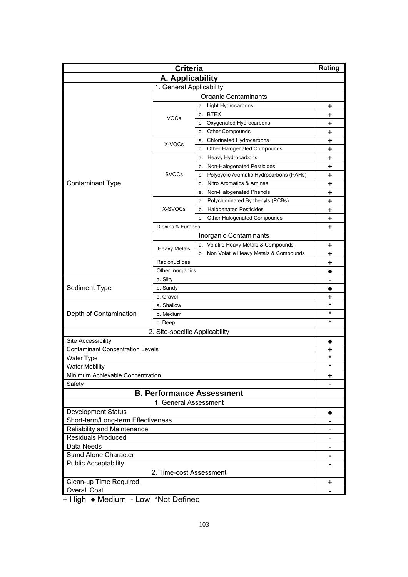| <b>Criteria</b>                         |                                |                                               | Rating         |
|-----------------------------------------|--------------------------------|-----------------------------------------------|----------------|
| A. Applicability                        |                                |                                               |                |
|                                         | 1. General Applicability       |                                               |                |
| <b>Organic Contaminants</b>             |                                |                                               |                |
|                                         |                                | a. Light Hydrocarbons                         | +              |
|                                         |                                | b. BTEX                                       | +              |
|                                         | <b>VOCs</b>                    | c. Oxygenated Hydrocarbons                    | $\ddot{}$      |
|                                         |                                | <b>Other Compounds</b><br>d.                  | +              |
|                                         |                                | <b>Chlorinated Hydrocarbons</b><br>а.         | +              |
|                                         | X-VOCs                         | Other Halogenated Compounds<br>b.             | +              |
|                                         |                                | Heavy Hydrocarbons<br>a.                      | +              |
|                                         |                                | Non-Halogenated Pesticides<br>b.              | +              |
|                                         | <b>SVOCs</b>                   | Polycyclic Aromatic Hydrocarbons (PAHs)<br>c. | +              |
| <b>Contaminant Type</b>                 |                                | Nitro Aromatics & Amines<br>d.                | +              |
|                                         |                                | Non-Halogenated Phenols<br>е.                 | $\ddot{}$      |
|                                         |                                | Polychlorinated Byphenyls (PCBs)<br>a.        | $\ddot{}$      |
|                                         | X-SVOCs                        | <b>Halogenated Pesticides</b><br>b.           | $\ddot{}$      |
|                                         |                                | Other Halogenated Compounds<br>c.             | $\ddot{}$      |
|                                         | Dioxins & Furanes              |                                               | $\ddot{}$      |
|                                         |                                | Inorganic Contaminants                        |                |
|                                         |                                | a. Volatile Heavy Metals & Compounds          | +              |
|                                         | <b>Heavy Metals</b>            | b. Non Volatile Heavy Metals & Compounds      | $\pmb{+}$      |
|                                         | Radionuclides                  |                                               | +              |
|                                         | Other Inorganics               |                                               | $\bullet$      |
|                                         | a. Silty                       |                                               | $\blacksquare$ |
| Sediment Type                           | b. Sandy                       |                                               | $\bullet$      |
|                                         | c. Gravel                      | +                                             |                |
|                                         | a. Shallow                     |                                               | $\star$        |
| Depth of Contamination                  | b. Medium                      |                                               | *              |
|                                         | c. Deep                        |                                               | $\star$        |
|                                         | 2. Site-specific Applicability |                                               |                |
| Site Accessibility                      |                                |                                               | $\bullet$      |
| <b>Contaminant Concentration Levels</b> |                                |                                               | +              |
| <b>Water Type</b>                       |                                |                                               | *              |
| <b>Water Mobility</b>                   |                                |                                               | $^\star$       |
| Minimum Achievable Concentration        |                                |                                               | +              |
| Safety                                  |                                |                                               |                |
| <b>B. Performance Assessment</b>        |                                |                                               |                |
| 1. General Assessment                   |                                |                                               |                |
| <b>Development Status</b>               |                                |                                               | $\bullet$      |
| Short-term/Long-term Effectiveness      |                                |                                               |                |
| Reliability and Maintenance             |                                |                                               |                |
| <b>Residuals Produced</b>               |                                |                                               |                |
| Data Needs                              |                                |                                               |                |
| Stand Alone Character                   |                                |                                               |                |
| <b>Public Acceptability</b>             |                                |                                               |                |
| 2. Time-cost Assessment                 |                                |                                               |                |
| Clean-up Time Required                  |                                |                                               |                |
| <b>Overall Cost</b>                     |                                |                                               |                |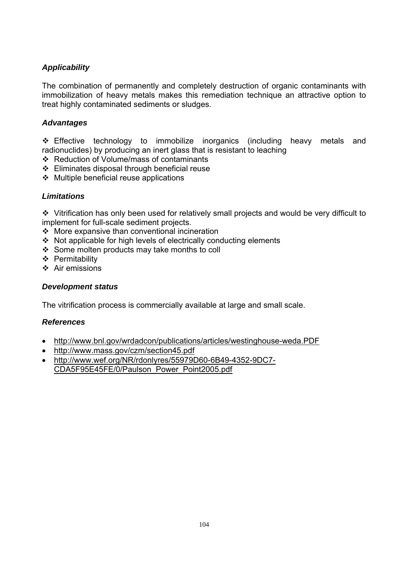The combination of permanently and completely destruction of organic contaminants with immobilization of heavy metals makes this remediation technique an attractive option to treat highly contaminated sediments or sludges.

# *Advantages*

 $\div$  Effective technology to immobilize inorganics (including heavy metals and radionuclides) by producing an inert glass that is resistant to leaching

- Reduction of Volume/mass of contaminants
- Eliminates disposal through beneficial reuse
- $\div$  Multiple beneficial reuse applications

# *Limitations*

 Vitrification has only been used for relatively small projects and would be very difficult to implement for full-scale sediment projects.

- $\div$  More expansive than conventional incineration
- Not applicable for high levels of electrically conducting elements
- Some molten products may take months to coll
- ❖ Permitability
- $\div$  Air emissions

## *Development status*

The vitrification process is commercially available at large and small scale.

## *References*

- http://www.bnl.gov/wrdadcon/publications/articles/westinghouse-weda.PDF
- http://www.mass.gov/czm/section45.pdf
- http://www.wef.org/NR/rdonlyres/55979D60-6B49-4352-9DC7- CDA5F95E45FE/0/Paulson\_Power\_Point2005.pdf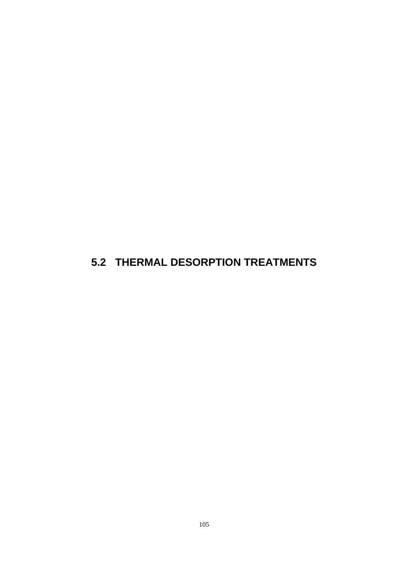# **5.2 THERMAL DESORPTION TREATMENTS**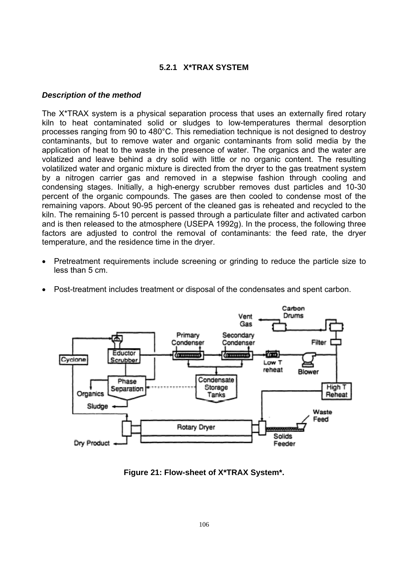# **5.2.1 X\*TRAX SYSTEM**

#### *Description of the method*

The X\*TRAX system is a physical separation process that uses an externally fired rotary kiln to heat contaminated solid or sludges to low-temperatures thermal desorption processes ranging from 90 to 480°C. This remediation technique is not designed to destroy contaminants, but to remove water and organic contaminants from solid media by the application of heat to the waste in the presence of water. The organics and the water are volatized and leave behind a dry solid with little or no organic content. The resulting volatilized water and organic mixture is directed from the dryer to the gas treatment system by a nitrogen carrier gas and removed in a stepwise fashion through cooling and condensing stages. Initially, a high-energy scrubber removes dust particles and 10-30 percent of the organic compounds. The gases are then cooled to condense most of the remaining vapors. About 90-95 percent of the cleaned gas is reheated and recycled to the kiln. The remaining 5-10 percent is passed through a particulate filter and activated carbon and is then released to the atmosphere (USEPA 1992g). In the process, the following three factors are adjusted to control the removal of contaminants: the feed rate, the dryer temperature, and the residence time in the dryer.

- Pretreatment requirements include screening or grinding to reduce the particle size to less than 5 cm.
- Post-treatment includes treatment or disposal of the condensates and spent carbon.



**Figure 21: Flow-sheet of X\*TRAX System\*.**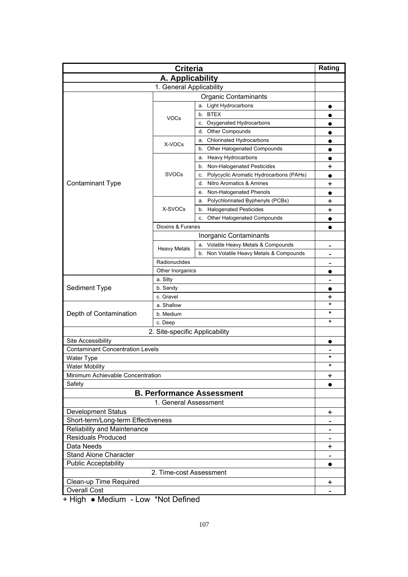| A. Applicability<br>1. General Applicability<br><b>Organic Contaminants</b><br>a. Light Hydrocarbons<br>$\bullet$<br>b. BTEX<br><b>VOCs</b><br>c. Oxygenated Hydrocarbons<br><b>Other Compounds</b><br>d.<br>a. Chlorinated Hydrocarbons<br>$\bullet$<br>X-VOCs<br>b. Other Halogenated Compounds<br>$\bullet$<br><b>Heavy Hydrocarbons</b><br>a.<br>$\bullet$<br>Non-Halogenated Pesticides<br>b.<br>+<br><b>SVOCs</b><br>Polycyclic Aromatic Hydrocarbons (PAHs)<br>c.<br><b>Contaminant Type</b><br>Nitro Aromatics & Amines<br>d.<br>+<br>Non-Halogenated Phenols<br>е.<br>$\bullet$<br>Polychlorinated Byphenyls (PCBs)<br>+<br>a.<br>X-SVOCs<br><b>Halogenated Pesticides</b><br>b.<br>$\pmb{+}$<br>Other Halogenated Compounds<br>c.<br>$\bullet$<br>Dioxins & Furanes<br>$\bullet$<br>Inorganic Contaminants<br>a. Volatile Heavy Metals & Compounds<br><b>Heavy Metals</b><br>b. Non Volatile Heavy Metals & Compounds<br>Radionuclides<br>Other Inorganics<br>a. Silty<br>$\overline{\phantom{a}}$<br>Sediment Type<br>b. Sandy<br>c. Gravel<br>+<br>$\star$<br>a. Shallow<br>*<br>Depth of Contamination<br>b. Medium<br>$^\star$<br>c. Deep<br>2. Site-specific Applicability<br>Site Accessibility<br>$\bullet$<br><b>Contaminant Concentration Levels</b><br>$^\star$<br>Water Type<br>$^\star$<br>Water Mobility<br>Minimum Achievable Concentration<br>+<br>Safety<br><b>B. Performance Assessment</b><br>1. General Assessment<br><b>Development Status</b><br>$\ddot{}$<br>Short-term/Long-term Effectiveness<br>Reliability and Maintenance<br><b>Residuals Produced</b><br>Data Needs<br>+<br>Stand Alone Character<br><b>Public Acceptability</b><br>$\bullet$<br>2. Time-cost Assessment | <b>Criteria</b> |  |  | Rating |
|----------------------------------------------------------------------------------------------------------------------------------------------------------------------------------------------------------------------------------------------------------------------------------------------------------------------------------------------------------------------------------------------------------------------------------------------------------------------------------------------------------------------------------------------------------------------------------------------------------------------------------------------------------------------------------------------------------------------------------------------------------------------------------------------------------------------------------------------------------------------------------------------------------------------------------------------------------------------------------------------------------------------------------------------------------------------------------------------------------------------------------------------------------------------------------------------------------------------------------------------------------------------------------------------------------------------------------------------------------------------------------------------------------------------------------------------------------------------------------------------------------------------------------------------------------------------------------------------------------------------------------------------------------------------------------------------------------------|-----------------|--|--|--------|
|                                                                                                                                                                                                                                                                                                                                                                                                                                                                                                                                                                                                                                                                                                                                                                                                                                                                                                                                                                                                                                                                                                                                                                                                                                                                                                                                                                                                                                                                                                                                                                                                                                                                                                                |                 |  |  |        |
|                                                                                                                                                                                                                                                                                                                                                                                                                                                                                                                                                                                                                                                                                                                                                                                                                                                                                                                                                                                                                                                                                                                                                                                                                                                                                                                                                                                                                                                                                                                                                                                                                                                                                                                |                 |  |  |        |
|                                                                                                                                                                                                                                                                                                                                                                                                                                                                                                                                                                                                                                                                                                                                                                                                                                                                                                                                                                                                                                                                                                                                                                                                                                                                                                                                                                                                                                                                                                                                                                                                                                                                                                                |                 |  |  |        |
|                                                                                                                                                                                                                                                                                                                                                                                                                                                                                                                                                                                                                                                                                                                                                                                                                                                                                                                                                                                                                                                                                                                                                                                                                                                                                                                                                                                                                                                                                                                                                                                                                                                                                                                |                 |  |  |        |
|                                                                                                                                                                                                                                                                                                                                                                                                                                                                                                                                                                                                                                                                                                                                                                                                                                                                                                                                                                                                                                                                                                                                                                                                                                                                                                                                                                                                                                                                                                                                                                                                                                                                                                                |                 |  |  |        |
|                                                                                                                                                                                                                                                                                                                                                                                                                                                                                                                                                                                                                                                                                                                                                                                                                                                                                                                                                                                                                                                                                                                                                                                                                                                                                                                                                                                                                                                                                                                                                                                                                                                                                                                |                 |  |  |        |
|                                                                                                                                                                                                                                                                                                                                                                                                                                                                                                                                                                                                                                                                                                                                                                                                                                                                                                                                                                                                                                                                                                                                                                                                                                                                                                                                                                                                                                                                                                                                                                                                                                                                                                                |                 |  |  |        |
|                                                                                                                                                                                                                                                                                                                                                                                                                                                                                                                                                                                                                                                                                                                                                                                                                                                                                                                                                                                                                                                                                                                                                                                                                                                                                                                                                                                                                                                                                                                                                                                                                                                                                                                |                 |  |  |        |
|                                                                                                                                                                                                                                                                                                                                                                                                                                                                                                                                                                                                                                                                                                                                                                                                                                                                                                                                                                                                                                                                                                                                                                                                                                                                                                                                                                                                                                                                                                                                                                                                                                                                                                                |                 |  |  |        |
|                                                                                                                                                                                                                                                                                                                                                                                                                                                                                                                                                                                                                                                                                                                                                                                                                                                                                                                                                                                                                                                                                                                                                                                                                                                                                                                                                                                                                                                                                                                                                                                                                                                                                                                |                 |  |  |        |
|                                                                                                                                                                                                                                                                                                                                                                                                                                                                                                                                                                                                                                                                                                                                                                                                                                                                                                                                                                                                                                                                                                                                                                                                                                                                                                                                                                                                                                                                                                                                                                                                                                                                                                                |                 |  |  |        |
|                                                                                                                                                                                                                                                                                                                                                                                                                                                                                                                                                                                                                                                                                                                                                                                                                                                                                                                                                                                                                                                                                                                                                                                                                                                                                                                                                                                                                                                                                                                                                                                                                                                                                                                |                 |  |  |        |
|                                                                                                                                                                                                                                                                                                                                                                                                                                                                                                                                                                                                                                                                                                                                                                                                                                                                                                                                                                                                                                                                                                                                                                                                                                                                                                                                                                                                                                                                                                                                                                                                                                                                                                                |                 |  |  |        |
|                                                                                                                                                                                                                                                                                                                                                                                                                                                                                                                                                                                                                                                                                                                                                                                                                                                                                                                                                                                                                                                                                                                                                                                                                                                                                                                                                                                                                                                                                                                                                                                                                                                                                                                |                 |  |  |        |
|                                                                                                                                                                                                                                                                                                                                                                                                                                                                                                                                                                                                                                                                                                                                                                                                                                                                                                                                                                                                                                                                                                                                                                                                                                                                                                                                                                                                                                                                                                                                                                                                                                                                                                                |                 |  |  |        |
|                                                                                                                                                                                                                                                                                                                                                                                                                                                                                                                                                                                                                                                                                                                                                                                                                                                                                                                                                                                                                                                                                                                                                                                                                                                                                                                                                                                                                                                                                                                                                                                                                                                                                                                |                 |  |  |        |
|                                                                                                                                                                                                                                                                                                                                                                                                                                                                                                                                                                                                                                                                                                                                                                                                                                                                                                                                                                                                                                                                                                                                                                                                                                                                                                                                                                                                                                                                                                                                                                                                                                                                                                                |                 |  |  |        |
|                                                                                                                                                                                                                                                                                                                                                                                                                                                                                                                                                                                                                                                                                                                                                                                                                                                                                                                                                                                                                                                                                                                                                                                                                                                                                                                                                                                                                                                                                                                                                                                                                                                                                                                |                 |  |  |        |
|                                                                                                                                                                                                                                                                                                                                                                                                                                                                                                                                                                                                                                                                                                                                                                                                                                                                                                                                                                                                                                                                                                                                                                                                                                                                                                                                                                                                                                                                                                                                                                                                                                                                                                                |                 |  |  |        |
|                                                                                                                                                                                                                                                                                                                                                                                                                                                                                                                                                                                                                                                                                                                                                                                                                                                                                                                                                                                                                                                                                                                                                                                                                                                                                                                                                                                                                                                                                                                                                                                                                                                                                                                |                 |  |  |        |
|                                                                                                                                                                                                                                                                                                                                                                                                                                                                                                                                                                                                                                                                                                                                                                                                                                                                                                                                                                                                                                                                                                                                                                                                                                                                                                                                                                                                                                                                                                                                                                                                                                                                                                                |                 |  |  |        |
|                                                                                                                                                                                                                                                                                                                                                                                                                                                                                                                                                                                                                                                                                                                                                                                                                                                                                                                                                                                                                                                                                                                                                                                                                                                                                                                                                                                                                                                                                                                                                                                                                                                                                                                |                 |  |  |        |
|                                                                                                                                                                                                                                                                                                                                                                                                                                                                                                                                                                                                                                                                                                                                                                                                                                                                                                                                                                                                                                                                                                                                                                                                                                                                                                                                                                                                                                                                                                                                                                                                                                                                                                                |                 |  |  |        |
|                                                                                                                                                                                                                                                                                                                                                                                                                                                                                                                                                                                                                                                                                                                                                                                                                                                                                                                                                                                                                                                                                                                                                                                                                                                                                                                                                                                                                                                                                                                                                                                                                                                                                                                |                 |  |  |        |
|                                                                                                                                                                                                                                                                                                                                                                                                                                                                                                                                                                                                                                                                                                                                                                                                                                                                                                                                                                                                                                                                                                                                                                                                                                                                                                                                                                                                                                                                                                                                                                                                                                                                                                                |                 |  |  |        |
|                                                                                                                                                                                                                                                                                                                                                                                                                                                                                                                                                                                                                                                                                                                                                                                                                                                                                                                                                                                                                                                                                                                                                                                                                                                                                                                                                                                                                                                                                                                                                                                                                                                                                                                |                 |  |  |        |
|                                                                                                                                                                                                                                                                                                                                                                                                                                                                                                                                                                                                                                                                                                                                                                                                                                                                                                                                                                                                                                                                                                                                                                                                                                                                                                                                                                                                                                                                                                                                                                                                                                                                                                                |                 |  |  |        |
|                                                                                                                                                                                                                                                                                                                                                                                                                                                                                                                                                                                                                                                                                                                                                                                                                                                                                                                                                                                                                                                                                                                                                                                                                                                                                                                                                                                                                                                                                                                                                                                                                                                                                                                |                 |  |  |        |
|                                                                                                                                                                                                                                                                                                                                                                                                                                                                                                                                                                                                                                                                                                                                                                                                                                                                                                                                                                                                                                                                                                                                                                                                                                                                                                                                                                                                                                                                                                                                                                                                                                                                                                                |                 |  |  |        |
|                                                                                                                                                                                                                                                                                                                                                                                                                                                                                                                                                                                                                                                                                                                                                                                                                                                                                                                                                                                                                                                                                                                                                                                                                                                                                                                                                                                                                                                                                                                                                                                                                                                                                                                |                 |  |  |        |
|                                                                                                                                                                                                                                                                                                                                                                                                                                                                                                                                                                                                                                                                                                                                                                                                                                                                                                                                                                                                                                                                                                                                                                                                                                                                                                                                                                                                                                                                                                                                                                                                                                                                                                                |                 |  |  |        |
|                                                                                                                                                                                                                                                                                                                                                                                                                                                                                                                                                                                                                                                                                                                                                                                                                                                                                                                                                                                                                                                                                                                                                                                                                                                                                                                                                                                                                                                                                                                                                                                                                                                                                                                |                 |  |  |        |
|                                                                                                                                                                                                                                                                                                                                                                                                                                                                                                                                                                                                                                                                                                                                                                                                                                                                                                                                                                                                                                                                                                                                                                                                                                                                                                                                                                                                                                                                                                                                                                                                                                                                                                                |                 |  |  |        |
|                                                                                                                                                                                                                                                                                                                                                                                                                                                                                                                                                                                                                                                                                                                                                                                                                                                                                                                                                                                                                                                                                                                                                                                                                                                                                                                                                                                                                                                                                                                                                                                                                                                                                                                |                 |  |  |        |
|                                                                                                                                                                                                                                                                                                                                                                                                                                                                                                                                                                                                                                                                                                                                                                                                                                                                                                                                                                                                                                                                                                                                                                                                                                                                                                                                                                                                                                                                                                                                                                                                                                                                                                                |                 |  |  |        |
|                                                                                                                                                                                                                                                                                                                                                                                                                                                                                                                                                                                                                                                                                                                                                                                                                                                                                                                                                                                                                                                                                                                                                                                                                                                                                                                                                                                                                                                                                                                                                                                                                                                                                                                |                 |  |  |        |
|                                                                                                                                                                                                                                                                                                                                                                                                                                                                                                                                                                                                                                                                                                                                                                                                                                                                                                                                                                                                                                                                                                                                                                                                                                                                                                                                                                                                                                                                                                                                                                                                                                                                                                                |                 |  |  |        |
|                                                                                                                                                                                                                                                                                                                                                                                                                                                                                                                                                                                                                                                                                                                                                                                                                                                                                                                                                                                                                                                                                                                                                                                                                                                                                                                                                                                                                                                                                                                                                                                                                                                                                                                |                 |  |  |        |
|                                                                                                                                                                                                                                                                                                                                                                                                                                                                                                                                                                                                                                                                                                                                                                                                                                                                                                                                                                                                                                                                                                                                                                                                                                                                                                                                                                                                                                                                                                                                                                                                                                                                                                                |                 |  |  |        |
|                                                                                                                                                                                                                                                                                                                                                                                                                                                                                                                                                                                                                                                                                                                                                                                                                                                                                                                                                                                                                                                                                                                                                                                                                                                                                                                                                                                                                                                                                                                                                                                                                                                                                                                |                 |  |  |        |
|                                                                                                                                                                                                                                                                                                                                                                                                                                                                                                                                                                                                                                                                                                                                                                                                                                                                                                                                                                                                                                                                                                                                                                                                                                                                                                                                                                                                                                                                                                                                                                                                                                                                                                                |                 |  |  |        |
|                                                                                                                                                                                                                                                                                                                                                                                                                                                                                                                                                                                                                                                                                                                                                                                                                                                                                                                                                                                                                                                                                                                                                                                                                                                                                                                                                                                                                                                                                                                                                                                                                                                                                                                |                 |  |  |        |
|                                                                                                                                                                                                                                                                                                                                                                                                                                                                                                                                                                                                                                                                                                                                                                                                                                                                                                                                                                                                                                                                                                                                                                                                                                                                                                                                                                                                                                                                                                                                                                                                                                                                                                                |                 |  |  |        |
|                                                                                                                                                                                                                                                                                                                                                                                                                                                                                                                                                                                                                                                                                                                                                                                                                                                                                                                                                                                                                                                                                                                                                                                                                                                                                                                                                                                                                                                                                                                                                                                                                                                                                                                |                 |  |  |        |
|                                                                                                                                                                                                                                                                                                                                                                                                                                                                                                                                                                                                                                                                                                                                                                                                                                                                                                                                                                                                                                                                                                                                                                                                                                                                                                                                                                                                                                                                                                                                                                                                                                                                                                                |                 |  |  |        |
|                                                                                                                                                                                                                                                                                                                                                                                                                                                                                                                                                                                                                                                                                                                                                                                                                                                                                                                                                                                                                                                                                                                                                                                                                                                                                                                                                                                                                                                                                                                                                                                                                                                                                                                |                 |  |  |        |
| Clean-up Time Required<br>+                                                                                                                                                                                                                                                                                                                                                                                                                                                                                                                                                                                                                                                                                                                                                                                                                                                                                                                                                                                                                                                                                                                                                                                                                                                                                                                                                                                                                                                                                                                                                                                                                                                                                    |                 |  |  |        |
| <b>Overall Cost</b>                                                                                                                                                                                                                                                                                                                                                                                                                                                                                                                                                                                                                                                                                                                                                                                                                                                                                                                                                                                                                                                                                                                                                                                                                                                                                                                                                                                                                                                                                                                                                                                                                                                                                            |                 |  |  |        |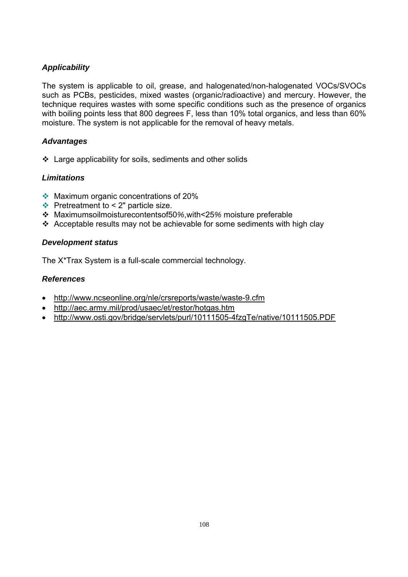The system is applicable to oil, grease, and halogenated/non-halogenated VOCs/SVOCs such as PCBs, pesticides, mixed wastes (organic/radioactive) and mercury. However, the technique requires wastes with some specific conditions such as the presence of organics with boiling points less that 800 degrees F, less than 10% total organics, and less than 60% moisture. The system is not applicable for the removal of heavy metals.

# *Advantages*

 $\div$  Large applicability for soils, sediments and other solids

# *Limitations*

- Maximum organic concentrations of 20%
- $\div$  Pretreatment to < 2" particle size.
- Maximumsoilmoisturecontentsof50*%*,with<25*%* moisture preferable
- Ac*c*eptable results may not be achievable for some sediments with high clay

# *Development status*

The X\*Trax System is a full-scale commercial technology.

# *References*

- http://www.ncseonline.org/nle/crsreports/waste/waste-9.cfm
- http://aec.army.mil/prod/usaec/et/restor/hotgas.htm
- http://www.osti.gov/bridge/servlets/purl/10111505-4fzgTe/native/10111505.PDF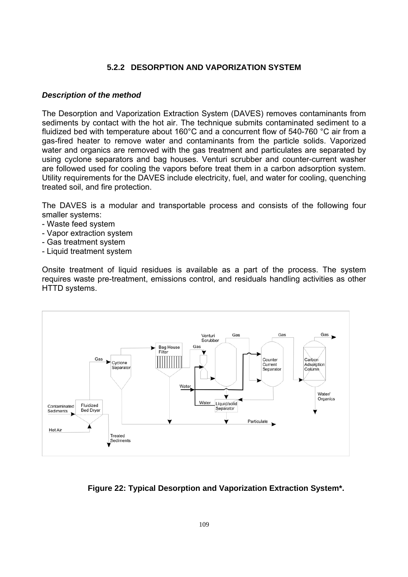# **5.2.2 DESORPTION AND VAPORIZATION SYSTEM**

#### *Description of the method*

The Desorption and Vaporization Extraction System (DAVES) removes contaminants from sediments by contact with the hot air. The technique submits contaminated sediment to a fluidized bed with temperature about 160°C and a concurrent flow of 540-760 °C air from a gas-fired heater to remove water and contaminants from the particle solids. Vaporized water and organics are removed with the gas treatment and particulates are separated by using cyclone separators and bag houses. Venturi scrubber and counter-current washer are followed used for cooling the vapors before treat them in a carbon adsorption system. Utility requirements for the DAVES include electricity, fuel, and water for cooling, quenching treated soil, and fire protection.

The DAVES is a modular and transportable process and consists of the following four smaller systems:

- Waste feed system
- Vapor extraction system
- Gas treatment system
- Liquid treatment system

Onsite treatment of liquid residues is available as a part of the process. The system requires waste pre-treatment, emissions control, and residuals handling activities as other HTTD systems.



# **Figure 22: Typical Desorption and Vaporization Extraction System\*.**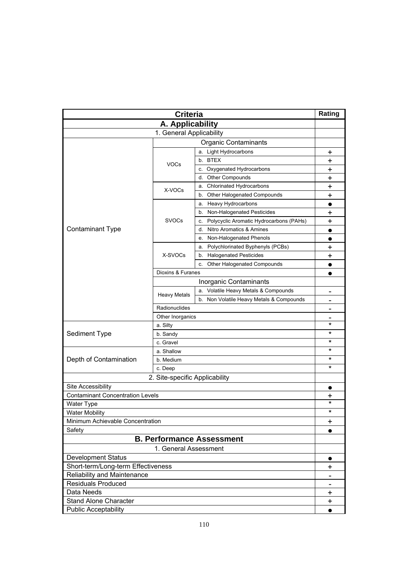| <b>Criteria</b>                         |                                |                                               | Rating                   |
|-----------------------------------------|--------------------------------|-----------------------------------------------|--------------------------|
|                                         | A. Applicability               |                                               |                          |
|                                         | 1. General Applicability       |                                               |                          |
| <b>Organic Contaminants</b>             |                                |                                               |                          |
|                                         |                                | a. Light Hydrocarbons                         | +                        |
|                                         |                                | b. BTEX                                       | $\ddag$                  |
|                                         | <b>VOCs</b>                    | c. Oxygenated Hydrocarbons                    | $\ddot{}$                |
|                                         |                                | d. Other Compounds                            | $\pmb{+}$                |
|                                         |                                | Chlorinated Hydrocarbons<br>a.                | +                        |
|                                         | X-VOCs                         | Other Halogenated Compounds<br>b.             | +                        |
|                                         |                                | Heavy Hydrocarbons<br>a.                      | $\bullet$                |
|                                         |                                | Non-Halogenated Pesticides<br>b.              | $\ddag$                  |
|                                         | SVOCs                          | Polycyclic Aromatic Hydrocarbons (PAHs)<br>с. | +                        |
| <b>Contaminant Type</b>                 |                                | Nitro Aromatics & Amines<br>d.                | $\bullet$                |
|                                         |                                | Non-Halogenated Phenols<br>е.                 |                          |
|                                         |                                | Polychlorinated Byphenyls (PCBs)<br>а.        | +                        |
|                                         | X-SVOCs                        | b. Halogenated Pesticides                     | +                        |
|                                         |                                | Other Halogenated Compounds<br>c.             | $\bullet$                |
|                                         | Dioxins & Furanes              |                                               | $\bullet$                |
|                                         |                                | Inorganic Contaminants                        |                          |
|                                         |                                | a. Volatile Heavy Metals & Compounds          | -                        |
|                                         | <b>Heavy Metals</b>            | b. Non Volatile Heavy Metals & Compounds      | $\overline{\phantom{0}}$ |
|                                         | Radionuclides                  |                                               | $\blacksquare$           |
|                                         | Other Inorganics               |                                               |                          |
|                                         | a. Silty                       |                                               | $^\star$                 |
| Sediment Type                           | b. Sandy                       |                                               | $^\star$                 |
|                                         | c. Gravel                      |                                               | *                        |
|                                         | a. Shallow                     |                                               | $^\star$                 |
| Depth of Contamination                  | b. Medium                      |                                               | $^\star$                 |
|                                         | c. Deep                        |                                               | $^\star$                 |
|                                         | 2. Site-specific Applicability |                                               |                          |
| Site Accessibility                      |                                |                                               |                          |
| <b>Contaminant Concentration Levels</b> |                                |                                               | +                        |
| Water Type                              |                                |                                               | $^\star$                 |
| <b>Water Mobility</b>                   |                                |                                               | $^\star$                 |
| Minimum Achievable Concentration        |                                |                                               | $\ddot{}$                |
| Safety                                  |                                |                                               |                          |
| <b>B. Performance Assessment</b>        |                                |                                               |                          |
| 1. General Assessment                   |                                |                                               |                          |
| <b>Development Status</b>               |                                |                                               | $\bullet$                |
| Short-term/Long-term Effectiveness      |                                |                                               | $\mathbf +$              |
| Reliability and Maintenance             |                                |                                               | $\qquad \qquad$          |
| <b>Residuals Produced</b>               |                                |                                               | $\overline{\phantom{a}}$ |
| Data Needs                              |                                |                                               | +                        |
| <b>Stand Alone Character</b>            |                                |                                               | $\ddot{}$                |
| <b>Public Acceptability</b>             |                                |                                               | $\bullet$                |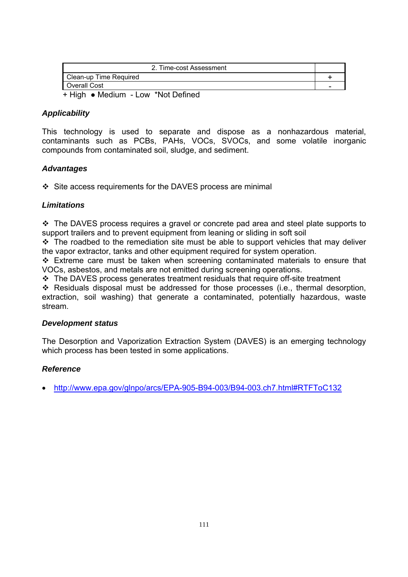| 2. Time-cost Assessment            |                          |
|------------------------------------|--------------------------|
| Clean-up Time Required             |                          |
| Overall Cost                       | $\overline{\phantom{0}}$ |
| + High • Medium - Low *Not Defined |                          |

This technology is used to separate and dispose as a nonhazardous material, contaminants such as PCBs, PAHs, VOCs, SVOCs, and some volatile inorganic compounds from contaminated soil, sludge, and sediment.

#### *Advantages*

 $\div$  Site access requirements for the DAVES process are minimal

#### *Limitations*

\* The DAVES process requires a gravel or concrete pad area and steel plate supports to support trailers and to prevent equipment from leaning or sliding in soft soil

 $\div$  The roadbed to the remediation site must be able to support vehicles that may deliver the vapor extractor, tanks and other equipment required for system operation.

 Extreme care must be taken when screening contaminated materials to ensure that VOCs, asbestos, and metals are not emitted during screening operations.

The DAVES process generates treatment residuals that require off-site treatment

 Residuals disposal must be addressed for those processes (i.e., thermal desorption, extraction, soil washing) that generate a contaminated, potentially hazardous, waste stream.

#### *Development status*

The Desorption and Vaporization Extraction System (DAVES) is an emerging technology which process has been tested in some applications.

#### *Reference*

• http://www.epa.gov/glnpo/arcs/EPA-905-B94-003/B94-003.ch7.html#RTFToC132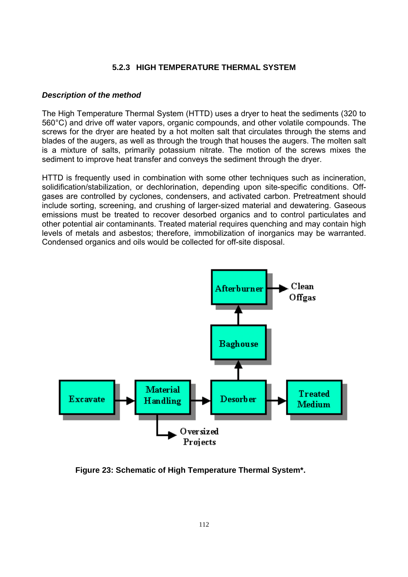#### **5.2.3 HIGH TEMPERATURE THERMAL SYSTEM**

#### *Description of the method*

The High Temperature Thermal System (HTTD) uses a dryer to heat the sediments (320 to 560°C) and drive off water vapors, organic compounds, and other volatile compounds. The screws for the dryer are heated by a hot molten salt that circulates through the stems and blades of the augers, as well as through the trough that houses the augers. The molten salt is a mixture of salts, primarily potassium nitrate. The motion of the screws mixes the sediment to improve heat transfer and conveys the sediment through the dryer.

HTTD is frequently used in combination with some other techniques such as incineration, solidification/stabilization, or dechlorination, depending upon site-specific conditions. Offgases are controlled by cyclones, condensers, and activated carbon. Pretreatment should include sorting, screening, and crushing of larger-sized material and dewatering. Gaseous emissions must be treated to recover desorbed organics and to control particulates and other potential air contaminants. Treated material requires quenching and may contain high levels of metals and asbestos; therefore, immobilization of inorganics may be warranted. Condensed organics and oils would be collected for off-site disposal.



**Figure 23: Schematic of High Temperature Thermal System\*.**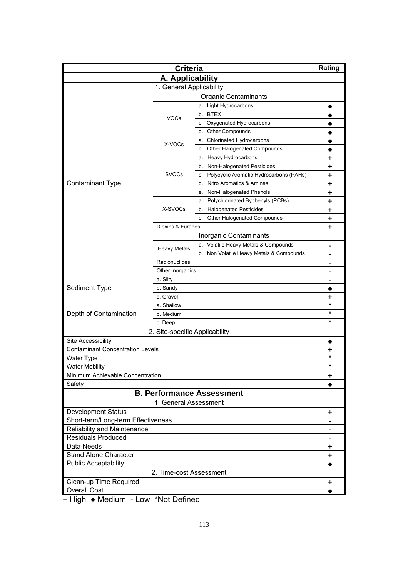| <b>Criteria</b>                                               |                          |                                               | Rating                       |
|---------------------------------------------------------------|--------------------------|-----------------------------------------------|------------------------------|
| A. Applicability                                              |                          |                                               |                              |
|                                                               | 1. General Applicability |                                               |                              |
| <b>Organic Contaminants</b>                                   |                          |                                               |                              |
|                                                               |                          | a. Light Hydrocarbons                         |                              |
|                                                               |                          | b. BTEX                                       |                              |
|                                                               | <b>VOCs</b>              | c. Oxygenated Hydrocarbons                    |                              |
|                                                               |                          | <b>Other Compounds</b><br>d.                  |                              |
|                                                               |                          | <b>Chlorinated Hydrocarbons</b><br>а.         |                              |
|                                                               | X-VOCs                   | b. Other Halogenated Compounds                |                              |
|                                                               |                          | a. Heavy Hydrocarbons                         | +                            |
|                                                               |                          | b. Non-Halogenated Pesticides                 | +                            |
|                                                               | <b>SVOCs</b>             | Polycyclic Aromatic Hydrocarbons (PAHs)<br>c. | +                            |
| <b>Contaminant Type</b>                                       |                          | Nitro Aromatics & Amines<br>d.                | +                            |
|                                                               |                          | Non-Halogenated Phenols<br>е.                 | +                            |
|                                                               |                          | Polychlorinated Byphenyls (PCBs)<br>а.        | $\ddagger$                   |
|                                                               | X-SVOCs                  | <b>Halogenated Pesticides</b><br>b.           | +                            |
|                                                               |                          | Other Halogenated Compounds<br>c.             | +                            |
|                                                               | Dioxins & Furanes        |                                               | $\ddot{}$                    |
|                                                               |                          | Inorganic Contaminants                        |                              |
|                                                               |                          | a. Volatile Heavy Metals & Compounds          | $\qquad \qquad$              |
|                                                               | <b>Heavy Metals</b>      | b. Non Volatile Heavy Metals & Compounds      |                              |
|                                                               | Radionuclides            |                                               |                              |
|                                                               | Other Inorganics         |                                               |                              |
|                                                               | a. Silty                 |                                               | $\qquad \qquad$              |
| Sediment Type                                                 | b. Sandy                 |                                               |                              |
|                                                               | c. Gravel                |                                               | +                            |
|                                                               | a. Shallow               |                                               | $\star$                      |
| Depth of Contamination                                        | b. Medium                |                                               | $^\star$                     |
|                                                               | c. Deep                  |                                               | *                            |
|                                                               |                          |                                               |                              |
| 2. Site-specific Applicability                                |                          |                                               |                              |
| Site Accessibility<br><b>Contaminant Concentration Levels</b> |                          |                                               | $\bullet$                    |
|                                                               |                          |                                               | +<br>$^\star$                |
| <b>Water Type</b><br><b>Water Mobility</b>                    |                          |                                               | $^\star$                     |
| Minimum Achievable Concentration                              |                          |                                               | $\ddot{}$                    |
| Safety                                                        |                          |                                               | $\bullet$                    |
| <b>B. Performance Assessment</b>                              |                          |                                               |                              |
| 1. General Assessment                                         |                          |                                               |                              |
|                                                               |                          |                                               |                              |
| <b>Development Status</b>                                     |                          |                                               | $\ddot{}$                    |
| Short-term/Long-term Effectiveness                            |                          |                                               |                              |
| Reliability and Maintenance<br><b>Residuals Produced</b>      |                          |                                               | $\qquad \qquad \blacksquare$ |
| Data Needs                                                    |                          |                                               |                              |
|                                                               |                          |                                               | $\ddot{}$                    |
| <b>Stand Alone Character</b>                                  |                          |                                               | $\ddot{}$                    |
| <b>Public Acceptability</b>                                   |                          |                                               |                              |
| 2. Time-cost Assessment                                       |                          |                                               |                              |
| Clean-up Time Required                                        |                          |                                               | +                            |
| <b>Overall Cost</b>                                           |                          |                                               | $\bullet$                    |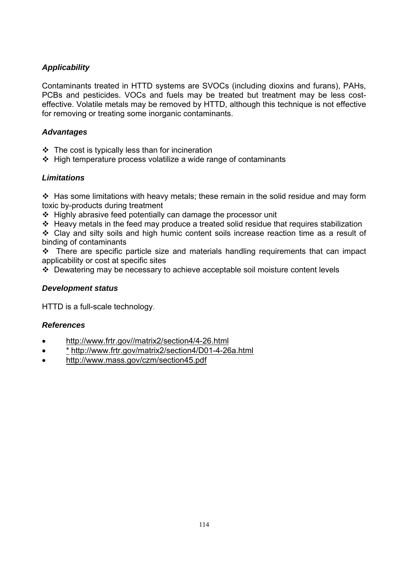Contaminants treated in HTTD systems are SVOCs (including dioxins and furans), PAHs, PCBs and pesticides. VOCs and fuels may be treated but treatment may be less costeffective. Volatile metals may be removed by HTTD, although this technique is not effective for removing or treating some inorganic contaminants.

# *Advantages*

- $\cdot$  The cost is typically less than for incineration
- $\div$  High temperature process volatilize a wide range of contaminants

# *Limitations*

 $\div$  Has some limitations with heavy metals; these remain in the solid residue and may form toxic by-products during treatment

 $\div$  Highly abrasive feed potentially can damage the processor unit

 $\triangle$  Heavy metals in the feed may produce a treated solid residue that requires stabilization

 Clay and silty soils and high humic content soils increase reaction time as a result of binding of contaminants

\* There are specific particle size and materials handling requirements that can impact applicability or cost at specific sites

Dewatering may be necessary to achieve acceptable soil moisture content levels

#### *Development status*

HTTD is a full-scale technology.

- http://www.frtr.gov//matrix2/section4/4-26.html
- \* http://www.frtr.gov/matrix2/section4/D01-4-26a.html
- http://www.mass.gov/czm/section45.pdf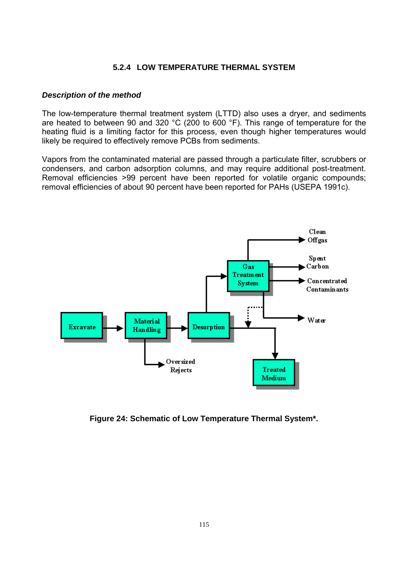#### **5.2.4 LOW TEMPERATURE THERMAL SYSTEM**

#### *Description of the method*

The low-temperature thermal treatment system (LTTD) also uses a dryer, and sediments are heated to between 90 and 320 °C (200 to 600 °F). This range of temperature for the heating fluid is a limiting factor for this process, even though higher temperatures would likely be required to effectively remove PCBs from sediments.

Vapors from the contaminated material are passed through a particulate filter, scrubbers or condensers, and carbon adsorption columns, and may require additional post-treatment. Removal efficiencies >99 percent have been reported for volatile organic compounds; removal efficiencies of about 90 percent have been reported for PAHs (USEPA 1991c).



**Figure 24: Schematic of Low Temperature Thermal System\*.**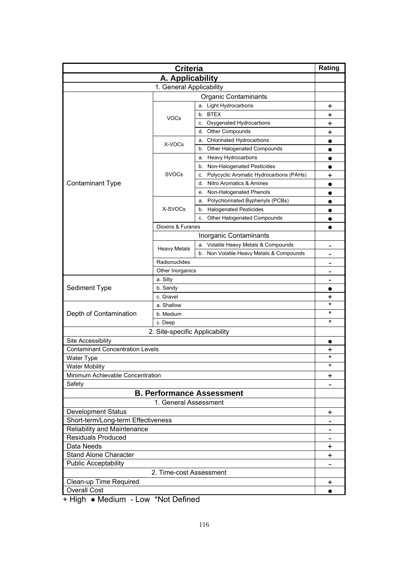| <b>Criteria</b>                                                 |                          |                                               | Rating         |
|-----------------------------------------------------------------|--------------------------|-----------------------------------------------|----------------|
| A. Applicability                                                |                          |                                               |                |
|                                                                 | 1. General Applicability |                                               |                |
| <b>Organic Contaminants</b>                                     |                          |                                               |                |
|                                                                 |                          | a. Light Hydrocarbons                         | +              |
|                                                                 |                          | b. BTEX                                       | +              |
|                                                                 | <b>VOCs</b>              | c. Oxygenated Hydrocarbons                    | +              |
|                                                                 |                          | <b>Other Compounds</b><br>d.                  | +              |
|                                                                 |                          | a. Chlorinated Hydrocarbons                   |                |
|                                                                 | X-VOCs                   | b. Other Halogenated Compounds                |                |
|                                                                 |                          | a. Heavy Hydrocarbons                         | $\bullet$      |
|                                                                 |                          | Non-Halogenated Pesticides<br>b.              | $\bullet$      |
|                                                                 | <b>SVOCs</b>             | Polycyclic Aromatic Hydrocarbons (PAHs)<br>C. | +              |
| <b>Contaminant Type</b>                                         |                          | Nitro Aromatics & Amines<br>d.                |                |
|                                                                 |                          | Non-Halogenated Phenols<br>е.                 |                |
|                                                                 |                          | Polychlorinated Byphenyls (PCBs)<br>a.        |                |
|                                                                 | X-SVOCs                  | <b>Halogenated Pesticides</b><br>b.           | $\bullet$      |
|                                                                 |                          | Other Halogenated Compounds<br>c.             |                |
|                                                                 | Dioxins & Furanes        |                                               |                |
|                                                                 |                          | Inorganic Contaminants                        |                |
|                                                                 |                          | a. Volatile Heavy Metals & Compounds          |                |
|                                                                 | <b>Heavy Metals</b>      | b. Non Volatile Heavy Metals & Compounds      | $\blacksquare$ |
|                                                                 | Radionuclides            |                                               |                |
|                                                                 | Other Inorganics         |                                               |                |
|                                                                 | a. Silty                 |                                               | $\blacksquare$ |
| Sediment Type                                                   | b. Sandy                 |                                               |                |
|                                                                 | c. Gravel                |                                               | +              |
|                                                                 | a. Shallow               |                                               | *              |
| Depth of Contamination                                          | b. Medium                |                                               | *              |
|                                                                 | c. Deep                  |                                               | *              |
|                                                                 |                          |                                               |                |
| 2. Site-specific Applicability                                  |                          |                                               |                |
| Site Accessibility<br><b>Contaminant Concentration Levels</b>   |                          |                                               |                |
|                                                                 |                          |                                               | +<br>$^\star$  |
| <b>Water Type</b><br><b>Water Mobility</b>                      |                          |                                               | $^\star$       |
| Minimum Achievable Concentration                                |                          |                                               | +              |
| Safety                                                          |                          |                                               |                |
| <b>B. Performance Assessment</b>                                |                          |                                               |                |
|                                                                 |                          |                                               |                |
| 1. General Assessment                                           |                          |                                               |                |
| <b>Development Status</b><br>Short-term/Long-term Effectiveness |                          |                                               | $\ddot{}$      |
| Reliability and Maintenance                                     |                          |                                               |                |
| <b>Residuals Produced</b>                                       |                          |                                               |                |
| Data Needs                                                      |                          |                                               |                |
| <b>Stand Alone Character</b>                                    |                          |                                               | +              |
|                                                                 |                          |                                               | +              |
| <b>Public Acceptability</b>                                     |                          |                                               |                |
| 2. Time-cost Assessment                                         |                          |                                               |                |
| Clean-up Time Required                                          |                          |                                               | $\mathbf +$    |
| <b>Overall Cost</b>                                             |                          |                                               | $\bullet$      |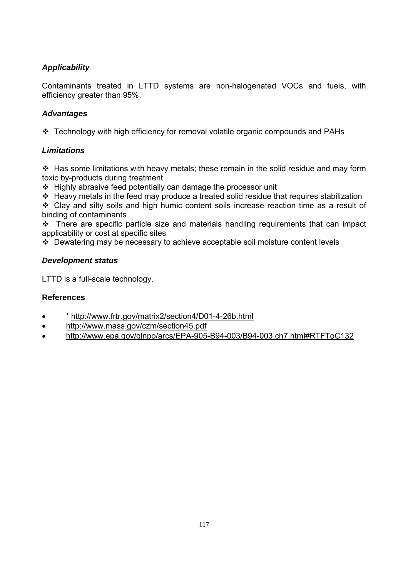Contaminants treated in LTTD systems are non-halogenated VOCs and fuels, with efficiency greater than 95%.

# *Advantages*

Technology with high efficiency for removal volatile organic compounds and PAHs

# *Limitations*

 $\div$  Has some limitations with heavy metals; these remain in the solid residue and may form toxic by-products during treatment

 $\div$  Highly abrasive feed potentially can damage the processor unit

\* Heavy metals in the feed may produce a treated solid residue that requires stabilization

 Clay and silty soils and high humic content soils increase reaction time as a result of binding of contaminants

 $\cdot \cdot$  There are specific particle size and materials handling requirements that can impact applicability or cost at specific sites

Dewatering may be necessary to achieve acceptable soil moisture content levels

# *Development status*

LTTD is a full-scale technology.

- \* http://www.frtr.gov/matrix2/section4/D01-4-26b.html
- http://www.mass.gov/czm/section45.pdf
- http://www.epa.gov/glnpo/arcs/EPA-905-B94-003/B94-003.ch7.html#RTFToC132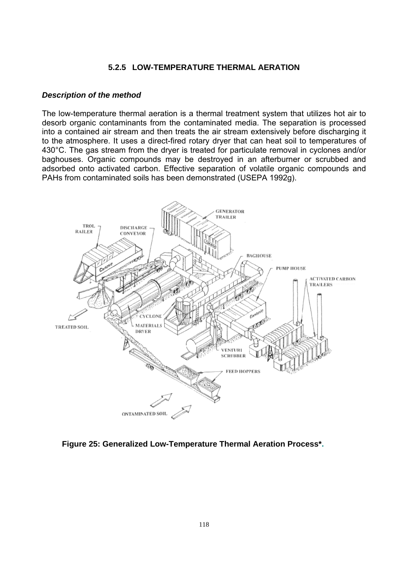#### **5.2.5 LOW-TEMPERATURE THERMAL AERATION**

#### *Description of the method*

The low-temperature thermal aeration is a thermal treatment system that utilizes hot air to desorb organic contaminants from the contaminated media. The separation is processed into a contained air stream and then treats the air stream extensively before discharging it to the atmosphere. It uses a direct-fired rotary dryer that can heat soil to temperatures of 430°C. The gas stream from the dryer is treated for particulate removal in cyclones and/or baghouses. Organic compounds may be destroyed in an afterburner or scrubbed and adsorbed onto activated carbon. Effective separation of volatile organic compounds and PAHs from contaminated soils has been demonstrated (USEPA 1992g).



**Figure 25: Generalized Low-Temperature Thermal Aeration Process\*.**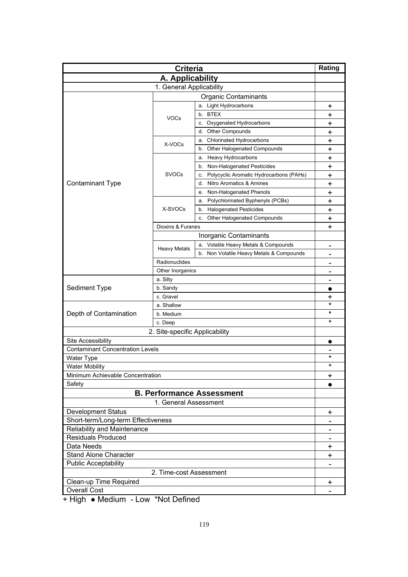| <b>Criteria</b>                         |                          |                                               | Rating         |
|-----------------------------------------|--------------------------|-----------------------------------------------|----------------|
| A. Applicability                        |                          |                                               |                |
|                                         | 1. General Applicability |                                               |                |
| <b>Organic Contaminants</b>             |                          |                                               |                |
|                                         |                          | a. Light Hydrocarbons                         | +              |
|                                         |                          | b. BTEX                                       | +              |
|                                         | <b>VOCs</b>              | c. Oxygenated Hydrocarbons                    | +              |
|                                         |                          | <b>Other Compounds</b><br>d.                  | +              |
|                                         |                          | a. Chlorinated Hydrocarbons                   | +              |
|                                         | X-VOCs                   | b. Other Halogenated Compounds                | +              |
|                                         |                          | a. Heavy Hydrocarbons                         | +              |
|                                         |                          | Non-Halogenated Pesticides<br>b.              | +              |
|                                         | <b>SVOCs</b>             | Polycyclic Aromatic Hydrocarbons (PAHs)<br>C. | +              |
| <b>Contaminant Type</b>                 |                          | Nitro Aromatics & Amines<br>d.                | +              |
|                                         |                          | Non-Halogenated Phenols<br>е.                 | +              |
|                                         |                          | Polychlorinated Byphenyls (PCBs)<br>a.        | $\ddagger$     |
|                                         | X-SVOCs                  | <b>Halogenated Pesticides</b><br>b.           | +              |
|                                         |                          | Other Halogenated Compounds<br>c.             | +              |
|                                         | Dioxins & Furanes        |                                               | $\ddot{}$      |
|                                         |                          | Inorganic Contaminants                        |                |
|                                         |                          | a. Volatile Heavy Metals & Compounds          |                |
|                                         | <b>Heavy Metals</b>      | b. Non Volatile Heavy Metals & Compounds      | $\blacksquare$ |
|                                         |                          |                                               |                |
|                                         | Radionuclides            |                                               |                |
|                                         | Other Inorganics         |                                               |                |
| Sediment Type                           | a. Silty<br>b. Sandy     |                                               | $\blacksquare$ |
|                                         |                          |                                               |                |
|                                         | c. Gravel                |                                               | +<br>*         |
| Depth of Contamination                  | a. Shallow               |                                               | *              |
|                                         | b. Medium<br>c. Deep     |                                               | *              |
|                                         |                          |                                               |                |
| 2. Site-specific Applicability          |                          |                                               |                |
| Site Accessibility                      |                          |                                               |                |
| <b>Contaminant Concentration Levels</b> |                          |                                               | *              |
| <b>Water Type</b>                       |                          |                                               | $^\star$       |
| <b>Water Mobility</b>                   |                          |                                               |                |
| Minimum Achievable Concentration        |                          |                                               | $\ddot{}$      |
| Safety                                  |                          |                                               |                |
| <b>B. Performance Assessment</b>        |                          |                                               |                |
| 1. General Assessment                   |                          |                                               |                |
| <b>Development Status</b>               |                          |                                               | $\ddot{}$      |
| Short-term/Long-term Effectiveness      |                          |                                               |                |
| Reliability and Maintenance             |                          |                                               |                |
| <b>Residuals Produced</b>               |                          |                                               |                |
| Data Needs                              |                          |                                               | +              |
| <b>Stand Alone Character</b>            |                          |                                               | +              |
| <b>Public Acceptability</b>             |                          |                                               |                |
| 2. Time-cost Assessment                 |                          |                                               |                |
| Clean-up Time Required                  |                          |                                               | +              |
| <b>Overall Cost</b>                     |                          |                                               |                |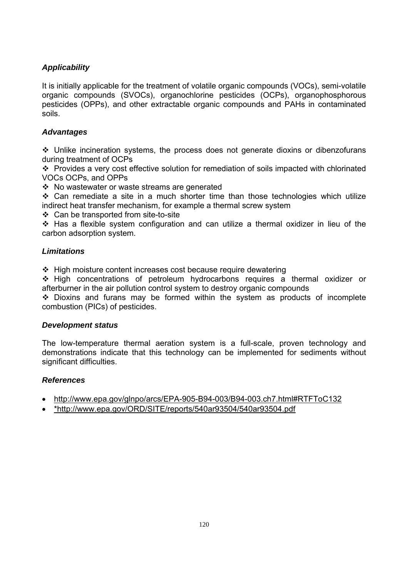It is initially applicable for the treatment of volatile organic compounds (VOCs), semi-volatile organic compounds (SVOCs), organochlorine pesticides (OCPs), organophosphorous pesticides (OPPs), and other extractable organic compounds and PAHs in contaminated soils.

# *Advantages*

 Unlike incineration systems, the process does not generate dioxins or dibenzofurans during treatment of OCPs

 Provides a very cost effective solution for remediation of soils impacted with chlorinated VOCs OCPs, and OPPs

No wastewater or waste streams are generated

 $\div$  Can remediate a site in a much shorter time than those technologies which utilize indirect heat transfer mechanism, for example a thermal screw system

Can be transported from site-to-site

 Has a flexible system configuration and can utilize a thermal oxidizer in lieu of the carbon adsorption system.

# *Limitations*

 $\div$  High moisture content increases cost because require dewatering

 High concentrations of petroleum hydrocarbons requires a thermal oxidizer or afterburner in the air pollution control system to destroy organic compounds

 Dioxins and furans may be formed within the system as products of incomplete combustion (PICs) of pesticides.

#### *Development status*

The low-temperature thermal aeration system is a full-scale, proven technology and demonstrations indicate that this technology can be implemented for sediments without significant difficulties.

- http://www.epa.gov/glnpo/arcs/EPA-905-B94-003/B94-003.ch7.html#RTFToC132
- \*http://www.epa.gov/ORD/SITE/reports/540ar93504/540ar93504.pdf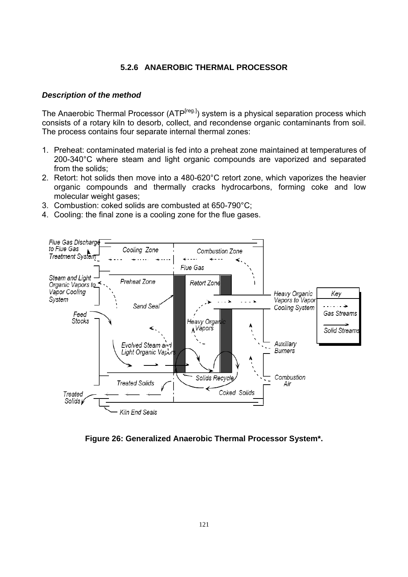#### **5.2.6 ANAEROBIC THERMAL PROCESSOR**

#### *Description of the method*

The Anaerobic Thermal Processor (ATP<sup>[reg.]</sup>) system is a physical separation process which consists of a rotary kiln to desorb, collect, and recondense organic contaminants from soil. The process contains four separate internal thermal zones:

- 1. Preheat: contaminated material is fed into a preheat zone maintained at temperatures of 200-340°C where steam and light organic compounds are vaporized and separated from the solids;
- 2. Retort: hot solids then move into a 480-620°C retort zone, which vaporizes the heavier organic compounds and thermally cracks hydrocarbons, forming coke and low molecular weight gases;
- 3. Combustion: coked solids are combusted at 650-790°C;
- 4. Cooling: the final zone is a cooling zone for the flue gases.



**Figure 26: Generalized Anaerobic Thermal Processor System\*.**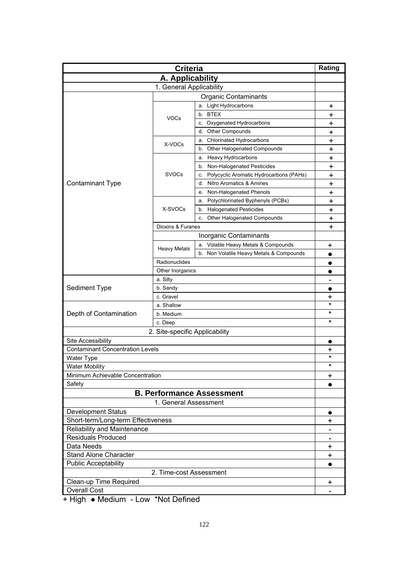| A. Applicability<br>1. General Applicability<br><b>Organic Contaminants</b><br>a. Light Hydrocarbons<br>+<br>b. BTEX<br>+<br><b>VOCs</b><br>c. Oxygenated Hydrocarbons<br>+<br>Other Compounds<br>d.<br>$\ddot{}$<br><b>Chlorinated Hydrocarbons</b><br>+<br>а.<br>X-VOCs<br>Other Halogenated Compounds<br>$\ddot{}$<br>b.<br><b>Heavy Hydrocarbons</b><br>$\ddot{}$<br>a.<br>b. Non-Halogenated Pesticides<br>+<br><b>SVOCs</b><br>Polycyclic Aromatic Hydrocarbons (PAHs)<br>$\ddag$<br>c.<br><b>Contaminant Type</b><br>d. Nitro Aromatics & Amines<br>$\ddot{}$<br>Non-Halogenated Phenols<br>$\ddag$<br>е.<br>Polychlorinated Byphenyls (PCBs)<br>$\ddag$<br>а.<br>X-SVOCs<br><b>Halogenated Pesticides</b><br>b.<br>$\ddot{}$<br>Other Halogenated Compounds<br>c.<br>$\ddot{}$<br>Dioxins & Furanes<br>$\ddot{}$<br>Inorganic Contaminants<br>a. Volatile Heavy Metals & Compounds<br>+<br><b>Heavy Metals</b><br>b. Non Volatile Heavy Metals & Compounds<br>Radionuclides<br>Other Inorganics<br>a. Silty<br>$\qquad \qquad$<br>Sediment Type<br>b. Sandy<br>c. Gravel<br>+<br>$\star$<br>a. Shallow<br>*<br>Depth of Contamination<br>b. Medium<br>$\star$<br>c. Deep<br>2. Site-specific Applicability<br>Site Accessibility<br>$\bullet$<br><b>Contaminant Concentration Levels</b><br>+<br>*<br>Water Type<br>$^\star$<br><b>Water Mobility</b><br>Minimum Achievable Concentration<br>+<br>Safety<br>$\bullet$<br><b>B. Performance Assessment</b><br>1. General Assessment<br><b>Development Status</b><br>$\bullet$<br>Short-term/Long-term Effectiveness<br>$\ddot{}$<br>Reliability and Maintenance<br><b>Residuals Produced</b><br>Data Needs<br>$\ddot{}$ | <b>Criteria</b>        |  |  | Rating |
|--------------------------------------------------------------------------------------------------------------------------------------------------------------------------------------------------------------------------------------------------------------------------------------------------------------------------------------------------------------------------------------------------------------------------------------------------------------------------------------------------------------------------------------------------------------------------------------------------------------------------------------------------------------------------------------------------------------------------------------------------------------------------------------------------------------------------------------------------------------------------------------------------------------------------------------------------------------------------------------------------------------------------------------------------------------------------------------------------------------------------------------------------------------------------------------------------------------------------------------------------------------------------------------------------------------------------------------------------------------------------------------------------------------------------------------------------------------------------------------------------------------------------------------------------------------------------------------------------------------------------------------------------------------------------------|------------------------|--|--|--------|
|                                                                                                                                                                                                                                                                                                                                                                                                                                                                                                                                                                                                                                                                                                                                                                                                                                                                                                                                                                                                                                                                                                                                                                                                                                                                                                                                                                                                                                                                                                                                                                                                                                                                                |                        |  |  |        |
|                                                                                                                                                                                                                                                                                                                                                                                                                                                                                                                                                                                                                                                                                                                                                                                                                                                                                                                                                                                                                                                                                                                                                                                                                                                                                                                                                                                                                                                                                                                                                                                                                                                                                |                        |  |  |        |
|                                                                                                                                                                                                                                                                                                                                                                                                                                                                                                                                                                                                                                                                                                                                                                                                                                                                                                                                                                                                                                                                                                                                                                                                                                                                                                                                                                                                                                                                                                                                                                                                                                                                                |                        |  |  |        |
|                                                                                                                                                                                                                                                                                                                                                                                                                                                                                                                                                                                                                                                                                                                                                                                                                                                                                                                                                                                                                                                                                                                                                                                                                                                                                                                                                                                                                                                                                                                                                                                                                                                                                |                        |  |  |        |
|                                                                                                                                                                                                                                                                                                                                                                                                                                                                                                                                                                                                                                                                                                                                                                                                                                                                                                                                                                                                                                                                                                                                                                                                                                                                                                                                                                                                                                                                                                                                                                                                                                                                                |                        |  |  |        |
|                                                                                                                                                                                                                                                                                                                                                                                                                                                                                                                                                                                                                                                                                                                                                                                                                                                                                                                                                                                                                                                                                                                                                                                                                                                                                                                                                                                                                                                                                                                                                                                                                                                                                |                        |  |  |        |
|                                                                                                                                                                                                                                                                                                                                                                                                                                                                                                                                                                                                                                                                                                                                                                                                                                                                                                                                                                                                                                                                                                                                                                                                                                                                                                                                                                                                                                                                                                                                                                                                                                                                                |                        |  |  |        |
|                                                                                                                                                                                                                                                                                                                                                                                                                                                                                                                                                                                                                                                                                                                                                                                                                                                                                                                                                                                                                                                                                                                                                                                                                                                                                                                                                                                                                                                                                                                                                                                                                                                                                |                        |  |  |        |
|                                                                                                                                                                                                                                                                                                                                                                                                                                                                                                                                                                                                                                                                                                                                                                                                                                                                                                                                                                                                                                                                                                                                                                                                                                                                                                                                                                                                                                                                                                                                                                                                                                                                                |                        |  |  |        |
|                                                                                                                                                                                                                                                                                                                                                                                                                                                                                                                                                                                                                                                                                                                                                                                                                                                                                                                                                                                                                                                                                                                                                                                                                                                                                                                                                                                                                                                                                                                                                                                                                                                                                |                        |  |  |        |
|                                                                                                                                                                                                                                                                                                                                                                                                                                                                                                                                                                                                                                                                                                                                                                                                                                                                                                                                                                                                                                                                                                                                                                                                                                                                                                                                                                                                                                                                                                                                                                                                                                                                                |                        |  |  |        |
|                                                                                                                                                                                                                                                                                                                                                                                                                                                                                                                                                                                                                                                                                                                                                                                                                                                                                                                                                                                                                                                                                                                                                                                                                                                                                                                                                                                                                                                                                                                                                                                                                                                                                |                        |  |  |        |
|                                                                                                                                                                                                                                                                                                                                                                                                                                                                                                                                                                                                                                                                                                                                                                                                                                                                                                                                                                                                                                                                                                                                                                                                                                                                                                                                                                                                                                                                                                                                                                                                                                                                                |                        |  |  |        |
|                                                                                                                                                                                                                                                                                                                                                                                                                                                                                                                                                                                                                                                                                                                                                                                                                                                                                                                                                                                                                                                                                                                                                                                                                                                                                                                                                                                                                                                                                                                                                                                                                                                                                |                        |  |  |        |
|                                                                                                                                                                                                                                                                                                                                                                                                                                                                                                                                                                                                                                                                                                                                                                                                                                                                                                                                                                                                                                                                                                                                                                                                                                                                                                                                                                                                                                                                                                                                                                                                                                                                                |                        |  |  |        |
|                                                                                                                                                                                                                                                                                                                                                                                                                                                                                                                                                                                                                                                                                                                                                                                                                                                                                                                                                                                                                                                                                                                                                                                                                                                                                                                                                                                                                                                                                                                                                                                                                                                                                |                        |  |  |        |
|                                                                                                                                                                                                                                                                                                                                                                                                                                                                                                                                                                                                                                                                                                                                                                                                                                                                                                                                                                                                                                                                                                                                                                                                                                                                                                                                                                                                                                                                                                                                                                                                                                                                                |                        |  |  |        |
|                                                                                                                                                                                                                                                                                                                                                                                                                                                                                                                                                                                                                                                                                                                                                                                                                                                                                                                                                                                                                                                                                                                                                                                                                                                                                                                                                                                                                                                                                                                                                                                                                                                                                |                        |  |  |        |
|                                                                                                                                                                                                                                                                                                                                                                                                                                                                                                                                                                                                                                                                                                                                                                                                                                                                                                                                                                                                                                                                                                                                                                                                                                                                                                                                                                                                                                                                                                                                                                                                                                                                                |                        |  |  |        |
|                                                                                                                                                                                                                                                                                                                                                                                                                                                                                                                                                                                                                                                                                                                                                                                                                                                                                                                                                                                                                                                                                                                                                                                                                                                                                                                                                                                                                                                                                                                                                                                                                                                                                |                        |  |  |        |
|                                                                                                                                                                                                                                                                                                                                                                                                                                                                                                                                                                                                                                                                                                                                                                                                                                                                                                                                                                                                                                                                                                                                                                                                                                                                                                                                                                                                                                                                                                                                                                                                                                                                                |                        |  |  |        |
|                                                                                                                                                                                                                                                                                                                                                                                                                                                                                                                                                                                                                                                                                                                                                                                                                                                                                                                                                                                                                                                                                                                                                                                                                                                                                                                                                                                                                                                                                                                                                                                                                                                                                |                        |  |  |        |
|                                                                                                                                                                                                                                                                                                                                                                                                                                                                                                                                                                                                                                                                                                                                                                                                                                                                                                                                                                                                                                                                                                                                                                                                                                                                                                                                                                                                                                                                                                                                                                                                                                                                                |                        |  |  |        |
|                                                                                                                                                                                                                                                                                                                                                                                                                                                                                                                                                                                                                                                                                                                                                                                                                                                                                                                                                                                                                                                                                                                                                                                                                                                                                                                                                                                                                                                                                                                                                                                                                                                                                |                        |  |  |        |
|                                                                                                                                                                                                                                                                                                                                                                                                                                                                                                                                                                                                                                                                                                                                                                                                                                                                                                                                                                                                                                                                                                                                                                                                                                                                                                                                                                                                                                                                                                                                                                                                                                                                                |                        |  |  |        |
|                                                                                                                                                                                                                                                                                                                                                                                                                                                                                                                                                                                                                                                                                                                                                                                                                                                                                                                                                                                                                                                                                                                                                                                                                                                                                                                                                                                                                                                                                                                                                                                                                                                                                |                        |  |  |        |
|                                                                                                                                                                                                                                                                                                                                                                                                                                                                                                                                                                                                                                                                                                                                                                                                                                                                                                                                                                                                                                                                                                                                                                                                                                                                                                                                                                                                                                                                                                                                                                                                                                                                                |                        |  |  |        |
|                                                                                                                                                                                                                                                                                                                                                                                                                                                                                                                                                                                                                                                                                                                                                                                                                                                                                                                                                                                                                                                                                                                                                                                                                                                                                                                                                                                                                                                                                                                                                                                                                                                                                |                        |  |  |        |
|                                                                                                                                                                                                                                                                                                                                                                                                                                                                                                                                                                                                                                                                                                                                                                                                                                                                                                                                                                                                                                                                                                                                                                                                                                                                                                                                                                                                                                                                                                                                                                                                                                                                                |                        |  |  |        |
|                                                                                                                                                                                                                                                                                                                                                                                                                                                                                                                                                                                                                                                                                                                                                                                                                                                                                                                                                                                                                                                                                                                                                                                                                                                                                                                                                                                                                                                                                                                                                                                                                                                                                |                        |  |  |        |
|                                                                                                                                                                                                                                                                                                                                                                                                                                                                                                                                                                                                                                                                                                                                                                                                                                                                                                                                                                                                                                                                                                                                                                                                                                                                                                                                                                                                                                                                                                                                                                                                                                                                                |                        |  |  |        |
|                                                                                                                                                                                                                                                                                                                                                                                                                                                                                                                                                                                                                                                                                                                                                                                                                                                                                                                                                                                                                                                                                                                                                                                                                                                                                                                                                                                                                                                                                                                                                                                                                                                                                |                        |  |  |        |
|                                                                                                                                                                                                                                                                                                                                                                                                                                                                                                                                                                                                                                                                                                                                                                                                                                                                                                                                                                                                                                                                                                                                                                                                                                                                                                                                                                                                                                                                                                                                                                                                                                                                                |                        |  |  |        |
|                                                                                                                                                                                                                                                                                                                                                                                                                                                                                                                                                                                                                                                                                                                                                                                                                                                                                                                                                                                                                                                                                                                                                                                                                                                                                                                                                                                                                                                                                                                                                                                                                                                                                |                        |  |  |        |
|                                                                                                                                                                                                                                                                                                                                                                                                                                                                                                                                                                                                                                                                                                                                                                                                                                                                                                                                                                                                                                                                                                                                                                                                                                                                                                                                                                                                                                                                                                                                                                                                                                                                                |                        |  |  |        |
|                                                                                                                                                                                                                                                                                                                                                                                                                                                                                                                                                                                                                                                                                                                                                                                                                                                                                                                                                                                                                                                                                                                                                                                                                                                                                                                                                                                                                                                                                                                                                                                                                                                                                |                        |  |  |        |
|                                                                                                                                                                                                                                                                                                                                                                                                                                                                                                                                                                                                                                                                                                                                                                                                                                                                                                                                                                                                                                                                                                                                                                                                                                                                                                                                                                                                                                                                                                                                                                                                                                                                                |                        |  |  |        |
|                                                                                                                                                                                                                                                                                                                                                                                                                                                                                                                                                                                                                                                                                                                                                                                                                                                                                                                                                                                                                                                                                                                                                                                                                                                                                                                                                                                                                                                                                                                                                                                                                                                                                |                        |  |  |        |
|                                                                                                                                                                                                                                                                                                                                                                                                                                                                                                                                                                                                                                                                                                                                                                                                                                                                                                                                                                                                                                                                                                                                                                                                                                                                                                                                                                                                                                                                                                                                                                                                                                                                                |                        |  |  |        |
|                                                                                                                                                                                                                                                                                                                                                                                                                                                                                                                                                                                                                                                                                                                                                                                                                                                                                                                                                                                                                                                                                                                                                                                                                                                                                                                                                                                                                                                                                                                                                                                                                                                                                |                        |  |  |        |
|                                                                                                                                                                                                                                                                                                                                                                                                                                                                                                                                                                                                                                                                                                                                                                                                                                                                                                                                                                                                                                                                                                                                                                                                                                                                                                                                                                                                                                                                                                                                                                                                                                                                                |                        |  |  |        |
|                                                                                                                                                                                                                                                                                                                                                                                                                                                                                                                                                                                                                                                                                                                                                                                                                                                                                                                                                                                                                                                                                                                                                                                                                                                                                                                                                                                                                                                                                                                                                                                                                                                                                |                        |  |  |        |
|                                                                                                                                                                                                                                                                                                                                                                                                                                                                                                                                                                                                                                                                                                                                                                                                                                                                                                                                                                                                                                                                                                                                                                                                                                                                                                                                                                                                                                                                                                                                                                                                                                                                                |                        |  |  |        |
| $\ddot{}$                                                                                                                                                                                                                                                                                                                                                                                                                                                                                                                                                                                                                                                                                                                                                                                                                                                                                                                                                                                                                                                                                                                                                                                                                                                                                                                                                                                                                                                                                                                                                                                                                                                                      | Stand Alone Character  |  |  |        |
| <b>Public Acceptability</b><br>$\bullet$                                                                                                                                                                                                                                                                                                                                                                                                                                                                                                                                                                                                                                                                                                                                                                                                                                                                                                                                                                                                                                                                                                                                                                                                                                                                                                                                                                                                                                                                                                                                                                                                                                       |                        |  |  |        |
| 2. Time-cost Assessment                                                                                                                                                                                                                                                                                                                                                                                                                                                                                                                                                                                                                                                                                                                                                                                                                                                                                                                                                                                                                                                                                                                                                                                                                                                                                                                                                                                                                                                                                                                                                                                                                                                        |                        |  |  |        |
| +                                                                                                                                                                                                                                                                                                                                                                                                                                                                                                                                                                                                                                                                                                                                                                                                                                                                                                                                                                                                                                                                                                                                                                                                                                                                                                                                                                                                                                                                                                                                                                                                                                                                              | Clean-up Time Required |  |  |        |
| <b>Overall Cost</b>                                                                                                                                                                                                                                                                                                                                                                                                                                                                                                                                                                                                                                                                                                                                                                                                                                                                                                                                                                                                                                                                                                                                                                                                                                                                                                                                                                                                                                                                                                                                                                                                                                                            |                        |  |  |        |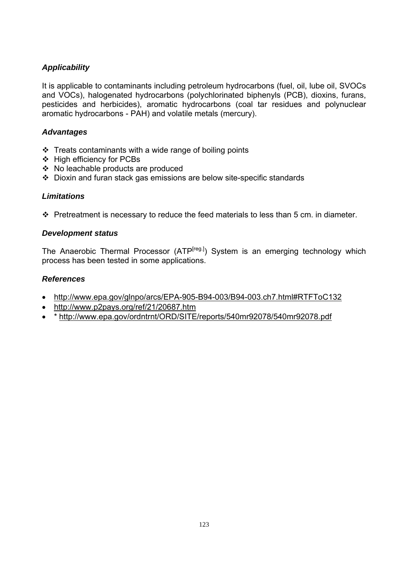It is applicable to contaminants including petroleum hydrocarbons (fuel, oil, lube oil, SVOCs and VOCs), halogenated hydrocarbons (polychlorinated biphenyls (PCB), dioxins, furans, pesticides and herbicides), aromatic hydrocarbons (coal tar residues and polynuclear aromatic hydrocarbons - PAH) and volatile metals (mercury).

#### *Advantages*

- $\cdot$  Treats contaminants with a wide range of boiling points
- ❖ High efficiency for PCBs
- No leachable products are produced
- Dioxin and furan stack gas emissions are below site-specific standards

#### *Limitations*

 $\cdot \cdot$  Pretreatment is necessary to reduce the feed materials to less than 5 cm. in diameter.

#### *Development status*

The Anaerobic Thermal Processor  $(ATP<sup>[reg.]</sup>)$  System is an emerging technology which process has been tested in some applications.

- http://www.epa.gov/glnpo/arcs/EPA-905-B94-003/B94-003.ch7.html#RTFToC132
- http://www.p2pays.org/ref/21/20687.htm
- \* http://www.epa.gov/ordntrnt/ORD/SITE/reports/540mr92078/540mr92078.pdf